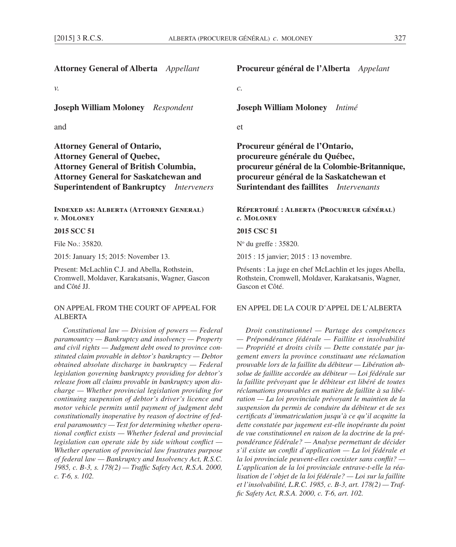| ×<br>٠ |  |
|--------|--|

| <b>Attorney General of Alberta</b> Appellant                                                                                                                                                                                 | Procureur général de l'Alberta Appelant                                                                                                                                                                                |  |
|------------------------------------------------------------------------------------------------------------------------------------------------------------------------------------------------------------------------------|------------------------------------------------------------------------------------------------------------------------------------------------------------------------------------------------------------------------|--|
| ν.                                                                                                                                                                                                                           | $\mathcal{C}$ .                                                                                                                                                                                                        |  |
| <b>Joseph William Moloney</b> Respondent                                                                                                                                                                                     | <b>Joseph William Moloney</b><br>Intimé                                                                                                                                                                                |  |
| and                                                                                                                                                                                                                          | et                                                                                                                                                                                                                     |  |
| <b>Attorney General of Ontario,</b><br><b>Attorney General of Quebec,</b><br><b>Attorney General of British Columbia,</b><br><b>Attorney General for Saskatchewan and</b><br><b>Superintendent of Bankruptcy</b> Interveners | Procureur général de l'Ontario,<br>procureure générale du Québec,<br>procureur général de la Colombie-Britannique,<br>procureur général de la Saskatchewan et<br><b>Surintendant des faillites</b> <i>Intervenants</i> |  |
| <b>INDEXED AS: ALBERTA (ATTORNEY GENERAL)</b><br>v. MOLONEY                                                                                                                                                                  | RÉPERTORIÉ : ALBERTA (PROCUREUR GÉNÉRAL)<br>c. MOLONEY                                                                                                                                                                 |  |
| 2015 SCC 51                                                                                                                                                                                                                  | 2015 CSC 51                                                                                                                                                                                                            |  |
| File No.: 35820.                                                                                                                                                                                                             | $No$ du greffe : 35820.                                                                                                                                                                                                |  |
| 2015: January 15; 2015: November 13.                                                                                                                                                                                         | 2015 : 15 janvier; 2015 : 13 novembre.                                                                                                                                                                                 |  |
| Present: McLachlin C.J. and Abella, Rothstein,<br>Cromwell, Moldaver, Karakatsanis, Wagner, Gascon<br>and Côté JJ.                                                                                                           | Présents : La juge en chef McLachlin et les juges Abella,<br>Rothstein, Cromwell, Moldaver, Karakatsanis, Wagner,<br>Gascon et Côté.                                                                                   |  |
| ON APPEAL FROM THE COURT OF APPEAL FOR<br><b>ALBERTA</b>                                                                                                                                                                     | EN APPEL DE LA COUR D'APPEL DE L'ALBERTA                                                                                                                                                                               |  |
| Constitutional law $-$ Division of powers $-$ Federal                                                                                                                                                                        | Droit constitutionnel - Partage des compétences                                                                                                                                                                        |  |

*paramountcy — Bankruptcy and insolvency — Property and civil rights — Judgment debt owed to province constituted claim provable in debtor's bankruptcy — Debtor obtained absolute discharge in bankruptcy — Federal legislation governing bankruptcy providing for debtor's release from all claims provable in bankruptcy upon discharge — Whether provincial legislation providing for continuing suspension of debtor's driver's licence and motor vehicle permits until payment of judgment debt constitutionally inoperative by reason of doctrine of federal paramountcy — Test for determining whether operational conflict exists — Whether federal and provincial legislation can operate side by side without conflict — Whether operation of provincial law frustrates purpose of federal law — Bankruptcy and Insolvency Act, R.S.C. 1985, c. B-3, s. 178(2) — Traffic Safety Act, R.S.A. 2000, c. T-6, s. 102.*

*Droit constitutionnel — Partage des compétences — Prépondérance fédérale — Faillite et insolvabilité — Propriété et droits civils — Dette constatée par jugement envers la province constituant une réclamation prouvable lors de la faillite du débiteur — Libération absolue de faillite accordée au débiteur — Loi fédérale sur la faillite prévoyant que le débiteur est libéré de toutes réclamations prouvables en matière de faillite à sa libération — La loi provinciale prévoyant le maintien de la suspension du permis de conduire du débiteur et de ses certificats d'immatriculation jusqu'à ce qu'il acquitte la dette constatée par jugement est-elle inopérante du point de vue constitutionnel en raison de la doctrine de la prépondérance fédérale? — Analyse permettant de décider s'il existe un conflit d'application — La loi fédérale et la loi provinciale peuvent-elles coexister sans conflit? — L'application de la loi provinciale entrave-t-elle la réalisation de l'objet de la loi fédérale? — Loi sur la faillite et l'insolvabilité, L.R.C. 1985, c. B-3, art. 178(2) — Traffic Safety Act, R.S.A. 2000, c. T-6, art. 102.*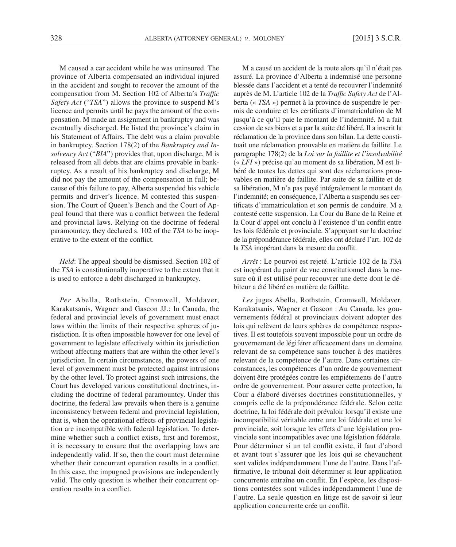M caused a car accident while he was uninsured. The province of Alberta compensated an individual injured in the accident and sought to recover the amount of the compensation from M. Section 102 of Alberta's *Traffic Safety Act* ("*TSA*") allows the province to suspend M's licence and permits until he pays the amount of the compensation. M made an assignment in bankruptcy and was eventually discharged. He listed the province's claim in his Statement of Affairs. The debt was a claim provable in bankruptcy. Section 178(2) of the *Bankruptcy and Insolvency Act* ("*BIA*") provides that, upon discharge, M is released from all debts that are claims provable in bankruptcy. As a result of his bankruptcy and discharge, M did not pay the amount of the compensation in full; because of this failure to pay, Alberta suspended his vehicle permits and driver's licence. M contested this suspension. The Court of Queen's Bench and the Court of Appeal found that there was a conflict between the federal and provincial laws. Relying on the doctrine of federal paramountcy, they declared s. 102 of the *TSA* to be inoperative to the extent of the conflict.

*Held*: The appeal should be dismissed. Section 102 of the *TSA* is constitutionally inoperative to the extent that it is used to enforce a debt discharged in bankruptcy.

*Per* Abella, Rothstein, Cromwell, Moldaver, Karakatsanis, Wagner and Gascon JJ.: In Canada, the federal and provincial levels of government must enact laws within the limits of their respective spheres of jurisdiction. It is often impossible however for one level of government to legislate effectively within its jurisdiction without affecting matters that are within the other level's jurisdiction. In certain circumstances, the powers of one level of government must be protected against intrusions by the other level. To protect against such intrusions, the Court has developed various constitutional doctrines, including the doctrine of federal paramountcy. Under this doctrine, the federal law prevails when there is a genuine inconsistency between federal and provincial legislation, that is, when the operational effects of provincial legislation are incompatible with federal legislation. To determine whether such a conflict exists, first and foremost, it is necessary to ensure that the overlapping laws are independently valid. If so, then the court must determine whether their concurrent operation results in a conflict. In this case, the impugned provisions are independently valid. The only question is whether their concurrent operation results in a conflict.

M a causé un accident de la route alors qu'il n'était pas assuré. La province d'Alberta a indemnisé une personne blessée dans l'accident et a tenté de recouvrer l'indemnité auprès de M. L'article 102 de la *Traffic Safety Act* de l'Alberta (« *TSA* ») permet à la province de suspendre le permis de conduire et les certificats d'immatriculation de M jusqu'à ce qu'il paie le montant de l'indemnité. M a fait cession de ses biens et a par la suite été libéré. Il a inscrit la réclamation de la province dans son bilan. La dette constituait une réclamation prouvable en matière de faillite. Le paragraphe 178(2) de la *Loi sur la faillite et l'insolvabilité*  (« *LFI* ») précise qu'au moment de sa libération, M est libéré de toutes les dettes qui sont des réclamations prouvables en matière de faillite. Par suite de sa faillite et de sa libération, M n'a pas payé intégralement le montant de l'indemnité; en conséquence, l'Alberta a suspendu ses certificats d'immatriculation et son permis de conduire. M a contesté cette suspension. La Cour du Banc de la Reine et la Cour d'appel ont conclu à l'existence d'un conflit entre les lois fédérale et provinciale. S'appuyant sur la doctrine de la prépondérance fédérale, elles ont déclaré l'art. 102 de la *TSA* inopérant dans la mesure du conflit.

*Arrêt* : Le pourvoi est rejeté. L'article 102 de la *TSA* est inopérant du point de vue constitutionnel dans la mesure où il est utilisé pour recouvrer une dette dont le débiteur a été libéré en matière de faillite.

*Les* juges Abella, Rothstein, Cromwell, Moldaver, Karakatsanis, Wagner et Gascon : Au Canada, les gouvernements fédéral et provinciaux doivent adopter des lois qui relèvent de leurs sphères de compétence respectives. Il est toutefois souvent impossible pour un ordre de gouvernement de légiférer efficacement dans un domaine relevant de sa compétence sans toucher à des matières relevant de la compétence de l'autre. Dans certaines circonstances, les compétences d'un ordre de gouvernement doivent être protégées contre les empiétements de l'autre ordre de gouvernement. Pour assurer cette protection, la Cour a élaboré diverses doctrines constitutionnelles, y compris celle de la prépondérance fédérale. Selon cette doctrine, la loi fédérale doit prévaloir lorsqu'il existe une incompatibilité véritable entre une loi fédérale et une loi provinciale, soit lorsque les effets d'une législation provinciale sont incompatibles avec une législation fédérale. Pour déterminer si un tel conflit existe, il faut d'abord et avant tout s'assurer que les lois qui se chevauchent sont valides indépendamment l'une de l'autre. Dans l'affirmative, le tribunal doit déterminer si leur application concurrente entraîne un conflit. En l'espèce, les dispositions contestées sont valides indépendamment l'une de l'autre. La seule question en litige est de savoir si leur application concurrente crée un conflit.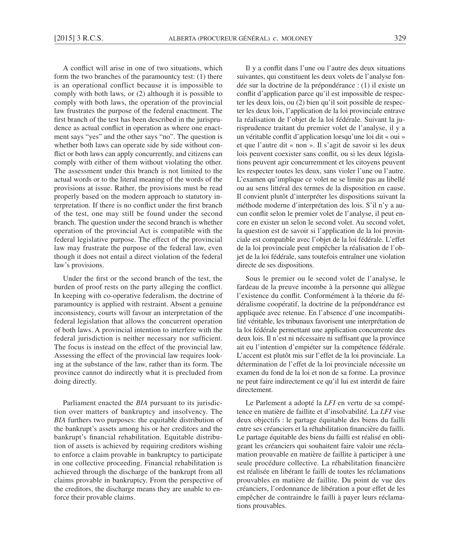A conflict will arise in one of two situations, which form the two branches of the paramountcy test: (1) there is an operational conflict because it is impossible to comply with both laws, or (2) although it is possible to comply with both laws, the operation of the provincial law frustrates the purpose of the federal enactment. The first branch of the test has been described in the jurisprudence as actual conflict in operation as where one enactment says "yes" and the other says "no". The question is whether both laws can operate side by side without conflict or both laws can apply concurrently, and citizens can comply with either of them without violating the other. The assessment under this branch is not limited to the actual words or to the literal meaning of the words of the provisions at issue. Rather, the provisions must be read properly based on the modern approach to statutory interpretation. If there is no conflict under the first branch of the test, one may still be found under the second branch. The question under the second branch is whether operation of the provincial Act is compatible with the federal legislative purpose. The effect of the provincial law may frustrate the purpose of the federal law, even though it does not entail a direct violation of the federal law's provisions.

Under the first or the second branch of the test, the burden of proof rests on the party alleging the conflict. In keeping with co-operative federalism, the doctrine of paramountcy is applied with restraint. Absent a genuine inconsistency, courts will favour an interpretation of the federal legislation that allows the concurrent operation of both laws. A provincial intention to interfere with the federal jurisdiction is neither necessary nor sufficient. The focus is instead on the effect of the provincial law. Assessing the effect of the provincial law requires looking at the substance of the law, rather than its form. The province cannot do indirectly what it is precluded from doing directly.

Parliament enacted the *BIA* pursuant to its jurisdiction over matters of bankruptcy and insolvency. The *BIA* furthers two purposes: the equitable distribution of the bankrupt's assets among his or her creditors and the bankrupt's financial rehabilitation. Equitable distribution of assets is achieved by requiring creditors wishing to enforce a claim provable in bankruptcy to participate in one collective proceeding. Financial rehabilitation is achieved through the discharge of the bankrupt from all claims provable in bankruptcy. From the perspective of the creditors, the discharge means they are unable to enforce their provable claims.

Il y a conflit dans l'une ou l'autre des deux situations suivantes, qui constituent les deux volets de l'analyse fondée sur la doctrine de la prépondérance : (1) il existe un conflit d'application parce qu'il est impossible de respecter les deux lois, ou (2) bien qu'il soit possible de respecter les deux lois, l'application de la loi provinciale entrave la réalisation de l'objet de la loi fédérale. Suivant la jurisprudence traitant du premier volet de l'analyse, il y a un véritable conflit d'application lorsqu'une loi dit « oui » et que l'autre dit « non ». Il s'agit de savoir si les deux lois peuvent coexister sans conflit, ou si les deux législations peuvent agir concurremment et les citoyens peuvent les respecter toutes les deux, sans violer l'une ou l'autre. L'examen qu'implique ce volet ne se limite pas au libellé ou au sens littéral des termes de la disposition en cause. Il convient plutôt d'interpréter les dispositions suivant la méthode moderne d'interprétation des lois. S'il n'y a aucun conflit selon le premier volet de l'analyse, il peut encore en exister un selon le second volet. Au second volet, la question est de savoir si l'application de la loi provinciale est compatible avec l'objet de la loi fédérale. L'effet de la loi provinciale peut empêcher la réalisation de l'objet de la loi fédérale, sans toutefois entraîner une violation directe de ses dispositions.

Sous le premier ou le second volet de l'analyse, le fardeau de la preuve incombe à la personne qui allègue l'existence du conflit. Conformément à la théorie du fédéralisme coopératif, la doctrine de la prépondérance est appliquée avec retenue. En l'absence d'une incompatibilité véritable, les tribunaux favorisent une interprétation de la loi fédérale permettant une application concurrente des deux lois. Il n'est ni nécessaire ni suffisant que la province ait eu l'intention d'empiéter sur la compétence fédérale. L'accent est plutôt mis sur l'effet de la loi provinciale. La détermination de l'effet de la loi provinciale nécessite un examen du fond de la loi et non de sa forme. La province ne peut faire indirectement ce qu'il lui est interdit de faire directement.

Le Parlement a adopté la *LFI* en vertu de sa compétence en matière de faillite et d'insolvabilité. La *LFI* vise deux objectifs : le partage équitable des biens du failli entre ses créanciers et la réhabilitation financière du failli. Le partage équitable des biens du failli est réalisé en obligeant les créanciers qui souhaitent faire valoir une réclamation prouvable en matière de faillite à participer à une seule procédure collective. La réhabilitation financière est réalisée en libérant le failli de toutes les réclamations prouvables en matière de faillite. Du point de vue des créanciers, l'ordonnance de libération a pour effet de les empêcher de contraindre le failli à payer leurs réclamations prouvables.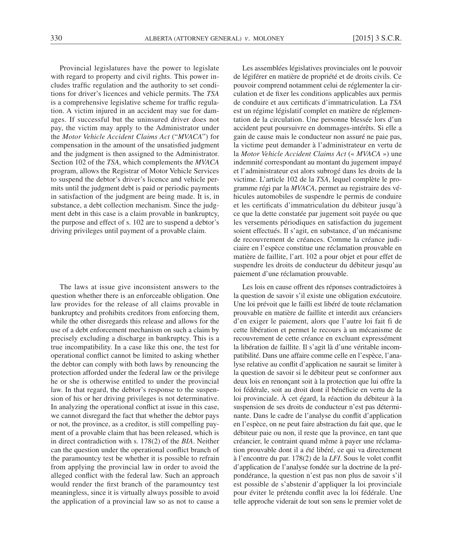Provincial legislatures have the power to legislate with regard to property and civil rights. This power includes traffic regulation and the authority to set conditions for driver's licences and vehicle permits. The *TSA* is a comprehensive legislative scheme for traffic regulation. A victim injured in an accident may sue for damages. If successful but the uninsured driver does not pay, the victim may apply to the Administrator under the *Motor Vehicle Accident Claims Act* ("*MVACA*") for compensation in the amount of the unsatisfied judgment and the judgment is then assigned to the Administrator. Section 102 of the *TSA*, which complements the *MVACA* program, allows the Registrar of Motor Vehicle Services to suspend the debtor's driver's licence and vehicle permits until the judgment debt is paid or periodic payments in satisfaction of the judgment are being made. It is, in substance, a debt collection mechanism. Since the judgment debt in this case is a claim provable in bankruptcy, the purpose and effect of s. 102 are to suspend a debtor's driving privileges until payment of a provable claim.

The laws at issue give inconsistent answers to the question whether there is an enforceable obligation. One law provides for the release of all claims provable in bankruptcy and prohibits creditors from enforcing them, while the other disregards this release and allows for the use of a debt enforcement mechanism on such a claim by precisely excluding a discharge in bankruptcy. This is a true incompatibility. In a case like this one, the test for operational conflict cannot be limited to asking whether the debtor can comply with both laws by renouncing the protection afforded under the federal law or the privilege he or she is otherwise entitled to under the provincial law. In that regard, the debtor's response to the suspension of his or her driving privileges is not determinative. In analyzing the operational conflict at issue in this case, we cannot disregard the fact that whether the debtor pays or not, the province, as a creditor, is still compelling payment of a provable claim that has been released, which is in direct contradiction with s. 178(2) of the *BIA*. Neither can the question under the operational conflict branch of the paramountcy test be whether it is possible to refrain from applying the provincial law in order to avoid the alleged conflict with the federal law. Such an approach would render the first branch of the paramountcy test meaningless, since it is virtually always possible to avoid the application of a provincial law so as not to cause a

Les assemblées législatives provinciales ont le pouvoir de légiférer en matière de propriété et de droits civils. Ce pouvoir comprend notamment celui de réglementer la circulation et de fixer les conditions applicables aux permis de conduire et aux certificats d'immatriculation. La *TSA* est un régime législatif complet en matière de réglementation de la circulation. Une personne blessée lors d'un accident peut poursuivre en dommages-intérêts. Si elle a gain de cause mais le conducteur non assuré ne paie pas, la victime peut demander à l'administrateur en vertu de la *Motor Vehicle Accident Claims Act* (« *MVACA* ») une indemnité correspondant au montant du jugement impayé et l'administrateur est alors subrogé dans les droits de la victime. L'article 102 de la *TSA*, lequel complète le programme régi par la *MVACA*, permet au registraire des véhicules automobiles de suspendre le permis de conduire et les certificats d'immatriculation du débiteur jusqu'à ce que la dette constatée par jugement soit payée ou que les versements périodiques en satisfaction du jugement soient effectués. Il s'agit, en substance, d'un mécanisme de recouvrement de créances. Comme la créance judiciaire en l'espèce constitue une réclamation prouvable en matière de faillite, l'art. 102 a pour objet et pour effet de suspendre les droits de conducteur du débiteur jusqu'au paiement d'une réclamation prouvable.

Les lois en cause offrent des réponses contradictoires à la question de savoir s'il existe une obligation exécutoire. Une loi prévoit que le failli est libéré de toute réclamation prouvable en matière de faillite et interdit aux créanciers d'en exiger le paiement, alors que l'autre loi fait fi de cette libération et permet le recours à un mécanisme de recouvrement de cette créance en excluant expressément la libération de faillite. Il s'agit là d'une véritable incompatibilité. Dans une affaire comme celle en l'espèce, l'analyse relative au conflit d'application ne saurait se limiter à la question de savoir si le débiteur peut se conformer aux deux lois en renonçant soit à la protection que lui offre la loi fédérale, soit au droit dont il bénéficie en vertu de la loi provinciale. À cet égard, la réaction du débiteur à la suspension de ses droits de conducteur n'est pas déterminante. Dans le cadre de l'analyse du conflit d'application en l'espèce, on ne peut faire abstraction du fait que, que le débiteur paie ou non, il reste que la province, en tant que créancier, le contraint quand même à payer une réclamation prouvable dont il a été libéré, ce qui va directement à l'encontre du par. 178(2) de la *LFI*. Sous le volet conflit d'application de l'analyse fondée sur la doctrine de la prépondérance, la question n'est pas non plus de savoir s'il est possible de s'abstenir d'appliquer la loi provinciale pour éviter le prétendu conflit avec la loi fédérale. Une telle approche viderait de tout son sens le premier volet de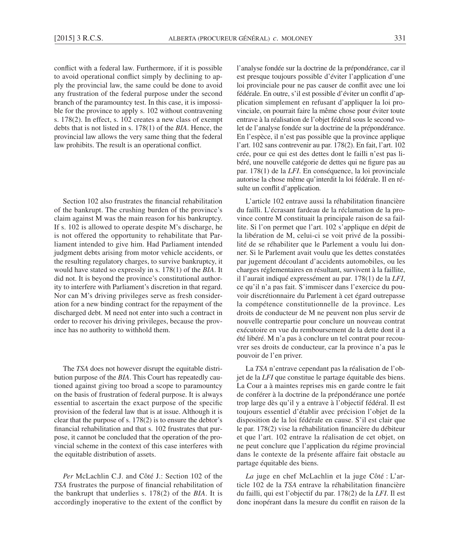conflict with a federal law. Furthermore, if it is possible to avoid operational conflict simply by declining to apply the provincial law, the same could be done to avoid any frustration of the federal purpose under the second branch of the paramountcy test. In this case, it is impossible for the province to apply s. 102 without contravening s. 178(2). In effect, s. 102 creates a new class of exempt debts that is not listed in s. 178(1) of the *BIA*. Hence, the provincial law allows the very same thing that the federal law prohibits. The result is an operational conflict.

Section 102 also frustrates the financial rehabilitation of the bankrupt. The crushing burden of the province's claim against M was the main reason for his bankruptcy. If s. 102 is allowed to operate despite M's discharge, he is not offered the opportunity to rehabilitate that Parliament intended to give him. Had Parliament intended judgment debts arising from motor vehicle accidents, or the resulting regulatory charges, to survive bankruptcy, it would have stated so expressly in s. 178(1) of the *BIA*. It did not. It is beyond the province's constitutional authority to interfere with Parliament's discretion in that regard. Nor can M's driving privileges serve as fresh consideration for a new binding contract for the repayment of the discharged debt. M need not enter into such a contract in order to recover his driving privileges, because the province has no authority to withhold them.

The *TSA* does not however disrupt the equitable distribution purpose of the *BIA*. This Court has repeatedly cautioned against giving too broad a scope to paramountcy on the basis of frustration of federal purpose. It is always essential to ascertain the exact purpose of the specific provision of the federal law that is at issue. Although it is clear that the purpose of s. 178(2) is to ensure the debtor's financial rehabilitation and that s. 102 frustrates that purpose, it cannot be concluded that the operation of the provincial scheme in the context of this case interferes with the equitable distribution of assets.

*Per* McLachlin C.J. and Côté J.: Section 102 of the *TSA* frustrates the purpose of financial rehabilitation of the bankrupt that underlies s. 178(2) of the *BIA*. It is accordingly inoperative to the extent of the conflict by l'analyse fondée sur la doctrine de la prépondérance, car il est presque toujours possible d'éviter l'application d'une loi provinciale pour ne pas causer de conflit avec une loi fédérale. En outre, s'il est possible d'éviter un conflit d'application simplement en refusant d'appliquer la loi provinciale, on pourrait faire la même chose pour éviter toute entrave à la réalisation de l'objet fédéral sous le second volet de l'analyse fondée sur la doctrine de la prépondérance. En l'espèce, il n'est pas possible que la province applique l'art. 102 sans contrevenir au par. 178(2). En fait, l'art. 102 crée, pour ce qui est des dettes dont le failli n'est pas libéré, une nouvelle catégorie de dettes qui ne figure pas au par. 178(1) de la *LFI*. En conséquence, la loi provinciale autorise la chose même qu'interdit la loi fédérale. Il en résulte un conflit d'application.

L'article 102 entrave aussi la réhabilitation financière du failli. L'écrasant fardeau de la réclamation de la province contre M constituait la principale raison de sa faillite. Si l'on permet que l'art. 102 s'applique en dépit de la libération de M, celui-ci se voit privé de la possibilité de se réhabiliter que le Parlement a voulu lui donner. Si le Parlement avait voulu que les dettes constatées par jugement découlant d'accidents automobiles, ou les charges réglementaires en résultant, survivent à la faillite, il l'aurait indiqué expressément au par. 178(1) de la *LFI*, ce qu'il n'a pas fait. S'immiscer dans l'exercice du pouvoir discrétionnaire du Parlement à cet égard outrepasse la compétence constitutionnelle de la province. Les droits de conducteur de M ne peuvent non plus servir de nouvelle contrepartie pour conclure un nouveau contrat exécutoire en vue du remboursement de la dette dont il a été libéré. M n'a pas à conclure un tel contrat pour recouvrer ses droits de conducteur, car la province n'a pas le pouvoir de l'en priver.

La *TSA* n'entrave cependant pas la réalisation de l'objet de la *LFI* que constitue le partage équitable des biens. La Cour a à maintes reprises mis en garde contre le fait de conférer à la doctrine de la prépondérance une portée trop large dès qu'il y a entrave à l'objectif fédéral. Il est toujours essentiel d'établir avec précision l'objet de la disposition de la loi fédérale en cause. S'il est clair que le par. 178(2) vise la réhabilitation financière du débiteur et que l'art. 102 entrave la réalisation de cet objet, on ne peut conclure que l'application du régime provincial dans le contexte de la présente affaire fait obstacle au partage équitable des biens.

*La* juge en chef McLachlin et la juge Côté : L'article 102 de la *TSA* entrave la réhabilitation financière du failli, qui est l'objectif du par. 178(2) de la *LFI*. Il est donc inopérant dans la mesure du conflit en raison de la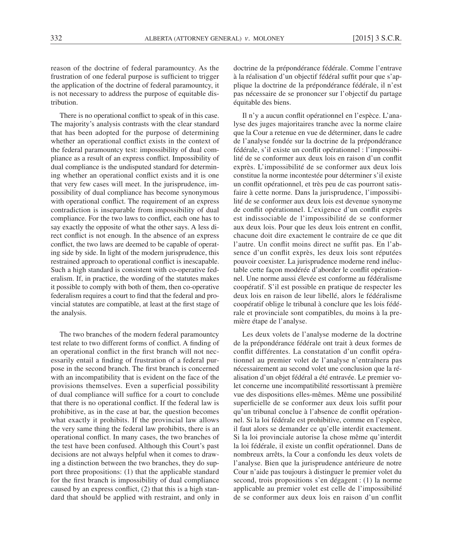reason of the doctrine of federal paramountcy. As the frustration of one federal purpose is sufficient to trigger the application of the doctrine of federal paramountcy, it is not necessary to address the purpose of equitable distribution.

There is no operational conflict to speak of in this case. The majority's analysis contrasts with the clear standard that has been adopted for the purpose of determining whether an operational conflict exists in the context of the federal paramountcy test: impossibility of dual compliance as a result of an express conflict. Impossibility of dual compliance is the undisputed standard for determining whether an operational conflict exists and it is one that very few cases will meet. In the jurisprudence, impossibility of dual compliance has become synonymous with operational conflict. The requirement of an express contradiction is inseparable from impossibility of dual compliance. For the two laws to conflict, each one has to say exactly the opposite of what the other says. A less direct conflict is not enough. In the absence of an express conflict, the two laws are deemed to be capable of operating side by side. In light of the modern jurisprudence, this restrained approach to operational conflict is inescapable. Such a high standard is consistent with co-operative federalism. If, in practice, the wording of the statutes makes it possible to comply with both of them, then co-operative federalism requires a court to find that the federal and provincial statutes are compatible, at least at the first stage of the analysis.

The two branches of the modern federal paramountcy test relate to two different forms of conflict. A finding of an operational conflict in the first branch will not necessarily entail a finding of frustration of a federal purpose in the second branch. The first branch is concerned with an incompatibility that is evident on the face of the provisions themselves. Even a superficial possibility of dual compliance will suffice for a court to conclude that there is no operational conflict. If the federal law is prohibitive, as in the case at bar, the question becomes what exactly it prohibits. If the provincial law allows the very same thing the federal law prohibits, there is an operational conflict. In many cases, the two branches of the test have been confused. Although this Court's past decisions are not always helpful when it comes to drawing a distinction between the two branches, they do support three propositions: (1) that the applicable standard for the first branch is impossibility of dual compliance caused by an express conflict, (2) that this is a high standard that should be applied with restraint, and only in

doctrine de la prépondérance fédérale. Comme l'entrave à la réalisation d'un objectif fédéral suffit pour que s'applique la doctrine de la prépondérance fédérale, il n'est pas nécessaire de se prononcer sur l'objectif du partage équitable des biens.

Il n'y a aucun conflit opérationnel en l'espèce. L'analyse des juges majoritaires tranche avec la norme claire que la Cour a retenue en vue de déterminer, dans le cadre de l'analyse fondée sur la doctrine de la prépondérance fédérale, s'il existe un conflit opérationnel : l'impossibilité de se conformer aux deux lois en raison d'un conflit exprès. L'impossibilité de se conformer aux deux lois constitue la norme incontestée pour déterminer s'il existe un conflit opérationnel, et très peu de cas pourront satisfaire à cette norme. Dans la jurisprudence, l'impossibilité de se conformer aux deux lois est devenue synonyme de conflit opérationnel. L'exigence d'un conflit exprès est indissociable de l'impossibilité de se conformer aux deux lois. Pour que les deux lois entrent en conflit, chacune doit dire exactement le contraire de ce que dit l'autre. Un conflit moins direct ne suffit pas. En l'absence d'un conflit exprès, les deux lois sont réputées pouvoir coexister. La jurisprudence moderne rend inéluctable cette façon modérée d'aborder le conflit opérationnel. Une norme aussi élevée est conforme au fédéralisme coopératif. S'il est possible en pratique de respecter les deux lois en raison de leur libellé, alors le fédéralisme coopératif oblige le tribunal à conclure que les lois fédérale et provinciale sont compatibles, du moins à la première étape de l'analyse.

Les deux volets de l'analyse moderne de la doctrine de la prépondérance fédérale ont trait à deux formes de conflit différentes. La constatation d'un conflit opérationnel au premier volet de l'analyse n'entraînera pas nécessairement au second volet une conclusion que la réalisation d'un objet fédéral a été entravée. Le premier volet concerne une incompatibilité ressortissant à première vue des dispositions elles-mêmes. Même une possibilité superficielle de se conformer aux deux lois suffit pour qu'un tribunal conclue à l'absence de conflit opérationnel. Si la loi fédérale est prohibitive, comme en l'espèce, il faut alors se demander ce qu'elle interdit exactement. Si la loi provinciale autorise la chose même qu'interdit la loi fédérale, il existe un conflit opérationnel. Dans de nombreux arrêts, la Cour a confondu les deux volets de l'analyse. Bien que la jurisprudence antérieure de notre Cour n'aide pas toujours à distinguer le premier volet du second, trois propositions s'en dégagent : (1) la norme applicable au premier volet est celle de l'impossibilité de se conformer aux deux lois en raison d'un conflit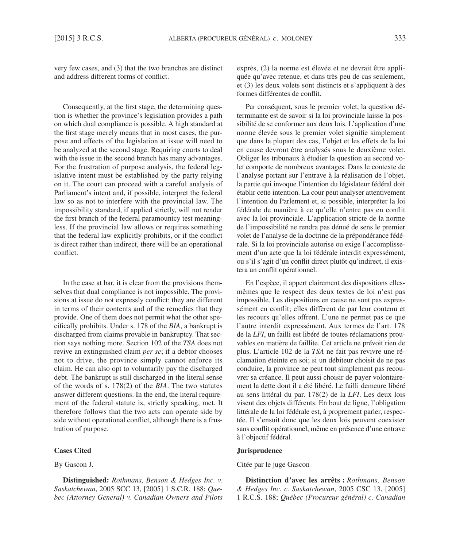very few cases, and (3) that the two branches are distinct and address different forms of conflict.

Consequently, at the first stage, the determining question is whether the province's legislation provides a path on which dual compliance is possible. A high standard at the first stage merely means that in most cases, the purpose and effects of the legislation at issue will need to be analyzed at the second stage. Requiring courts to deal with the issue in the second branch has many advantages. For the frustration of purpose analysis, the federal legislative intent must be established by the party relying on it. The court can proceed with a careful analysis of Parliament's intent and, if possible, interpret the federal law so as not to interfere with the provincial law. The impossibility standard, if applied strictly, will not render the first branch of the federal paramountcy test meaningless. If the provincial law allows or requires something that the federal law explicitly prohibits, or if the conflict is direct rather than indirect, there will be an operational conflict.

In the case at bar, it is clear from the provisions themselves that dual compliance is not impossible. The provisions at issue do not expressly conflict; they are different in terms of their contents and of the remedies that they provide. One of them does not permit what the other specifically prohibits. Under s. 178 of the *BIA*, a bankrupt is discharged from claims provable in bankruptcy. That section says nothing more. Section 102 of the *TSA* does not revive an extinguished claim *per se*; if a debtor chooses not to drive, the province simply cannot enforce its claim. He can also opt to voluntarily pay the discharged debt. The bankrupt is still discharged in the literal sense of the words of s. 178(2) of the *BIA*. The two statutes answer different questions. In the end, the literal requirement of the federal statute is, strictly speaking, met. It therefore follows that the two acts can operate side by side without operational conflict, although there is a frustration of purpose.

### **Cases Cited**

#### By Gascon J.

**Distinguished:** *Rothmans, Benson & Hedges Inc. v. Saskatchewan*, 2005 SCC 13, [2005] 1 S.C.R. 188; *Quebec (Attorney General) v. Canadian Owners and Pilots*  exprès, (2) la norme est élevée et ne devrait être appliquée qu'avec retenue, et dans très peu de cas seulement, et (3) les deux volets sont distincts et s'appliquent à des formes différentes de conflit.

Par conséquent, sous le premier volet, la question déterminante est de savoir si la loi provinciale laisse la possibilité de se conformer aux deux lois. L'application d'une norme élevée sous le premier volet signifie simplement que dans la plupart des cas, l'objet et les effets de la loi en cause devront être analysés sous le deuxième volet. Obliger les tribunaux à étudier la question au second volet comporte de nombreux avantages. Dans le contexte de l'analyse portant sur l'entrave à la réalisation de l'objet, la partie qui invoque l'intention du législateur fédéral doit établir cette intention. La cour peut analyser attentivement l'intention du Parlement et, si possible, interpréter la loi fédérale de manière à ce qu'elle n'entre pas en conflit avec la loi provinciale. L'application stricte de la norme de l'impossibilité ne rendra pas dénué de sens le premier volet de l'analyse de la doctrine de la prépondérance fédérale. Si la loi provinciale autorise ou exige l'accomplissement d'un acte que la loi fédérale interdit expressément, ou s'il s'agit d'un conflit direct plutôt qu'indirect, il existera un conflit opérationnel.

En l'espèce, il appert clairement des dispositions ellesmêmes que le respect des deux textes de loi n'est pas impossible. Les dispositions en cause ne sont pas expressément en conflit; elles diffèrent de par leur contenu et les recours qu'elles offrent. L'une ne permet pas ce que l'autre interdit expressément. Aux termes de l'art. 178 de la *LFI*, un failli est libéré de toutes réclamations prouvables en matière de faillite. Cet article ne prévoit rien de plus. L'article 102 de la *TSA* ne fait pas revivre une réclamation éteinte en soi; si un débiteur choisit de ne pas conduire, la province ne peut tout simplement pas recouvrer sa créance. Il peut aussi choisir de payer volontairement la dette dont il a été libéré. Le failli demeure libéré au sens littéral du par. 178(2) de la *LFI*. Les deux lois visent des objets différents. En bout de ligne, l'obligation littérale de la loi fédérale est, à proprement parler, respectée. Il s'ensuit donc que les deux lois peuvent coexister sans conflit opérationnel, même en présence d'une entrave à l'objectif fédéral.

#### **Jurisprudence**

Citée par le juge Gascon

**Distinction d'avec les arrêts :** *Rothmans, Benson & Hedges Inc. c. Saskatchewan*, 2005 CSC 13, [2005] 1 R.C.S. 188; *Québec (Procureur général) c. Canadian*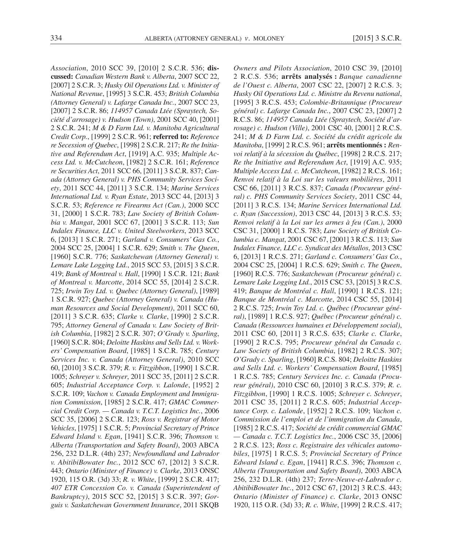*Association*, 2010 SCC 39, [2010] 2 S.C.R. 536; **discussed:** *Canadian Western Bank v. Alberta*, 2007 SCC 22, [2007] 2 S.C.R. 3; *Husky Oil Operations Ltd. v. Minister of National Revenue*, [1995] 3 S.C.R. 453; *British Columbia (Attorney General) v. Lafarge Canada Inc.*, 2007 SCC 23, [2007] 2 S.C.R. 86; *114957 Canada Ltée (Spraytech, Société d'arrosage) v. Hudson (Town)*, 2001 SCC 40, [2001] 2 S.C.R. 241; *M & D Farm Ltd. v. Manitoba Agricultural Credit Corp.*, [1999] 2 S.C.R. 961; **referred to:** *Reference re Secession of Quebec*, [1998] 2 S.C.R. 217; *Re the Initiative and Referendum Act*, [1919] A.C. 935; *Multiple Access Ltd. v. McCutcheon*, [1982] 2 S.C.R. 161; *Reference re Securities Act*, 2011 SCC 66, [2011] 3 S.C.R. 837; *Canada (Attorney General) v. PHS Community Services Society*, 2011 SCC 44, [2011] 3 S.C.R. 134; *Marine Services International Ltd. v. Ryan Estate*, 2013 SCC 44, [2013] 3 S.C.R. 53; *Reference re Firearms Act (Can.)*, 2000 SCC 31, [2000] 1 S.C.R. 783; *Law Society of British Columbia v. Mangat*, 2001 SCC 67, [2001] 3 S.C.R. 113; *Sun Indalex Finance, LLC v. United Steelworkers*, 2013 SCC 6, [2013] 1 S.C.R. 271; *Garland v. Consumers' Gas Co.*, 2004 SCC 25, [2004] 1 S.C.R. 629; *Smith v. The Queen*, [1960] S.C.R. 776; *Saskatchewan (Attorney General) v. Lemare Lake Logging Ltd.*, 2015 SCC 53, [2015] 3 S.C.R. 419; *Bank of Montreal v. Hall*, [1990] 1 S.C.R. 121; *Bank of Montreal v. Marcotte*, 2014 SCC 55, [2014] 2 S.C.R. 725; *Irwin Toy Ltd. v. Quebec (Attorney General)*, [1989] 1 S.C.R. 927; *Quebec (Attorney General) v. Canada (Human Resources and Social Development)*, 2011 SCC 60, [2011] 3 S.C.R. 635; *Clarke v. Clarke*, [1990] 2 S.C.R. 795; *Attorney General of Canada v. Law Society of British Columbia*, [1982] 2 S.C.R. 307; *O'Grady v. Sparling*, [1960] S.C.R. 804; *Deloitte Haskins and Sells Ltd. v. Workers' Compensation Board*, [1985] 1 S.C.R. 785; *Century Services Inc. v. Canada (Attorney General)*, 2010 SCC 60, [2010] 3 S.C.R. 379; *R. v. Fitzgibbon*, [1990] 1 S.C.R. 1005; *Schreyer v. Schreyer*, 2011 SCC 35, [2011] 2 S.C.R. 605; *Industrial Acceptance Corp. v. Lalonde*, [1952] 2 S.C.R. 109; *Vachon v. Canada Employment and Immigration Commission*, [1985] 2 S.C.R. 417; *GMAC Commercial Credit Corp. — Canada v. T.C.T. Logistics Inc.*, 2006 SCC 35, [2006] 2 S.C.R. 123; *Ross v. Registrar of Motor Vehicles*, [1975] 1 S.C.R. 5; *Provincial Secretary of Prince Edward Island v. Egan*, [1941] S.C.R. 396; *Thomson v. Alberta (Transportation and Safety Board)*, 2003 ABCA 256, 232 D.L.R. (4th) 237; *Newfoundland and Labrador v. AbitibiBowater Inc.*, 2012 SCC 67, [2012] 3 S.C.R. 443; *Ontario (Minister of Finance) v. Clarke*, 2013 ONSC 1920, 115 O.R. (3d) 33; *R. v. White*, [1999] 2 S.C.R. 417; *407 ETR Concession Co. v. Canada (Superintendent of Bankruptcy)*, 2015 SCC 52, [2015] 3 S.C.R. 397; *Gorguis v. Saskatchewan Government Insurance*, 2011 SKQB

*Owners and Pilots Association*, 2010 CSC 39, [2010] 2 R.C.S. 536; **arrêts analysés :** *Banque canadienne de l'Ouest c. Alberta*, 2007 CSC 22, [2007] 2 R.C.S. 3; *Husky Oil Operations Ltd. c. Ministre du Revenu national*, [1995] 3 R.C.S. 453; *Colombie-Britannique (Procureur général) c. Lafarge Canada Inc.*, 2007 CSC 23, [2007] 2 R.C.S. 86; *114957 Canada Ltée (Spraytech, Société d'arrosage) c. Hudson (Ville)*, 2001 CSC 40, [2001] 2 R.C.S. 241; *M & D Farm Ltd. c. Société du crédit agricole du Manitoba*, [1999] 2 R.C.S. 961; **arrêts mentionnés :** *Renvoi relatif à la sécession du Québec*, [1998] 2 R.C.S. 217; *Re the Initiative and Referendum Act*, [1919] A.C. 935; *Multiple Access Ltd. c. McCutcheon*, [1982] 2 R.C.S. 161; *Renvoi relatif à la Loi sur les valeurs mobilières*, 2011 CSC 66, [2011] 3 R.C.S. 837; *Canada (Procureur général) c. PHS Community Services Society*, 2011 CSC 44, [2011] 3 R.C.S. 134; *Marine Services International Ltd. c. Ryan (Succession)*, 2013 CSC 44, [2013] 3 R.C.S. 53; *Renvoi relatif à la Loi sur les armes à feu (Can.)*, 2000 CSC 31, [2000] 1 R.C.S. 783; *Law Society of British Columbia c. Mangat*, 2001 CSC 67, [2001] 3 R.C.S. 113; *Sun Indalex Finance, LLC c. Syndicat des Métallos*, 2013 CSC 6, [2013] 1 R.C.S. 271; *Garland c. Consumers' Gas Co.*, 2004 CSC 25, [2004] 1 R.C.S. 629; *Smith c. The Queen*, [1960] R.C.S. 776; *Saskatchewan (Procureur général) c. Lemare Lake Logging Ltd.*, 2015 CSC 53, [2015] 3 R.C.S. 419; *Banque de Montréal c. Hall*, [1990] 1 R.C.S. 121; *Banque de Montréal c. Marcotte*, 2014 CSC 55, [2014] 2 R.C.S. 725; *Irwin Toy Ltd. c. Québec (Procureur général)*, [1989] 1 R.C.S. 927; *Québec (Procureur général) c. Canada (Ressources humaines et Développement social)*, 2011 CSC 60, [2011] 3 R.C.S. 635; *Clarke c. Clarke*, [1990] 2 R.C.S. 795; *Procureur général du Canada c. Law Society of British Columbia*, [1982] 2 R.C.S. 307; *O'Grady c. Sparling*, [1960] R.C.S. 804; *Deloitte Haskins and Sells Ltd. c. Workers' Compensation Board*, [1985] 1 R.C.S. 785; *Century Services Inc. c. Canada (Procureur général)*, 2010 CSC 60, [2010] 3 R.C.S. 379; *R. c. Fitzgibbon*, [1990] 1 R.C.S. 1005; *Schreyer c. Schreyer*, 2011 CSC 35, [2011] 2 R.C.S. 605; *Industrial Acceptance Corp. c. Lalonde*, [1952] 2 R.C.S. 109; *Vachon c. Commission de l'emploi et de l'immigration du Canada*, [1985] 2 R.C.S. 417; *Société de crédit commercial GMAC — Canada c. T.C.T. Logistics Inc.*, 2006 CSC 35, [2006] 2 R.C.S. 123; *Ross c. Registraire des véhicules automobiles*, [1975] 1 R.C.S. 5; *Provincial Secretary of Prince Edward Island c. Egan*, [1941] R.C.S. 396; *Thomson c. Alberta (Transportation and Safety Board)*, 2003 ABCA 256, 232 D.L.R. (4th) 237; *Terre-Neuve-et-Labrador c. AbitibiBowater Inc.*, 2012 CSC 67, [2012] 3 R.C.S. 443; *Ontario (Minister of Finance) c. Clarke*, 2013 ONSC 1920, 115 O.R. (3d) 33; *R. c. White*, [1999] 2 R.C.S. 417;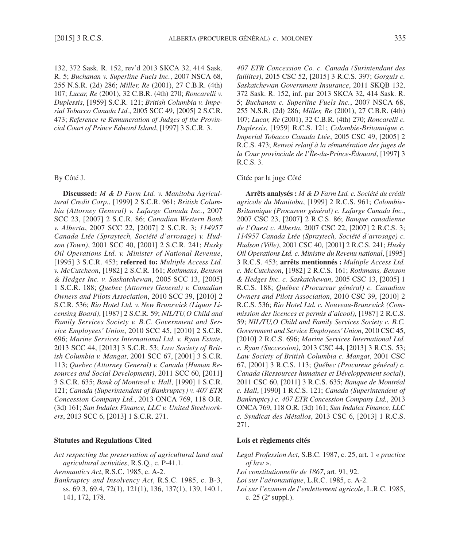132, 372 Sask. R. 152, rev'd 2013 SKCA 32, 414 Sask. R. 5; *Buchanan v. Superline Fuels Inc.*, 2007 NSCA 68, 255 N.S.R. (2d) 286; *Miller, Re* (2001), 27 C.B.R. (4th) 107; *Lucar, Re* (2001), 32 C.B.R. (4th) 270; *Roncarelli v. Duplessis*, [1959] S.C.R. 121; *British Columbia v. Imperial Tobacco Canada Ltd.*, 2005 SCC 49, [2005] 2 S.C.R. 473; *Reference re Remuneration of Judges of the Provincial Court of Prince Edward Island*, [1997] 3 S.C.R. 3.

#### By Côté J.

**Discussed:** *M & D Farm Ltd. v. Manitoba Agricultural Credit Corp.*, [1999] 2 S.C.R. 961; *British Columbia (Attorney General) v. Lafarge Canada Inc.*, 2007 SCC 23, [2007] 2 S.C.R. 86; *Canadian Western Bank v. Alberta*, 2007 SCC 22, [2007] 2 S.C.R. 3; *114957 Canada Ltée (Spraytech, Société d'arrosage) v. Hudson (Town)*, 2001 SCC 40, [2001] 2 S.C.R. 241; *Husky Oil Operations Ltd. v. Minister of National Revenue*, [1995] 3 S.C.R. 453; **referred to:** *Multiple Access Ltd. v. McCutcheon*, [1982] 2 S.C.R. 161; *Rothmans, Benson & Hedges Inc. v. Saskatchewan*, 2005 SCC 13, [2005] 1 S.C.R. 188; *Quebec (Attorney General) v. Canadian Owners and Pilots Association*, 2010 SCC 39, [2010] 2 S.C.R. 536; *Rio Hotel Ltd. v. New Brunswick (Liquor Licensing Board)*, [1987] 2 S.C.R. 59; *NIL/TU,O Child and Family Services Society v. B.C. Government and Service Employees' Union*, 2010 SCC 45, [2010] 2 S.C.R. 696; *Marine Services International Ltd. v. Ryan Estate*, 2013 SCC 44, [2013] 3 S.C.R. 53; *Law Society of British Columbia v. Mangat*, 2001 SCC 67, [2001] 3 S.C.R. 113; *Quebec (Attorney General) v. Canada (Human Resources and Social Development)*, 2011 SCC 60, [2011] 3 S.C.R. 635; *Bank of Montreal v. Hall*, [1990] 1 S.C.R. 121; *Canada (Superintendent of Bankruptcy) v. 407 ETR Concession Company Ltd.*, 2013 ONCA 769, 118 O.R. (3d) 161; *Sun Indalex Finance, LLC v. United Steelworkers*, 2013 SCC 6, [2013] 1 S.C.R. 271.

#### **Statutes and Regulations Cited**

- *Act respecting the preservation of agricultural land and agricultural activities*, R.S.Q., c. P-41.1.
- *Aeronautics Act*, R.S.C. 1985, c. A-2.
- *Bankruptcy and Insolvency Act*, R.S.C. 1985, c. B-3, ss. 69.3, 69.4, 72(1), 121(1), 136, 137(1), 139, 140.1, 141, 172, 178.

*407 ETR Concession Co. c. Canada (Surintendant des faillites)*, 2015 CSC 52, [2015] 3 R.C.S. 397; *Gorguis c. Saskatchewan Government Insurance*, 2011 SKQB 132, 372 Sask. R. 152, inf. par 2013 SKCA 32, 414 Sask. R. 5; *Buchanan c. Superline Fuels Inc.*, 2007 NSCA 68, 255 N.S.R. (2d) 286; *Miller, Re* (2001), 27 C.B.R. (4th) 107; *Lucar, Re* (2001), 32 C.B.R. (4th) 270; *Roncarelli c. Duplessis*, [1959] R.C.S. 121; *Colombie-Britannique c. Imperial Tobacco Canada Ltée*, 2005 CSC 49, [2005] 2 R.C.S. 473; *Renvoi relatif à la rémunération des juges de la Cour provinciale de l'Île-du-Prince-Édouard*, [1997] 3 R.C.S. 3.

#### Citée par la juge Côté

**Arrêts analysés :** *M & D Farm Ltd. c. Société du crédit agricole du Manitoba*, [1999] 2 R.C.S. 961; *Colombie-Britannique (Procureur général) c. Lafarge Canada Inc.*, 2007 CSC 23, [2007] 2 R.C.S. 86; *Banque canadienne de l'Ouest c. Alberta*, 2007 CSC 22, [2007] 2 R.C.S. 3; *114957 Canada Ltée (Spraytech, Société d'arrosage) c. Hudson (Ville)*, 2001 CSC 40, [2001] 2 R.C.S. 241; *Husky Oil Operations Ltd. c. Ministre du Revenu national*, [1995] 3 R.C.S. 453; **arrêts mentionnés :** *Multiple Access Ltd. c. McCutcheon*, [1982] 2 R.C.S. 161; *Rothmans, Benson & Hedges Inc. c. Saskatchewan*, 2005 CSC 13, [2005] 1 R.C.S. 188; *Québec (Procureur général) c. Canadian Owners and Pilots Association*, 2010 CSC 39, [2010] 2 R.C.S. 536; *Rio Hotel Ltd. c. Nouveau-Brunswick (Commission des licences et permis d'alcool)*, [1987] 2 R.C.S. 59; *NIL/TU,O Child and Family Services Society c. B.C. Government and Service Employees' Union*, 2010 CSC 45, [2010] 2 R.C.S. 696; *Marine Services International Ltd. c. Ryan (Succession)*, 2013 CSC 44, [2013] 3 R.C.S. 53; *Law Society of British Columbia c. Mangat*, 2001 CSC 67, [2001] 3 R.C.S. 113; *Québec (Procureur général) c. Canada (Ressources humaines et Développement social)*, 2011 CSC 60, [2011] 3 R.C.S. 635; *Banque de Montréal c. Hall*, [1990] 1 R.C.S. 121; *Canada (Superintendent of Bankruptcy) c. 407 ETR Concession Company Ltd.*, 2013 ONCA 769, 118 O.R. (3d) 161; *Sun Indalex Finance, LLC c. Syndicat des Métallos*, 2013 CSC 6, [2013] 1 R.C.S. 271.

#### **Lois et règlements cités**

- *Legal Profession Act*, S.B.C. 1987, c. 25, art. 1 « *practice of law* ».
- *Loi constitutionnelle de 1867*, art. 91, 92.
- *Loi sur l'aéronautique*, L.R.C. 1985, c. A-2.
- *Loi sur l'examen de l'endettement agricole*, L.R.C. 1985, c.  $25$  ( $2^e$  suppl.).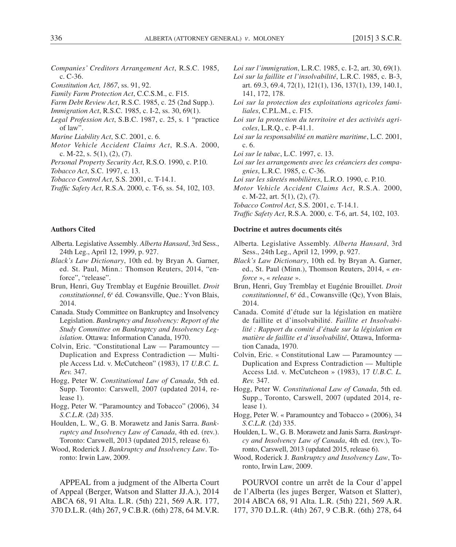- *Companies' Creditors Arrangement Act*, R.S.C. 1985, c. C-36.
- *Constitution Act, 1867*, ss. 91, 92.
- *Family Farm Protection Act*, C.C.S.M., c. F15.
- *Farm Debt Review Act*, R.S.C. 1985, c. 25 (2nd Supp.).
- *Immigration Act*, R.S.C. 1985, c. I-2, ss. 30, 69(1).
- *Legal Profession Act*, S.B.C. 1987, c. 25, s. 1 "practice of law".
- *Marine Liability Act*, S.C. 2001, c. 6.
- *Motor Vehicle Accident Claims Act*, R.S.A. 2000, c. M-22, s. 5(1), (2), (7).
- *Personal Property Security Act*, R.S.O. 1990, c. P.10.
- *Tobacco Act*, S.C. 1997, c. 13.
- *Tobacco Control Act*, S.S. 2001, c. T-14.1.
- *Traffic Safety Act*, R.S.A. 2000, c. T-6, ss. 54, 102, 103.

#### **Authors Cited**

- Alberta. Legislative Assembly. *Alberta Hansard*, 3rd Sess., 24th Leg., April 12, 1999, p. 927.
- *Black's Law Dictionary*, 10th ed. by Bryan A. Garner, ed. St. Paul, Minn.: Thomson Reuters, 2014, "enforce", "release".
- Brun, Henri, Guy Tremblay et Eugénie Brouillet. *Droit*  constitutionnel, 6<sup>e</sup> éd. Cowansville, Que.: Yvon Blais, 2014.
- Canada. Study Committee on Bankruptcy and Insolvency Legislation. *Bankruptcy and Insolvency: Report of the Study Committee on Bankruptcy and Insolvency Legislation*. Ottawa: Information Canada, 1970.
- Colvin, Eric. "Constitutional Law Paramountcy Duplication and Express Contradiction — Multiple Access Ltd. v. McCutcheon" (1983), 17 *U.B.C. L. Rev.* 347.
- Hogg, Peter W. *Constitutional Law of Canada*, 5th ed. Supp. Toronto: Carswell, 2007 (updated 2014, release 1).
- Hogg, Peter W. "Paramountcy and Tobacco" (2006), 34 *S.C.L.R.* (2d) 335.
- Houlden, L. W., G. B. Morawetz and Janis Sarra. *Bankruptcy and Insolvency Law of Canada*, 4th ed. (rev.). Toronto: Carswell, 2013 (updated 2015, release 6).
- Wood, Roderick J. *Bankruptcy and Insolvency Law*. Toronto: Irwin Law, 2009.

APPEAL from a judgment of the Alberta Court of Appeal (Berger, Watson and Slatter JJ.A.), 2014 ABCA 68, 91 Alta. L.R. (5th) 221, 569 A.R. 177, 370 D.L.R. (4th) 267, 9 C.B.R. (6th) 278, 64 M.V.R.

- *Loi sur l'immigration*, L.R.C. 1985, c. I-2, art. 30, 69(1).
- *Loi sur la faillite et l'insolvabilité*, L.R.C. 1985, c. B-3, art. 69.3, 69.4, 72(1), 121(1), 136, 137(1), 139, 140.1, 141, 172, 178.
- *Loi sur la protection des exploitations agricoles familiales*, C.P.L.M., c. F15.
- *Loi sur la protection du territoire et des activités agricoles*, L.R.Q., c. P-41.1.
- *Loi sur la responsabilité en matière maritime*, L.C. 2001, c. 6.
- *Loi sur le tabac*, L.C. 1997, c. 13.
- *Loi sur les arrangements avec les créanciers des compagnies*, L.R.C. 1985, c. C-36.
- *Loi sur les sûretés mobilières*, L.R.O. 1990, c. P.10.
- *Motor Vehicle Accident Claims Act*, R.S.A. 2000, c. M-22, art. 5(1), (2), (7).
- *Tobacco Control Act*, S.S. 2001, c. T-14.1.
- *Traffic Safety Act*, R.S.A. 2000, c. T-6, art. 54, 102, 103.

#### **Doctrine et autres documents cités**

- Alberta. Legislative Assembly. *Alberta Hansard*, 3rd Sess., 24th Leg., April 12, 1999, p. 927.
- *Black's Law Dictionary*, 10th ed. by Bryan A. Garner, ed., St. Paul (Minn.), Thomson Reuters, 2014, « *enforce* », « *release* ».
- Brun, Henri, Guy Tremblay et Eugénie Brouillet. *Droit*  constitutionnel, 6<sup>e</sup> éd., Cowansville (Qc), Yvon Blais, 2014.
- Canada. Comité d'étude sur la législation en matière de faillite et d'insolvabilité. *Faillite et Insolvabilité : Rapport du comité d'étude sur la législation en matière de faillite et d'insolvabilité*, Ottawa, Information Canada, 1970.
- Colvin, Eric. « Constitutional Law Paramountcy Duplication and Express Contradiction — Multiple Access Ltd. v. McCutcheon » (1983), 17 *U.B.C. L. Rev.* 347.
- Hogg, Peter W. *Constitutional Law of Canada*, 5th ed. Supp., Toronto, Carswell, 2007 (updated 2014, release 1).
- Hogg, Peter W. « Paramountcy and Tobacco » (2006), 34 *S.C.L.R.* (2d) 335.
- Houlden, L. W., G. B. Morawetz and Janis Sarra. *Bankruptcy and Insolvency Law of Canada*, 4th ed. (rev.), Toronto, Carswell, 2013 (updated 2015, release 6).
- Wood, Roderick J. *Bankruptcy and Insolvency Law*, Toronto, Irwin Law, 2009.

POURVOI contre un arrêt de la Cour d'appel de l'Alberta (les juges Berger, Watson et Slatter), 2014 ABCA 68, 91 Alta. L.R. (5th) 221, 569 A.R. 177, 370 D.L.R. (4th) 267, 9 C.B.R. (6th) 278, 64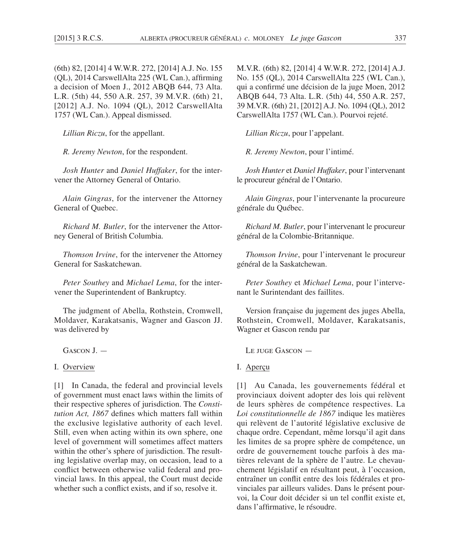(6th) 82, [2014] 4 W.W.R. 272, [2014] A.J. No. 155 (QL), 2014 CarswellAlta 225 (WL Can.), affirming a decision of Moen J., 2012 ABQB 644, 73 Alta. L.R. (5th) 44, 550 A.R. 257, 39 M.V.R. (6th) 21, [2012] A.J. No. 1094 (QL), 2012 CarswellAlta 1757 (WL Can.). Appeal dismissed.

*Lillian Riczu*, for the appellant.

*R. Jeremy Newton*, for the respondent.

*Josh Hunter* and *Daniel Huffaker*, for the intervener the Attorney General of Ontario.

*Alain Gingras*, for the intervener the Attorney General of Quebec.

*Richard M. Butler*, for the intervener the Attorney General of British Columbia.

*Thomson Irvine*, for the intervener the Attorney General for Saskatchewan.

*Peter Southey* and *Michael Lema*, for the intervener the Superintendent of Bankruptcy.

The judgment of Abella, Rothstein, Cromwell, Moldaver, Karakatsanis, Wagner and Gascon JJ. was delivered by

GASCON I —

I. Overview

[1] In Canada, the federal and provincial levels of government must enact laws within the limits of their respective spheres of jurisdiction. The *Constitution Act, 1867* defines which matters fall within the exclusive legislative authority of each level. Still, even when acting within its own sphere, one level of government will sometimes affect matters within the other's sphere of jurisdiction. The resulting legislative overlap may, on occasion, lead to a conflict between otherwise valid federal and provincial laws. In this appeal, the Court must decide whether such a conflict exists, and if so, resolve it.

M.V.R. (6th) 82, [2014] 4 W.W.R. 272, [2014] A.J. No. 155 (QL), 2014 CarswellAlta 225 (WL Can.), qui a confirmé une décision de la juge Moen, 2012 ABQB 644, 73 Alta. L.R. (5th) 44, 550 A.R. 257, 39 M.V.R. (6th) 21, [2012] A.J. No. 1094 (QL), 2012 CarswellAlta 1757 (WL Can.). Pourvoi rejeté.

*Lillian Riczu*, pour l'appelant.

*R. Jeremy Newton*, pour l'intimé.

*Josh Hunter* et *Daniel Huffaker*, pour l'intervenant le procureur général de l'Ontario.

*Alain Gingras*, pour l'intervenante la procureure générale du Québec.

*Richard M. Butler*, pour l'intervenant le procureur général de la Colombie-Britannique.

*Thomson Irvine*, pour l'intervenant le procureur général de la Saskatchewan.

*Peter Southey* et *Michael Lema*, pour l'intervenant le Surintendant des faillites.

Version française du jugement des juges Abella, Rothstein, Cromwell, Moldaver, Karakatsanis, Wagner et Gascon rendu par

Le juge Gascon —

I. Aperçu

[1] Au Canada, les gouvernements fédéral et provinciaux doivent adopter des lois qui relèvent de leurs sphères de compétence respectives. La *Loi constitutionnelle de 1867* indique les matières qui relèvent de l'autorité législative exclusive de chaque ordre. Cependant, même lorsqu'il agit dans les limites de sa propre sphère de compétence, un ordre de gouvernement touche parfois à des matières relevant de la sphère de l'autre. Le chevauchement législatif en résultant peut, à l'occasion, entraîner un conflit entre des lois fédérales et provinciales par ailleurs valides. Dans le présent pourvoi, la Cour doit décider si un tel conflit existe et, dans l'affirmative, le résoudre.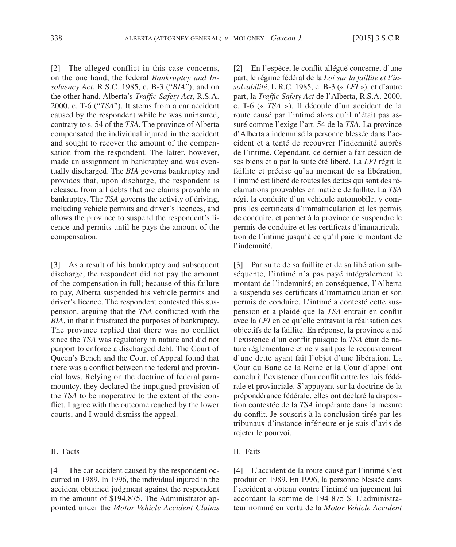[2] The alleged conflict in this case concerns, on the one hand, the federal *Bankruptcy and Insolvency Act*, R.S.C. 1985, c. B-3 ("*BIA*"), and on the other hand, Alberta's *Traffic Safety Act*, R.S.A. 2000, c. T-6 ("*TSA*"). It stems from a car accident caused by the respondent while he was uninsured, contrary to s. 54 of the *TSA*. The province of Alberta compensated the individual injured in the accident and sought to recover the amount of the compensation from the respondent. The latter, however, made an assignment in bankruptcy and was eventually discharged. The *BIA* governs bankruptcy and provides that, upon discharge, the respondent is released from all debts that are claims provable in bankruptcy. The *TSA* governs the activity of driving, including vehicle permits and driver's licences, and allows the province to suspend the respondent's licence and permits until he pays the amount of the compensation.

[3] As a result of his bankruptcy and subsequent discharge, the respondent did not pay the amount of the compensation in full; because of this failure to pay, Alberta suspended his vehicle permits and driver's licence. The respondent contested this suspension, arguing that the *TSA* conflicted with the *BIA*, in that it frustrated the purposes of bankruptcy. The province replied that there was no conflict since the *TSA* was regulatory in nature and did not purport to enforce a discharged debt. The Court of Queen's Bench and the Court of Appeal found that there was a conflict between the federal and provincial laws. Relying on the doctrine of federal paramountcy, they declared the impugned provision of the *TSA* to be inoperative to the extent of the conflict. I agree with the outcome reached by the lower courts, and I would dismiss the appeal.

#### II. Facts

[4] The car accident caused by the respondent occurred in 1989. In 1996, the individual injured in the accident obtained judgment against the respondent in the amount of \$194,875. The Administrator appointed under the *Motor Vehicle Accident Claims*  [2] En l'espèce, le conflit allégué concerne, d'une part, le régime fédéral de la *Loi sur la faillite et l'insolvabilité*, L.R.C. 1985, c. B-3 (« *LFI* »), et d'autre part, la *Traffic Safety Act* de l'Alberta, R.S.A. 2000, c. T-6 (« *TSA* »). Il découle d'un accident de la route causé par l'intimé alors qu'il n'était pas assuré comme l'exige l'art. 54 de la *TSA*. La province d'Alberta a indemnisé la personne blessée dans l'accident et a tenté de recouvrer l'indemnité auprès de l'intimé. Cependant, ce dernier a fait cession de ses biens et a par la suite été libéré. La *LFI* régit la faillite et précise qu'au moment de sa libération, l'intimé est libéré de toutes les dettes qui sont des réclamations prouvables en matière de faillite. La *TSA* régit la conduite d'un véhicule automobile, y compris les certificats d'immatriculation et les permis de conduire, et permet à la province de suspendre le permis de conduire et les certificats d'immatriculation de l'intimé jusqu'à ce qu'il paie le montant de l'indemnité.

[3] Par suite de sa faillite et de sa libération subséquente, l'intimé n'a pas payé intégralement le montant de l'indemnité; en conséquence, l'Alberta a suspendu ses certificats d'immatriculation et son permis de conduire. L'intimé a contesté cette suspension et a plaidé que la *TSA* entrait en conflit avec la *LFI* en ce qu'elle entravait la réalisation des objectifs de la faillite. En réponse, la province a nié l'existence d'un conflit puisque la *TSA* était de nature réglementaire et ne visait pas le recouvrement d'une dette ayant fait l'objet d'une libération. La Cour du Banc de la Reine et la Cour d'appel ont conclu à l'existence d'un conflit entre les lois fédérale et provinciale. S'appuyant sur la doctrine de la prépondérance fédérale, elles ont déclaré la disposition contestée de la *TSA* inopérante dans la mesure du conflit. Je souscris à la conclusion tirée par les tribunaux d'instance inférieure et je suis d'avis de rejeter le pourvoi.

# II. Faits

[4] L'accident de la route causé par l'intimé s'est produit en 1989. En 1996, la personne blessée dans l'accident a obtenu contre l'intimé un jugement lui accordant la somme de 194 875 \$. L'administrateur nommé en vertu de la *Motor Vehicle Accident*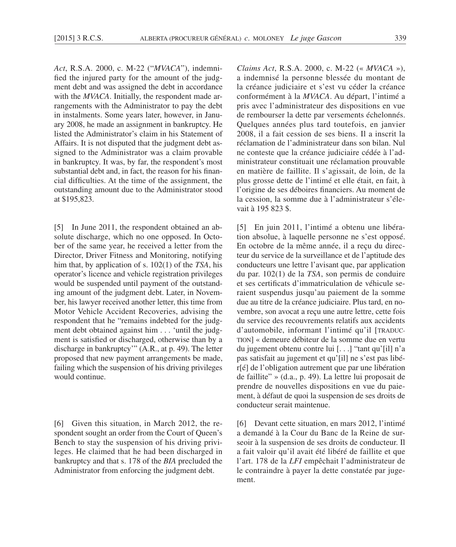*Act*, R.S.A. 2000, c. M-22 ("*MVACA*"), indemnified the injured party for the amount of the judgment debt and was assigned the debt in accordance with the *MVACA*. Initially, the respondent made arrangements with the Administrator to pay the debt in instalments. Some years later, however, in January 2008, he made an assignment in bankruptcy. He listed the Administrator's claim in his Statement of Affairs. It is not disputed that the judgment debt assigned to the Administrator was a claim provable in bankruptcy. It was, by far, the respondent's most substantial debt and, in fact, the reason for his financial difficulties. At the time of the assignment, the outstanding amount due to the Administrator stood at \$195,823.

[5] In June 2011, the respondent obtained an absolute discharge, which no one opposed. In October of the same year, he received a letter from the Director, Driver Fitness and Monitoring, notifying him that, by application of s. 102(1) of the *TSA*, his operator's licence and vehicle registration privileges would be suspended until payment of the outstanding amount of the judgment debt. Later, in November, his lawyer received another letter, this time from Motor Vehicle Accident Recoveries, advising the respondent that he "remains indebted for the judgment debt obtained against him . . . 'until the judgment is satisfied or discharged, otherwise than by a discharge in bankruptcy'" (A.R., at p. 49). The letter proposed that new payment arrangements be made, failing which the suspension of his driving privileges would continue.

[6] Given this situation, in March 2012, the respondent sought an order from the Court of Queen's Bench to stay the suspension of his driving privileges. He claimed that he had been discharged in bankruptcy and that s. 178 of the *BIA* precluded the Administrator from enforcing the judgment debt.

*Claims Act*, R.S.A. 2000, c. M-22 (« *MVACA* »), a indemnisé la personne blessée du montant de la créance judiciaire et s'est vu céder la créance conformément à la *MVACA*. Au départ, l'intimé a pris avec l'administrateur des dispositions en vue de rembourser la dette par versements échelonnés. Quelques années plus tard toutefois, en janvier 2008, il a fait cession de ses biens. Il a inscrit la réclamation de l'administrateur dans son bilan. Nul ne conteste que la créance judiciaire cédée à l'administrateur constituait une réclamation prouvable en matière de faillite. Il s'agissait, de loin, de la plus grosse dette de l'intimé et elle était, en fait, à l'origine de ses déboires financiers. Au moment de la cession, la somme due à l'administrateur s'élevait à 195 823 \$.

[5] En juin 2011, l'intimé a obtenu une libération absolue, à laquelle personne ne s'est opposé. En octobre de la même année, il a reçu du directeur du service de la surveillance et de l'aptitude des conducteurs une lettre l'avisant que, par application du par. 102(1) de la *TSA*, son permis de conduire et ses certificats d'immatriculation de véhicule seraient suspendus jusqu'au paiement de la somme due au titre de la créance judiciaire. Plus tard, en novembre, son avocat a reçu une autre lettre, cette fois du service des recouvrements relatifs aux accidents d'automobile, informant l'intimé qu'il [TRADUC-TION] « demeure débiteur de la somme due en vertu du jugement obtenu contre lui [. . .] "tant qu'[il] n'a pas satisfait au jugement et qu'[il] ne s'est pas libér[é] de l'obligation autrement que par une libération de faillite" » (d.a., p. 49). La lettre lui proposait de prendre de nouvelles dispositions en vue du paiement, à défaut de quoi la suspension de ses droits de conducteur serait maintenue.

[6] Devant cette situation, en mars 2012, l'intimé a demandé à la Cour du Banc de la Reine de surseoir à la suspension de ses droits de conducteur. Il a fait valoir qu'il avait été libéré de faillite et que l'art. 178 de la *LFI* empêchait l'administrateur de le contraindre à payer la dette constatée par jugement.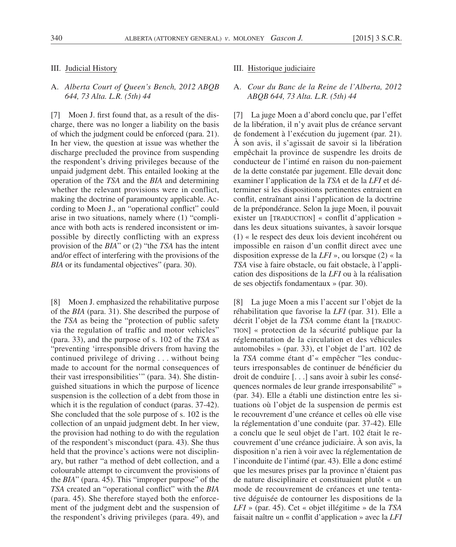### III. Judicial History

# A. *Alberta Court of Queen's Bench, 2012 ABQB 644, 73 Alta. L.R. (5th) 44*

[7] Moen J. first found that, as a result of the discharge, there was no longer a liability on the basis of which the judgment could be enforced (para. 21). In her view, the question at issue was whether the discharge precluded the province from suspending the respondent's driving privileges because of the unpaid judgment debt. This entailed looking at the operation of the *TSA* and the *BIA* and determining whether the relevant provisions were in conflict, making the doctrine of paramountcy applicable. According to Moen J., an "operational conflict" could arise in two situations, namely where (1) "compliance with both acts is rendered inconsistent or impossible by directly conflicting with an express provision of the *BIA*" or (2) "the *TSA* has the intent and/or effect of interfering with the provisions of the *BIA* or its fundamental objectives" (para. 30).

[8] Moen J. emphasized the rehabilitative purpose of the *BIA* (para. 31). She described the purpose of the *TSA* as being the "protection of public safety via the regulation of traffic and motor vehicles" (para. 33), and the purpose of s. 102 of the *TSA* as "preventing 'irresponsible drivers from having the continued privilege of driving . . . without being made to account for the normal consequences of their vast irresponsibilities'" (para. 34). She distinguished situations in which the purpose of licence suspension is the collection of a debt from those in which it is the regulation of conduct (paras. 37-42). She concluded that the sole purpose of s. 102 is the collection of an unpaid judgment debt. In her view, the provision had nothing to do with the regulation of the respondent's misconduct (para. 43). She thus held that the province's actions were not disciplinary, but rather "a method of debt collection, and a colourable attempt to circumvent the provisions of the *BIA*" (para. 45). This "improper purpose" of the *TSA* created an "operational conflict" with the *BIA* (para. 45). She therefore stayed both the enforcement of the judgment debt and the suspension of the respondent's driving privileges (para. 49), and

#### III. Historique judiciaire

## A. *Cour du Banc de la Reine de l'Alberta, 2012 ABQB 644, 73 Alta. L.R. (5th) 44*

[7] La juge Moen a d'abord conclu que, par l'effet de la libération, il n'y avait plus de créance servant de fondement à l'exécution du jugement (par. 21). À son avis, il s'agissait de savoir si la libération empêchait la province de suspendre les droits de conducteur de l'intimé en raison du non-paiement de la dette constatée par jugement. Elle devait donc examiner l'application de la *TSA* et de la *LFI* et déterminer si les dispositions pertinentes entraient en conflit, entraînant ainsi l'application de la doctrine de la prépondérance. Selon la juge Moen, il pouvait exister un [TRADUCTION] « conflit d'application » dans les deux situations suivantes, à savoir lorsque (1) « le respect des deux lois devient incohérent ou impossible en raison d'un conflit direct avec une disposition expresse de la *LFI* », ou lorsque (2) « la *TSA* vise à faire obstacle, ou fait obstacle, à l'application des dispositions de la *LFI* ou à la réalisation de ses objectifs fondamentaux » (par. 30).

[8] La juge Moen a mis l'accent sur l'objet de la réhabilitation que favorise la *LFI* (par. 31). Elle a décrit l'objet de la *TSA* comme étant la [TRADUC-TION] « protection de la sécurité publique par la réglementation de la circulation et des véhicules automobiles » (par. 33), et l'objet de l'art. 102 de la *TSA* comme étant d'« empêcher "les conducteurs irresponsables de continuer de bénéficier du droit de conduire [. . .] sans avoir à subir les conséquences normales de leur grande irresponsabilité" » (par. 34). Elle a établi une distinction entre les situations où l'objet de la suspension de permis est le recouvrement d'une créance et celles où elle vise la réglementation d'une conduite (par. 37-42). Elle a conclu que le seul objet de l'art. 102 était le recouvrement d'une créance judiciaire. À son avis, la disposition n'a rien à voir avec la réglementation de l'inconduite de l'intimé (par. 43). Elle a donc estimé que les mesures prises par la province n'étaient pas de nature disciplinaire et constituaient plutôt « un mode de recouvrement de créances et une tentative déguisée de contourner les dispositions de la *LFI* » (par. 45). Cet « objet illégitime » de la *TSA* faisait naître un « conflit d'application » avec la *LFI*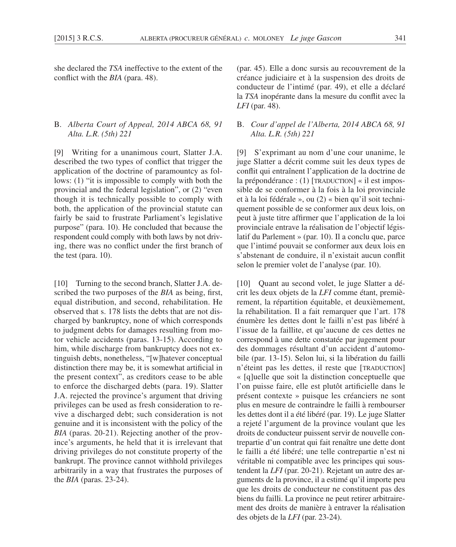she declared the *TSA* ineffective to the extent of the conflict with the *BIA* (para. 48).

# B. *Alberta Court of Appeal, 2014 ABCA 68, 91 Alta. L.R. (5th) 221*

[9] Writing for a unanimous court, Slatter J.A. described the two types of conflict that trigger the application of the doctrine of paramountcy as follows: (1) "it is impossible to comply with both the provincial and the federal legislation", or (2) "even though it is technically possible to comply with both, the application of the provincial statute can fairly be said to frustrate Parliament's legislative purpose" (para. 10). He concluded that because the respondent could comply with both laws by not driving, there was no conflict under the first branch of the test (para. 10).

[10] Turning to the second branch, Slatter J.A. described the two purposes of the *BIA* as being, first, equal distribution, and second, rehabilitation. He observed that s. 178 lists the debts that are not discharged by bankruptcy, none of which corresponds to judgment debts for damages resulting from motor vehicle accidents (paras. 13-15). According to him, while discharge from bankruptcy does not extinguish debts, nonetheless, "[w]hatever conceptual distinction there may be, it is somewhat artificial in the present context", as creditors cease to be able to enforce the discharged debts (para. 19). Slatter J.A. rejected the province's argument that driving privileges can be used as fresh consideration to revive a discharged debt; such consideration is not genuine and it is inconsistent with the policy of the *BIA* (paras. 20-21). Rejecting another of the province's arguments, he held that it is irrelevant that driving privileges do not constitute property of the bankrupt. The province cannot withhold privileges arbitrarily in a way that frustrates the purposes of the *BIA* (paras. 23-24).

(par. 45). Elle a donc sursis au recouvrement de la créance judiciaire et à la suspension des droits de conducteur de l'intimé (par. 49), et elle a déclaré la *TSA* inopérante dans la mesure du conflit avec la *LFI* (par. 48).

# B. *Cour d'appel de l'Alberta, 2014 ABCA 68, 91 Alta. L.R. (5th) 221*

[9] S'exprimant au nom d'une cour unanime, le juge Slatter a décrit comme suit les deux types de conflit qui entraînent l'application de la doctrine de la prépondérance : (1) [TRADUCTION] « il est impossible de se conformer à la fois à la loi provinciale et à la loi fédérale », ou (2) « bien qu'il soit techniquement possible de se conformer aux deux lois, on peut à juste titre affirmer que l'application de la loi provinciale entrave la réalisation de l'objectif législatif du Parlement » (par. 10). Il a conclu que, parce que l'intimé pouvait se conformer aux deux lois en s'abstenant de conduire, il n'existait aucun conflit selon le premier volet de l'analyse (par. 10).

[10] Quant au second volet, le juge Slatter a décrit les deux objets de la *LFI* comme étant, premièrement, la répartition équitable, et deuxièmement, la réhabilitation. Il a fait remarquer que l'art. 178 énumère les dettes dont le failli n'est pas libéré à l'issue de la faillite, et qu'aucune de ces dettes ne correspond à une dette constatée par jugement pour des dommages résultant d'un accident d'automobile (par. 13-15). Selon lui, si la libération du failli n'éteint pas les dettes, il reste que [TRADUCTION] « [q]uelle que soit la distinction conceptuelle que l'on puisse faire, elle est plutôt artificielle dans le présent contexte » puisque les créanciers ne sont plus en mesure de contraindre le failli à rembourser les dettes dont il a été libéré (par. 19). Le juge Slatter a rejeté l'argument de la province voulant que les droits de conducteur puissent servir de nouvelle contrepartie d'un contrat qui fait renaître une dette dont le failli a été libéré; une telle contrepartie n'est ni véritable ni compatible avec les principes qui soustendent la *LFI* (par. 20-21). Rejetant un autre des arguments de la province, il a estimé qu'il importe peu que les droits de conducteur ne constituent pas des biens du failli. La province ne peut retirer arbitrairement des droits de manière à entraver la réalisation des objets de la *LFI* (par. 23-24).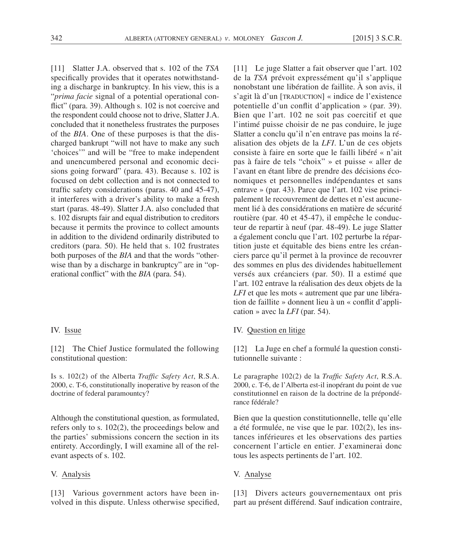[11] Slatter J.A. observed that s. 102 of the *TSA* specifically provides that it operates notwithstanding a discharge in bankruptcy. In his view, this is a "*prima facie* signal of a potential operational conflict" (para. 39). Although s. 102 is not coercive and the respondent could choose not to drive, Slatter J.A. concluded that it nonetheless frustrates the purposes of the *BIA*. One of these purposes is that the discharged bankrupt "will not have to make any such 'choices'" and will be "free to make independent and unencumbered personal and economic decisions going forward" (para. 43). Because s. 102 is focused on debt collection and is not connected to traffic safety considerations (paras. 40 and 45-47), it interferes with a driver's ability to make a fresh start (paras. 48-49). Slatter J.A. also concluded that s. 102 disrupts fair and equal distribution to creditors because it permits the province to collect amounts in addition to the dividend ordinarily distributed to creditors (para. 50). He held that s. 102 frustrates both purposes of the *BIA* and that the words "otherwise than by a discharge in bankruptcy" are in "operational conflict" with the *BIA* (para. 54).

#### IV. Issue

[12] The Chief Justice formulated the following constitutional question:

Is s. 102(2) of the Alberta *Traffic Safety Act*, R.S.A. 2000, c. T-6, constitutionally inoperative by reason of the doctrine of federal paramountcy?

Although the constitutional question, as formulated, refers only to s. 102(2), the proceedings below and the parties' submissions concern the section in its entirety. Accordingly, I will examine all of the relevant aspects of s. 102.

### V. Analysis

[13] Various government actors have been involved in this dispute. Unless otherwise specified,

[11] Le juge Slatter a fait observer que l'art. 102 de la *TSA* prévoit expressément qu'il s'applique nonobstant une libération de faillite. À son avis, il s'agit là d'un [TRADUCTION] « indice de l'existence potentielle d'un conflit d'application » (par. 39). Bien que l'art. 102 ne soit pas coercitif et que l'intimé puisse choisir de ne pas conduire, le juge Slatter a conclu qu'il n'en entrave pas moins la réalisation des objets de la *LFI*. L'un de ces objets consiste à faire en sorte que le failli libéré « n'ait pas à faire de tels "choix" » et puisse « aller de l'avant en étant libre de prendre des décisions économiques et personnelles indépendantes et sans entrave » (par. 43). Parce que l'art. 102 vise principalement le recouvrement de dettes et n'est aucunement lié à des considérations en matière de sécurité routière (par. 40 et 45-47), il empêche le conducteur de repartir à neuf (par. 48-49). Le juge Slatter a également conclu que l'art. 102 perturbe la répartition juste et équitable des biens entre les créanciers parce qu'il permet à la province de recouvrer des sommes en plus des dividendes habituellement versés aux créanciers (par. 50). Il a estimé que l'art. 102 entrave la réalisation des deux objets de la *LFI* et que les mots « autrement que par une libération de faillite » donnent lieu à un « conflit d'application » avec la *LFI* (par. 54).

## IV. Question en litige

[12] La Juge en chef a formulé la question constitutionnelle suivante :

Le paragraphe 102(2) de la *Traffic Safety Act*, R.S.A. 2000, c. T-6, de l'Alberta est-il inopérant du point de vue constitutionnel en raison de la doctrine de la prépondérance fédérale?

Bien que la question constitutionnelle, telle qu'elle a été formulée, ne vise que le par. 102(2), les instances inférieures et les observations des parties concernent l'article en entier. J'examinerai donc tous les aspects pertinents de l'art. 102.

# V. Analyse

[13] Divers acteurs gouvernementaux ont pris part au présent différend. Sauf indication contraire,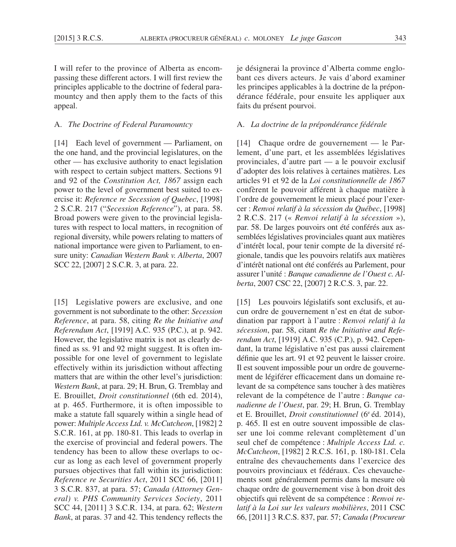I will refer to the province of Alberta as encompassing these different actors. I will first review the principles applicable to the doctrine of federal paramountcy and then apply them to the facts of this appeal.

## A. *The Doctrine of Federal Paramountcy*

[14] Each level of government — Parliament, on the one hand, and the provincial legislatures, on the other — has exclusive authority to enact legislation with respect to certain subject matters. Sections 91 and 92 of the *Constitution Act, 1867* assign each power to the level of government best suited to exercise it: *Reference re Secession of Quebec*, [1998] 2 S.C.R. 217 ("*Secession Reference*"), at para. 58. Broad powers were given to the provincial legislatures with respect to local matters, in recognition of regional diversity, while powers relating to matters of national importance were given to Parliament, to ensure unity: *Canadian Western Bank v. Alberta*, 2007 SCC 22, [2007] 2 S.C.R. 3, at para. 22.

[15] Legislative powers are exclusive, and one government is not subordinate to the other: *Secession Reference*, at para. 58, citing *Re the Initiative and Referendum Act*, [1919] A.C. 935 (P.C.), at p. 942. However, the legislative matrix is not as clearly defined as ss. 91 and 92 might suggest. It is often impossible for one level of government to legislate effectively within its jurisdiction without affecting matters that are within the other level's jurisdiction: *Western Bank*, at para. 29; H. Brun, G. Tremblay and E. Brouillet, *Droit constitutionnel* (6th ed. 2014), at p. 465. Furthermore, it is often impossible to make a statute fall squarely within a single head of power: *Multiple Access Ltd. v. McCutcheon*, [1982] 2 S.C.R. 161, at pp. 180-81. This leads to overlap in the exercise of provincial and federal powers. The tendency has been to allow these overlaps to occur as long as each level of government properly pursues objectives that fall within its jurisdiction: *Reference re Securities Act*, 2011 SCC 66, [2011] 3 S.C.R. 837, at para. 57; *Canada (Attorney General) v. PHS Community Services Society*, 2011 SCC 44, [2011] 3 S.C.R. 134, at para. 62; *Western Bank*, at paras. 37 and 42. This tendency reflects the

je désignerai la province d'Alberta comme englobant ces divers acteurs. Je vais d'abord examiner les principes applicables à la doctrine de la prépondérance fédérale, pour ensuite les appliquer aux faits du présent pourvoi.

### A. *La doctrine de la prépondérance fédérale*

[14] Chaque ordre de gouvernement — le Parlement, d'une part, et les assemblées législatives provinciales, d'autre part — a le pouvoir exclusif d'adopter des lois relatives à certaines matières. Les articles 91 et 92 de la *Loi constitutionnelle de 1867* confèrent le pouvoir afférent à chaque matière à l'ordre de gouvernement le mieux placé pour l'exercer : *Renvoi relatif à la sécession du Québec*, [1998] 2 R.C.S. 217 (« *Renvoi relatif à la sécession* »), par. 58. De larges pouvoirs ont été conférés aux assemblées législatives provinciales quant aux matières d'intérêt local, pour tenir compte de la diversité régionale, tandis que les pouvoirs relatifs aux matières d'intérêt national ont été conférés au Parlement, pour assurer l'unité : *Banque canadienne de l'Ouest c. Alberta*, 2007 CSC 22, [2007] 2 R.C.S. 3, par. 22.

[15] Les pouvoirs législatifs sont exclusifs, et aucun ordre de gouvernement n'est en état de subordination par rapport à l'autre : *Renvoi relatif à la sécession*, par. 58, citant *Re the Initiative and Referendum Act*, [1919] A.C. 935 (C.P.), p. 942. Cependant, la trame législative n'est pas aussi clairement définie que les art. 91 et 92 peuvent le laisser croire. Il est souvent impossible pour un ordre de gouvernement de légiférer efficacement dans un domaine relevant de sa compétence sans toucher à des matières relevant de la compétence de l'autre : *Banque canadienne de l'Ouest*, par. 29; H. Brun, G. Tremblay et E. Brouillet, *Droit constitutionnel* (6e éd. 2014), p. 465. Il est en outre souvent impossible de classer une loi comme relevant complètement d'un seul chef de compétence : *Multiple Access Ltd. c. McCutcheon*, [1982] 2 R.C.S. 161, p. 180-181. Cela entraîne des chevauchements dans l'exercice des pouvoirs provinciaux et fédéraux. Ces chevauchements sont généralement permis dans la mesure où chaque ordre de gouvernement vise à bon droit des objectifs qui relèvent de sa compétence : *Renvoi relatif à la Loi sur les valeurs mobilières*, 2011 CSC 66, [2011] 3 R.C.S. 837, par. 57; *Canada (Procureur*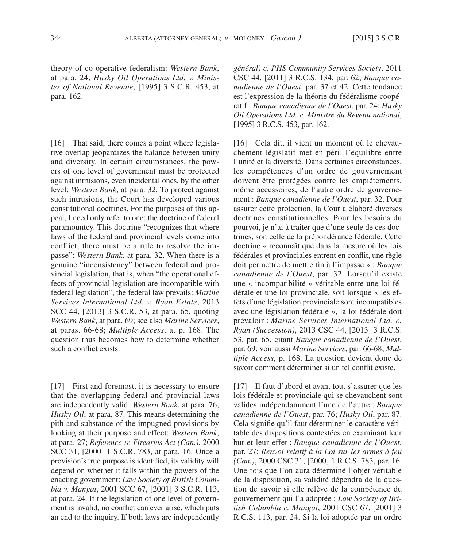theory of co-operative federalism: *Western Bank*, at para. 24; *Husky Oil Operations Ltd. v. Minister of National Revenue*, [1995] 3 S.C.R. 453, at para. 162.

[16] That said, there comes a point where legislative overlap jeopardizes the balance between unity and diversity. In certain circumstances, the powers of one level of government must be protected against intrusions, even incidental ones, by the other level: *Western Bank*, at para. 32. To protect against such intrusions, the Court has developed various constitutional doctrines. For the purposes of this appeal, I need only refer to one: the doctrine of federal paramountcy. This doctrine "recognizes that where laws of the federal and provincial levels come into conflict, there must be a rule to resolve the impasse": *Western Bank*, at para. 32. When there is a genuine "inconsistency" between federal and provincial legislation, that is, when "the operational effects of provincial legislation are incompatible with federal legislation", the federal law prevails: *Marine Services International Ltd. v. Ryan Estate*, 2013 SCC 44, [2013] 3 S.C.R. 53, at para. 65, quoting *Western Bank*, at para. 69; see also *Marine Services*, at paras. 66-68; *Multiple Access*, at p. 168. The question thus becomes how to determine whether such a conflict exists.

[17] First and foremost, it is necessary to ensure that the overlapping federal and provincial laws are independently valid: *Western Bank*, at para. 76; *Husky Oil*, at para. 87. This means determining the pith and substance of the impugned provisions by looking at their purpose and effect: *Western Bank*, at para. 27; *Reference re Firearms Act (Can.)*, 2000 SCC 31, [2000] 1 S.C.R. 783, at para. 16. Once a provision's true purpose is identified, its validity will depend on whether it falls within the powers of the enacting government: *Law Society of British Columbia v. Mangat*, 2001 SCC 67, [2001] 3 S.C.R. 113, at para. 24. If the legislation of one level of government is invalid, no conflict can ever arise, which puts an end to the inquiry. If both laws are independently

*général) c. PHS Community Services Society*, 2011 CSC 44, [2011] 3 R.C.S. 134, par. 62; *Banque canadienne de l'Ouest*, par. 37 et 42. Cette tendance est l'expression de la théorie du fédéralisme coopératif : *Banque canadienne de l'Ouest*, par. 24; *Husky Oil Operations Ltd. c. Ministre du Revenu national*, [1995] 3 R.C.S. 453, par. 162.

[16] Cela dit, il vient un moment où le chevauchement législatif met en péril l'équilibre entre l'unité et la diversité. Dans certaines circonstances, les compétences d'un ordre de gouvernement doivent être protégées contre les empiétements, même accessoires, de l'autre ordre de gouvernement : *Banque canadienne de l'Ouest*, par. 32. Pour assurer cette protection, la Cour a élaboré diverses doctrines constitutionnelles. Pour les besoins du pourvoi, je n'ai à traiter que d'une seule de ces doctrines, soit celle de la prépondérance fédérale. Cette doctrine « reconnaît que dans la mesure où les lois fédérales et provinciales entrent en conflit, une règle doit permettre de mettre fin à l'impasse » : *Banque canadienne de l'Ouest*, par. 32. Lorsqu'il existe une « incompatibilité » véritable entre une loi fédérale et une loi provinciale, soit lorsque « les effets d'une législation provinciale sont incompatibles avec une législation fédérale », la loi fédérale doit prévaloir : *Marine Services International Ltd. c. Ryan (Succession)*, 2013 CSC 44, [2013] 3 R.C.S. 53, par. 65, citant *Banque canadienne de l'Ouest*, par. 69; voir aussi *Marine Services*, par. 66-68; *Multiple Access*, p. 168. La question devient donc de savoir comment déterminer si un tel conflit existe.

[17] Il faut d'abord et avant tout s'assurer que les lois fédérale et provinciale qui se chevauchent sont valides indépendamment l'une de l'autre : *Banque canadienne de l'Ouest*, par. 76; *Husky Oil*, par. 87. Cela signifie qu'il faut déterminer le caractère véritable des dispositions contestées en examinant leur but et leur effet : *Banque canadienne de l'Ouest*, par. 27; *Renvoi relatif à la Loi sur les armes à feu (Can.)*, 2000 CSC 31, [2000] 1 R.C.S. 783, par. 16. Une fois que l'on aura déterminé l'objet véritable de la disposition, sa validité dépendra de la question de savoir si elle relève de la compétence du gouvernement qui l'a adoptée : *Law Society of British Columbia c. Mangat*, 2001 CSC 67, [2001] 3 R.C.S. 113, par. 24. Si la loi adoptée par un ordre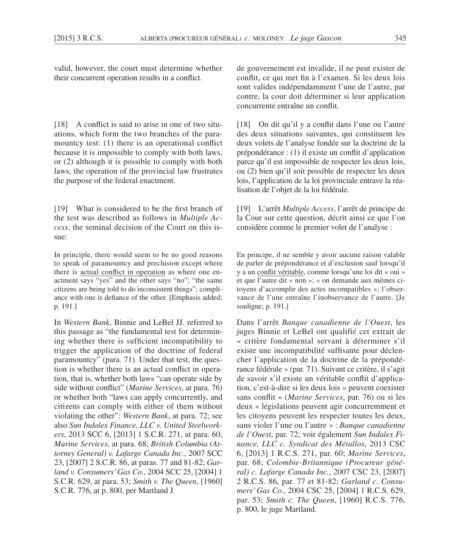valid, however, the court must determine whether their concurrent operation results in a conflict.

[18] A conflict is said to arise in one of two situations, which form the two branches of the paramountcy test: (1) there is an operational conflict because it is impossible to comply with both laws, or (2) although it is possible to comply with both laws, the operation of the provincial law frustrates the purpose of the federal enactment.

[19] What is considered to be the first branch of the test was described as follows in *Multiple Access*, the seminal decision of the Court on this issue:

In principle, there would seem to be no good reasons to speak of paramountcy and preclusion except where there is actual conflict in operation as where one enactment says "yes" and the other says "no"; "the same citizens are being told to do inconsistent things"; compliance with one is defiance of the other. [Emphasis added; p. 191.]

In *Western Bank*, Binnie and LeBel JJ. referred to this passage as "the fundamental test for determining whether there is sufficient incompatibility to trigger the application of the doctrine of federal paramountcy" (para. 71). Under that test, the question is whether there is an actual conflict in operation, that is, whether both laws "can operate side by side without conflict" (*Marine Services*, at para. 76) or whether both "laws can apply concurrently, and citizens can comply with either of them without violating the other": *Western Bank*, at para. 72; see also *Sun Indalex Finance, LLC v. United Steelworkers*, 2013 SCC 6, [2013] 1 S.C.R. 271, at para. 60; *Marine Services*, at para. 68; *British Columbia (Attorney General) v. Lafarge Canada Inc.*, 2007 SCC 23, [2007] 2 S.C.R. 86, at paras. 77 and 81-82; *Garland v. Consumers' Gas Co.*, 2004 SCC 25, [2004] 1 S.C.R. 629, at para. 53; *Smith v. The Queen*, [1960] S.C.R. 776, at p. 800, per Martland J.

de gouvernement est invalide, il ne peut exister de conflit, ce qui met fin à l'examen. Si les deux lois sont valides indépendamment l'une de l'autre, par contre, la cour doit déterminer si leur application concurrente entraîne un conflit.

[18] On dit qu'il y a conflit dans l'une ou l'autre des deux situations suivantes, qui constituent les deux volets de l'analyse fondée sur la doctrine de la prépondérance : (1) il existe un conflit d'application parce qu'il est impossible de respecter les deux lois, ou (2) bien qu'il soit possible de respecter les deux lois, l'application de la loi provinciale entrave la réalisation de l'objet de la loi fédérale.

[19] L'arrêt *Multiple Access*, l'arrêt de principe de la Cour sur cette question, décrit ainsi ce que l'on considère comme le premier volet de l'analyse :

En principe, il ne semble y avoir aucune raison valable de parler de prépondérance et d'exclusion sauf lorsqu'il y a un conflit véritable, comme lorsqu'une loi dit « oui » et que l'autre dit « non »; « on demande aux mêmes citoyens d'accomplir des actes incompatibles »; l'observance de l'une entraîne l'inobservance de l'autre. [Je souligne; p. 191.]

Dans l'arrêt *Banque canadienne de l'Ouest*, les juges Binnie et LeBel ont qualifié cet extrait de « critère fondamental servant à déterminer s'il existe une incompatibilité suffisante pour déclencher l'application de la doctrine de la prépondérance fédérale » (par. 71). Suivant ce critère, il s'agit de savoir s'il existe un véritable conflit d'application, c'est-à-dire si les deux lois « peuvent coexister sans conflit » (*Marine Services*, par. 76) ou si les deux « législations peuvent agir concurremment et les citoyens peuvent les respecter toutes les deux, sans violer l'une ou l'autre » : *Banque canadienne de l'Ouest*, par. 72; voir également *Sun Indalex Finance, LLC c. Syndicat des Métallos*, 2013 CSC 6, [2013] 1 R.C.S. 271, par. 60; *Marine Services*, par. 68; *Colombie-Britannique (Procureur général) c. Lafarge Canada Inc.*, 2007 CSC 23, [2007] 2 R.C.S. 86, par. 77 et 81-82; *Garland c. Consumers' Gas Co*., 2004 CSC 25, [2004] 1 R.C.S. 629, par. 53; *Smith c. The Queen*, [1960] R.C.S. 776, p. 800, le juge Martland.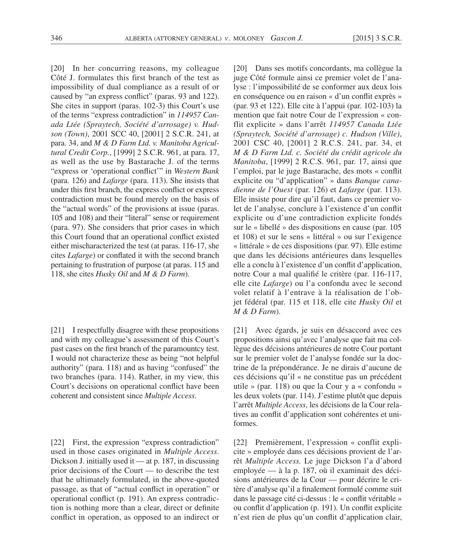[20] In her concurring reasons, my colleague Côté J. formulates this first branch of the test as impossibility of dual compliance as a result of or caused by "an express conflict" (paras. 93 and 122). She cites in support (paras. 102-3) this Court's use of the terms "express contradiction" in *114957 Canada Ltée (Spraytech, Société d'arrosage) v. Hudson (Town)*, 2001 SCC 40, [2001] 2 S.C.R. 241, at para. 34, and *M & D Farm Ltd. v. Manitoba Agricultural Credit Corp.*, [1999] 2 S.C.R. 961, at para. 17, as well as the use by Bastarache J. of the terms "express or 'operational conflict'" in *Western Bank*  (para. 126) and *Lafarge* (para. 113). She insists that under this first branch, the express conflict or express contradiction must be found merely on the basis of the "actual words" of the provisions at issue (paras. 105 and 108) and their "literal" sense or requirement (para. 97). She considers that prior cases in which this Court found that an operational conflict existed either mischaracterized the test (at paras. 116-17, she cites *Lafarge*) or conflated it with the second branch pertaining to frustration of purpose (at paras. 115 and 118, she cites *Husky Oil* and *M & D Farm*).

[21] I respectfully disagree with these propositions and with my colleague's assessment of this Court's past cases on the first branch of the paramountcy test. I would not characterize these as being "not helpful authority" (para. 118) and as having "confused" the two branches (para. 114). Rather, in my view, this Court's decisions on operational conflict have been coherent and consistent since *Multiple Access*.

[22] First, the expression "express contradiction" used in those cases originated in *Multiple Access*. Dickson J. initially used it — at p. 187, in discussing prior decisions of the Court — to describe the test that he ultimately formulated, in the above-quoted passage, as that of "actual conflict in operation" or operational conflict (p. 191). An express contradiction is nothing more than a clear, direct or definite conflict in operation, as opposed to an indirect or [20] Dans ses motifs concordants, ma collègue la juge Côté formule ainsi ce premier volet de l'analyse : l'impossibilité de se conformer aux deux lois en conséquence ou en raison « d'un conflit exprès » (par. 93 et 122). Elle cite à l'appui (par. 102-103) la mention que fait notre Cour de l'expression « conflit explicite » dans l'arrêt *114957 Canada Ltée (Spraytech, Société d'arrosage) c. Hudson (Ville)*, 2001 CSC 40, [2001] 2 R.C.S. 241, par. 34, et *M & D Farm Ltd. c. Société du crédit agricole du Manitoba*, [1999] 2 R.C.S. 961, par. 17, ainsi que l'emploi, par le juge Bastarache, des mots « conflit explicite ou "d'application" » dans *Banque canadienne de l'Ouest* (par. 126) et *Lafarge* (par. 113). Elle insiste pour dire qu'il faut, dans ce premier volet de l'analyse, conclure à l'existence d'un conflit explicite ou d'une contradiction explicite fondés sur le « libellé » des dispositions en cause (par. 105 et 108) et sur le sens « littéral » ou sur l'exigence « littérale » de ces dispositions (par. 97). Elle estime que dans les décisions antérieures dans lesquelles elle a conclu à l'existence d'un conflit d'application, notre Cour a mal qualifié le critère (par. 116-117, elle cite *Lafarge*) ou l'a confondu avec le second volet relatif à l'entrave à la réalisation de l'objet fédéral (par. 115 et 118, elle cite *Husky Oil* et *M & D Farm*).

[21] Avec égards, je suis en désaccord avec ces propositions ainsi qu'avec l'analyse que fait ma collègue des décisions antérieures de notre Cour portant sur le premier volet de l'analyse fondée sur la doctrine de la prépondérance. Je ne dirais d'aucune de ces décisions qu'il « ne constitue pas un précédent utile » (par. 118) ou que la Cour y a « confondu » les deux volets (par. 114). J'estime plutôt que depuis l'arrêt *Multiple Access*, les décisions de la Cour relatives au conflit d'application sont cohérentes et uniformes.

[22] Premièrement, l'expression « conflit explicite » employée dans ces décisions provient de l'arrêt *Multiple Access.* Le juge Dickson l'a d'abord employée — à la p. 187, où il examinait des décisions antérieures de la Cour — pour décrire le critère d'analyse qu'il a finalement formulé comme suit dans le passage cité ci-dessus : le « conflit véritable » ou conflit d'application (p. 191). Un conflit explicite n'est rien de plus qu'un conflit d'application clair,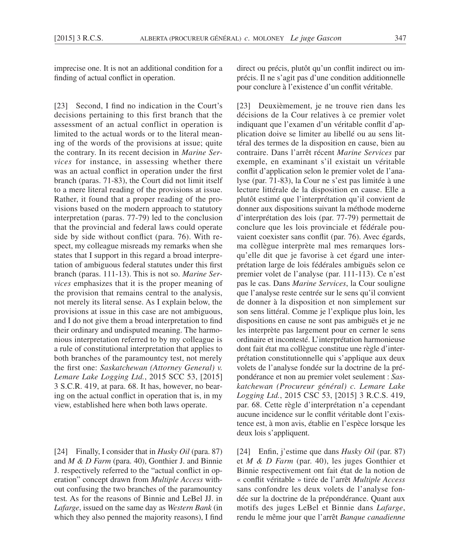imprecise one. It is not an additional condition for a finding of actual conflict in operation.

[23] Second, I find no indication in the Court's decisions pertaining to this first branch that the assessment of an actual conflict in operation is limited to the actual words or to the literal meaning of the words of the provisions at issue; quite the contrary. In its recent decision in *Marine Services* for instance, in assessing whether there was an actual conflict in operation under the first branch (paras. 71-83), the Court did not limit itself to a mere literal reading of the provisions at issue. Rather, it found that a proper reading of the provisions based on the modern approach to statutory interpretation (paras. 77-79) led to the conclusion that the provincial and federal laws could operate side by side without conflict (para. 76). With respect, my colleague misreads my remarks when she states that I support in this regard a broad interpretation of ambiguous federal statutes under this first branch (paras. 111-13). This is not so. *Marine Services* emphasizes that it is the proper meaning of the provision that remains central to the analysis, not merely its literal sense. As I explain below, the provisions at issue in this case are not ambiguous, and I do not give them a broad interpretation to find their ordinary and undisputed meaning. The harmonious interpretation referred to by my colleague is a rule of constitutional interpretation that applies to both branches of the paramountcy test, not merely the first one: *Saskatchewan (Attorney General) v. Lemare Lake Logging Ltd.*, 2015 SCC 53, [2015] 3 S.C.R. 419, at para. 68. It has, however, no bearing on the actual conflict in operation that is, in my view, established here when both laws operate.

[24] Finally, I consider that in *Husky Oil* (para. 87) and *M & D Farm* (para. 40), Gonthier J. and Binnie J. respectively referred to the "actual conflict in operation" concept drawn from *Multiple Access* without confusing the two branches of the paramountcy test*.* As for the reasons of Binnie and LeBel JJ. in *Lafarge*, issued on the same day as *Western Bank* (in which they also penned the majority reasons), I find direct ou précis, plutôt qu'un conflit indirect ou imprécis. Il ne s'agit pas d'une condition additionnelle pour conclure à l'existence d'un conflit véritable.

[23] Deuxièmement, je ne trouve rien dans les décisions de la Cour relatives à ce premier volet indiquant que l'examen d'un véritable conflit d'application doive se limiter au libellé ou au sens littéral des termes de la disposition en cause, bien au contraire. Dans l'arrêt récent *Marine Services* par exemple, en examinant s'il existait un véritable conflit d'application selon le premier volet de l'analyse (par. 71-83), la Cour ne s'est pas limitée à une lecture littérale de la disposition en cause. Elle a plutôt estimé que l'interprétation qu'il convient de donner aux dispositions suivant la méthode moderne d'interprétation des lois (par. 77-79) permettait de conclure que les lois provinciale et fédérale pouvaient coexister sans conflit (par. 76). Avec égards, ma collègue interprète mal mes remarques lorsqu'elle dit que je favorise à cet égard une interprétation large de lois fédérales ambiguës selon ce premier volet de l'analyse (par. 111-113). Ce n'est pas le cas. Dans *Marine Services*, la Cour souligne que l'analyse reste centrée sur le sens qu'il convient de donner à la disposition et non simplement sur son sens littéral. Comme je l'explique plus loin, les dispositions en cause ne sont pas ambiguës et je ne les interprète pas largement pour en cerner le sens ordinaire et incontesté. L'interprétation harmonieuse dont fait état ma collègue constitue une règle d'interprétation constitutionnelle qui s'applique aux deux volets de l'analyse fondée sur la doctrine de la prépondérance et non au premier volet seulement : *Saskatchewan (Procureur général) c. Lemare Lake Logging Ltd.*, 2015 CSC 53, [2015] 3 R.C.S. 419, par. 68. Cette règle d'interprétation n'a cependant aucune incidence sur le conflit véritable dont l'existence est, à mon avis, établie en l'espèce lorsque les deux lois s'appliquent.

[24] Enfin, j'estime que dans *Husky Oil* (par. 87) et *M & D Farm* (par. 40), les juges Gonthier et Binnie respectivement ont fait état de la notion de « conflit véritable » tirée de l'arrêt *Multiple Access* sans confondre les deux volets de l'analyse fondée sur la doctrine de la prépondérance. Quant aux motifs des juges LeBel et Binnie dans *Lafarge*, rendu le même jour que l'arrêt *Banque canadienne*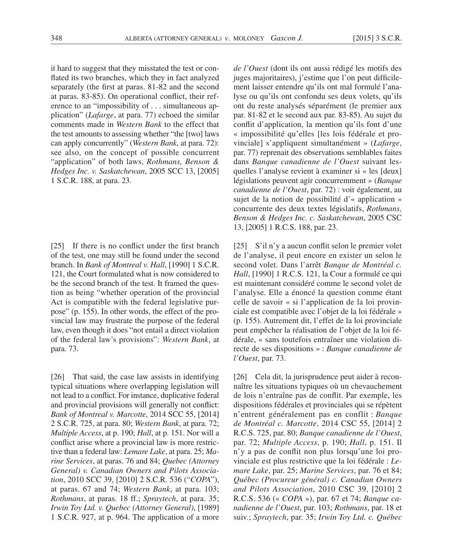it hard to suggest that they misstated the test or conflated its two branches, which they in fact analyzed separately (the first at paras. 81-82 and the second at paras. 83-85). On operational conflict, their reference to an "impossibility of . . . simultaneous application" (*Lafarge*, at para. 77) echoed the similar comments made in *Western Bank* to the effect that the test amounts to assessing whether "the [two] laws can apply concurrently" (*Western Bank*, at para. 72): see also, on the concept of possible concurrent "application" of both laws, *Rothmans, Benson & Hedges Inc. v. Saskatchewan*, 2005 SCC 13, [2005] 1 S.C.R. 188, at para. 23.

[25] If there is no conflict under the first branch of the test, one may still be found under the second branch. In *Bank of Montreal v. Hall*, [1990] 1 S.C.R. 121, the Court formulated what is now considered to be the second branch of the test. It framed the question as being "whether operation of the provincial Act is compatible with the federal legislative purpose" (p. 155). In other words, the effect of the provincial law may frustrate the purpose of the federal law, even though it does "not entail a direct violation of the federal law's provisions": *Western Bank*, at para. 73.

[26] That said, the case law assists in identifying typical situations where overlapping legislation will not lead to a conflict. For instance, duplicative federal and provincial provisions will generally not conflict: *Bank of Montreal v. Marcotte*, 2014 SCC 55, [2014] 2 S.C.R. 725, at para. 80; *Western Bank*, at para. 72; *Multiple Access*, at p. 190; *Hall*, at p. 151. Nor will a conflict arise where a provincial law is more restrictive than a federal law: *Lemare Lake*, at para. 25; *Marine Services*, at paras. 76 and 84; *Quebec (Attorney General) v. Canadian Owners and Pilots Association*, 2010 SCC 39, [2010] 2 S.C.R. 536 ("*COPA*"), at paras. 67 and 74; *Western Bank*, at para. 103; *Rothmans*, at paras. 18 ff.; *Spraytech*, at para. 35; *Irwin Toy Ltd. v. Quebec (Attorney General)*, [1989] 1 S.C.R. 927, at p. 964. The application of a more *de l'Ouest* (dont ils ont aussi rédigé les motifs des juges majoritaires), j'estime que l'on peut difficilement laisser entendre qu'ils ont mal formulé l'analyse ou qu'ils ont confondu ses deux volets, qu'ils ont du reste analysés séparément (le premier aux par. 81-82 et le second aux par. 83-85). Au sujet du conflit d'application, la mention qu'ils font d'une « impossibilité qu'elles [les lois fédérale et provinciale] s'appliquent simultanément » (*Lafarge*, par. 77) reprenait des observations semblables faites dans *Banque canadienne de l'Ouest* suivant lesquelles l'analyse revient à examiner si « les [deux] législations peuvent agir concurremment » (*Banque canadienne de l'Ouest*, par. 72) : voir également, au sujet de la notion de possibilité d'« application » concurrente des deux textes législatifs, *Rothmans, Benson & Hedges Inc. c. Saskatchewan*, 2005 CSC 13, [2005] 1 R.C.S. 188, par. 23.

[25] S'il n'y a aucun conflit selon le premier volet de l'analyse, il peut encore en exister un selon le second volet. Dans l'arrêt *Banque de Montréal c. Hall*, [1990] 1 R.C.S. 121, la Cour a formulé ce qui est maintenant considéré comme le second volet de l'analyse. Elle a énoncé la question comme étant celle de savoir « si l'application de la loi provinciale est compatible avec l'objet de la loi fédérale » (p. 155). Autrement dit, l'effet de la loi provinciale peut empêcher la réalisation de l'objet de la loi fédérale, « sans toutefois entraîner une violation directe de ses dispositions » : *Banque canadienne de l'Ouest*, par. 73.

[26] Cela dit, la jurisprudence peut aider à reconnaître les situations typiques où un chevauchement de lois n'entraîne pas de conflit. Par exemple, les dispositions fédérales et provinciales qui se répètent n'entrent généralement pas en conflit : *Banque de Montréal c. Marcotte*, 2014 CSC 55, [2014] 2 R.C.S. 725, par. 80; *Banque canadienne de l'Ouest*, par. 72; *Multiple Access*, p. 190; *Hall*, p. 151. Il n'y a pas de conflit non plus lorsqu'une loi provinciale est plus restrictive que la loi fédérale : *Lemare Lake*, par. 25; *Marine Services*, par. 76 et 84; *Québec (Procureur général) c. Canadian Owners and Pilots Association*, 2010 CSC 39, [2010] 2 R.C.S. 536 (« *COPA* »), par. 67 et 74; *Banque canadienne de l'Ouest*, par. 103; *Rothmans*, par. 18 et suiv.; *Spraytech*, par. 35; *Irwin Toy Ltd. c. Québec*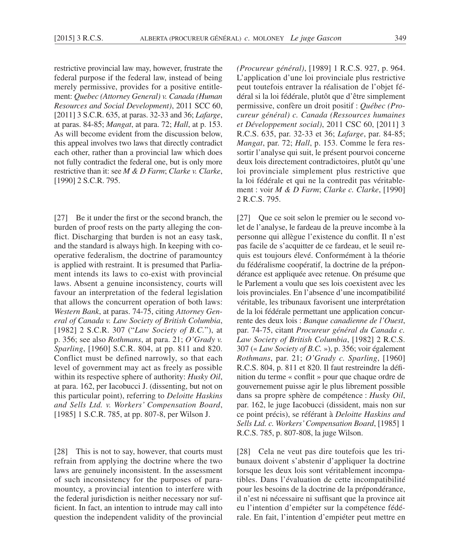restrictive provincial law may, however, frustrate the federal purpose if the federal law, instead of being merely permissive, provides for a positive entitlement: *Quebec (Attorney General) v. Canada (Human Resources and Social Development)*, 2011 SCC 60, [2011] 3 S.C.R. 635, at paras. 32-33 and 36; *Lafarge*, at paras. 84-85; *Mangat*, at para. 72; *Hall*, at p. 153. As will become evident from the discussion below, this appeal involves two laws that directly contradict each other, rather than a provincial law which does not fully contradict the federal one, but is only more restrictive than it: see *M & D Farm*; *Clarke v. Clarke*, [1990] 2 S.C.R. 795.

[27] Be it under the first or the second branch, the burden of proof rests on the party alleging the conflict. Discharging that burden is not an easy task, and the standard is always high. In keeping with cooperative federalism, the doctrine of paramountcy is applied with restraint. It is presumed that Parliament intends its laws to co-exist with provincial laws. Absent a genuine inconsistency, courts will favour an interpretation of the federal legislation that allows the concurrent operation of both laws: *Western Bank*, at paras. 74-75, citing *Attorney General of Canada v. Law Society of British Columbia*, [1982] 2 S.C.R. 307 ("*Law Society of B.C.*"), at p. 356; see also *Rothmans*, at para. 21; *O'Grady v. Sparling*, [1960] S.C.R. 804, at pp. 811 and 820. Conflict must be defined narrowly, so that each level of government may act as freely as possible within its respective sphere of authority: *Husky Oil*, at para. 162, per Iacobucci J. (dissenting, but not on this particular point), referring to *Deloitte Haskins and Sells Ltd. v. Workers' Compensation Board*, [1985] 1 S.C.R. 785, at pp. 807-8, per Wilson J.

[28] This is not to say, however, that courts must refrain from applying the doctrine where the two laws are genuinely inconsistent. In the assessment of such inconsistency for the purposes of paramountcy, a provincial intention to interfere with the federal jurisdiction is neither necessary nor sufficient. In fact, an intention to intrude may call into question the independent validity of the provincial *(Procureur général)*, [1989] 1 R.C.S. 927, p. 964. L'application d'une loi provinciale plus restrictive peut toutefois entraver la réalisation de l'objet fédéral si la loi fédérale, plutôt que d'être simplement permissive, confère un droit positif : *Québec (Procureur général) c. Canada (Ressources humaines et Développement social)*, 2011 CSC 60, [2011] 3 R.C.S. 635, par. 32-33 et 36; *Lafarge*, par. 84-85; *Mangat*, par. 72; *Hall*, p. 153. Comme le fera ressortir l'analyse qui suit, le présent pourvoi concerne deux lois directement contradictoires, plutôt qu'une loi provinciale simplement plus restrictive que la loi fédérale et qui ne la contredit pas véritablement : voir *M & D Farm*; *Clarke c. Clarke*, [1990] 2 R.C.S. 795.

[27] Que ce soit selon le premier ou le second volet de l'analyse, le fardeau de la preuve incombe à la personne qui allègue l'existence du conflit. Il n'est pas facile de s'acquitter de ce fardeau, et le seuil requis est toujours élevé. Conformément à la théorie du fédéralisme coopératif, la doctrine de la prépondérance est appliquée avec retenue. On présume que le Parlement a voulu que ses lois coexistent avec les lois provinciales. En l'absence d'une incompatibilité véritable, les tribunaux favorisent une interprétation de la loi fédérale permettant une application concurrente des deux lois : *Banque canadienne de l'Ouest*, par. 74-75, citant *Procureur général du Canada c. Law Society of British Columbia*, [1982] 2 R.C.S. 307 (« *Law Society of B.C.* »), p. 356; voir également *Rothmans*, par. 21; *O'Grady c. Sparling*, [1960] R.C.S. 804, p. 811 et 820. Il faut restreindre la définition du terme « conflit » pour que chaque ordre de gouvernement puisse agir le plus librement possible dans sa propre sphère de compétence : *Husky Oil*, par. 162, le juge Iacobucci (dissident, mais non sur ce point précis), se référant à *Deloitte Haskins and Sells Ltd. c. Workers' Compensation Board*, [1985] 1 R.C.S. 785, p. 807-808, la juge Wilson.

[28] Cela ne veut pas dire toutefois que les tribunaux doivent s'abstenir d'appliquer la doctrine lorsque les deux lois sont véritablement incompatibles. Dans l'évaluation de cette incompatibilité pour les besoins de la doctrine de la prépondérance, il n'est ni nécessaire ni suffisant que la province ait eu l'intention d'empiéter sur la compétence fédérale. En fait, l'intention d'empiéter peut mettre en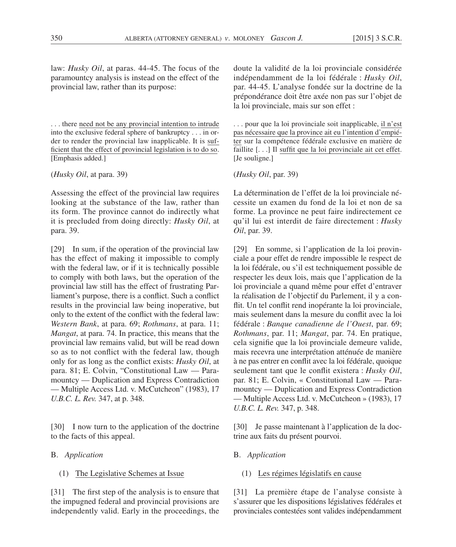law: *Husky Oil*, at paras. 44-45. The focus of the paramountcy analysis is instead on the effect of the provincial law, rather than its purpose:

. . . there need not be any provincial intention to intrude into the exclusive federal sphere of bankruptcy . . . in order to render the provincial law inapplicable. It is sufficient that the effect of provincial legislation is to do so. [Emphasis added.]

(*Husky Oil*, at para. 39)

Assessing the effect of the provincial law requires looking at the substance of the law, rather than its form. The province cannot do indirectly what it is precluded from doing directly: *Husky Oil*, at para. 39.

[29] In sum, if the operation of the provincial law has the effect of making it impossible to comply with the federal law, or if it is technically possible to comply with both laws, but the operation of the provincial law still has the effect of frustrating Parliament's purpose, there is a conflict. Such a conflict results in the provincial law being inoperative, but only to the extent of the conflict with the federal law: *Western Bank*, at para. 69; *Rothmans*, at para. 11; *Mangat*, at para. 74. In practice, this means that the provincial law remains valid, but will be read down so as to not conflict with the federal law, though only for as long as the conflict exists: *Husky Oil*, at para. 81; E. Colvin, "Constitutional Law — Paramountcy — Duplication and Express Contradiction — Multiple Access Ltd. v. McCutcheon" (1983), 17 *U.B.C. L. Rev.* 347, at p. 348.

[30] I now turn to the application of the doctrine to the facts of this appeal.

- B. *Application*
	- (1) The Legislative Schemes at Issue

[31] The first step of the analysis is to ensure that the impugned federal and provincial provisions are independently valid. Early in the proceedings, the

doute la validité de la loi provinciale considérée indépendamment de la loi fédérale : *Husky Oil*, par. 44-45. L'analyse fondée sur la doctrine de la prépondérance doit être axée non pas sur l'objet de la loi provinciale, mais sur son effet :

. . . pour que la loi provinciale soit inapplicable, il n'est pas nécessaire que la province ait eu l'intention d'empiéter sur la compétence fédérale exclusive en matière de faillite  $\left[ \ldots \right]$  Il suffit que la loi provinciale ait cet effet. [Je souligne.]

(*Husky Oil*, par. 39)

La détermination de l'effet de la loi provinciale nécessite un examen du fond de la loi et non de sa forme. La province ne peut faire indirectement ce qu'il lui est interdit de faire directement : *Husky Oil*, par. 39.

[29] En somme, si l'application de la loi provinciale a pour effet de rendre impossible le respect de la loi fédérale, ou s'il est techniquement possible de respecter les deux lois, mais que l'application de la loi provinciale a quand même pour effet d'entraver la réalisation de l'objectif du Parlement, il y a conflit. Un tel conflit rend inopérante la loi provinciale, mais seulement dans la mesure du conflit avec la loi fédérale : *Banque canadienne de l'Ouest*, par. 69; *Rothmans*, par. 11; *Mangat*, par. 74. En pratique, cela signifie que la loi provinciale demeure valide, mais recevra une interprétation atténuée de manière à ne pas entrer en conflit avec la loi fédérale, quoique seulement tant que le conflit existera : *Husky Oil*, par. 81; E. Colvin, « Constitutional Law — Paramountcy — Duplication and Express Contradiction — Multiple Access Ltd. v. McCutcheon » (1983), 17 *U.B.C. L. Rev.* 347, p. 348.

[30] Je passe maintenant à l'application de la doctrine aux faits du présent pourvoi.

- B. *Application*
	- (1) Les régimes législatifs en cause

[31] La première étape de l'analyse consiste à s'assurer que les dispositions législatives fédérales et provinciales contestées sont valides indépendamment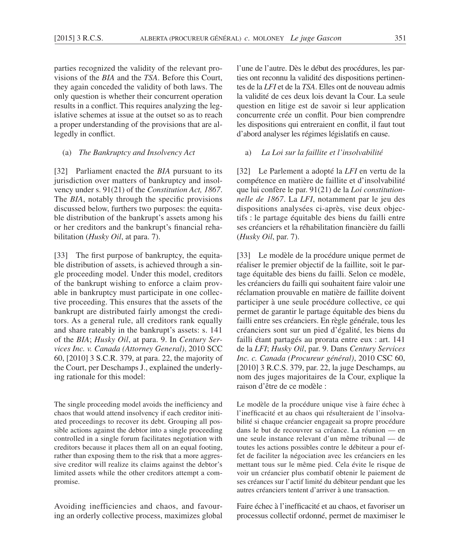parties recognized the validity of the relevant provisions of the *BIA* and the *TSA*. Before this Court, they again conceded the validity of both laws. The only question is whether their concurrent operation results in a conflict. This requires analyzing the legislative schemes at issue at the outset so as to reach a proper understanding of the provisions that are allegedly in conflict.

(a) *The Bankruptcy and Insolvency Act*

[32] Parliament enacted the *BIA* pursuant to its jurisdiction over matters of bankruptcy and insolvency under s. 91(21) of the *Constitution Act, 1867*. The *BIA*, notably through the specific provisions discussed below, furthers two purposes: the equitable distribution of the bankrupt's assets among his or her creditors and the bankrupt's financial rehabilitation (*Husky Oil*, at para. 7).

[33] The first purpose of bankruptcy, the equitable distribution of assets, is achieved through a single proceeding model. Under this model, creditors of the bankrupt wishing to enforce a claim provable in bankruptcy must participate in one collective proceeding. This ensures that the assets of the bankrupt are distributed fairly amongst the creditors. As a general rule, all creditors rank equally and share rateably in the bankrupt's assets: s. 141 of the *BIA*; *Husky Oil*, at para. 9. In *Century Services Inc. v. Canada (Attorney General)*, 2010 SCC 60, [2010] 3 S.C.R. 379, at para. 22, the majority of the Court, per Deschamps J., explained the underlying rationale for this model:

The single proceeding model avoids the inefficiency and chaos that would attend insolvency if each creditor initiated proceedings to recover its debt. Grouping all possible actions against the debtor into a single proceeding controlled in a single forum facilitates negotiation with creditors because it places them all on an equal footing, rather than exposing them to the risk that a more aggressive creditor will realize its claims against the debtor's limited assets while the other creditors attempt a compromise.

Avoiding inefficiencies and chaos, and favouring an orderly collective process, maximizes global l'une de l'autre. Dès le début des procédures, les parties ont reconnu la validité des dispositions pertinentes de la *LFI* et de la *TSA*. Elles ont de nouveau admis la validité de ces deux lois devant la Cour. La seule question en litige est de savoir si leur application concurrente crée un conflit. Pour bien comprendre les dispositions qui entreraient en conflit, il faut tout d'abord analyser les régimes législatifs en cause.

### a) *La Loi sur la faillite et l'insolvabilité*

[32] Le Parlement a adopté la *LFI* en vertu de la compétence en matière de faillite et d'insolvabilité que lui confère le par. 91(21) de la *Loi constitutionnelle de 1867*. La *LFI*, notamment par le jeu des dispositions analysées ci-après, vise deux objectifs : le partage équitable des biens du failli entre ses créanciers et la réhabilitation financière du failli (*Husky Oil*, par. 7).

[33] Le modèle de la procédure unique permet de réaliser le premier objectif de la faillite, soit le partage équitable des biens du failli. Selon ce modèle, les créanciers du failli qui souhaitent faire valoir une réclamation prouvable en matière de faillite doivent participer à une seule procédure collective, ce qui permet de garantir le partage équitable des biens du failli entre ses créanciers. En règle générale, tous les créanciers sont sur un pied d'égalité, les biens du failli étant partagés au prorata entre eux : art. 141 de la *LFI*; *Husky Oil*, par. 9. Dans *Century Services Inc. c. Canada (Procureur général)*, 2010 CSC 60, [2010] 3 R.C.S. 379, par. 22, la juge Deschamps, au nom des juges majoritaires de la Cour, explique la raison d'être de ce modèle :

Le modèle de la procédure unique vise à faire échec à l'inefficacité et au chaos qui résulteraient de l'insolvabilité si chaque créancier engageait sa propre procédure dans le but de recouvrer sa créance. La réunion — en une seule instance relevant d'un même tribunal — de toutes les actions possibles contre le débiteur a pour effet de faciliter la négociation avec les créanciers en les mettant tous sur le même pied. Cela évite le risque de voir un créancier plus combatif obtenir le paiement de ses créances sur l'actif limité du débiteur pendant que les autres créanciers tentent d'arriver à une transaction.

Faire échec à l'inefficacité et au chaos, et favoriser un processus collectif ordonné, permet de maximiser le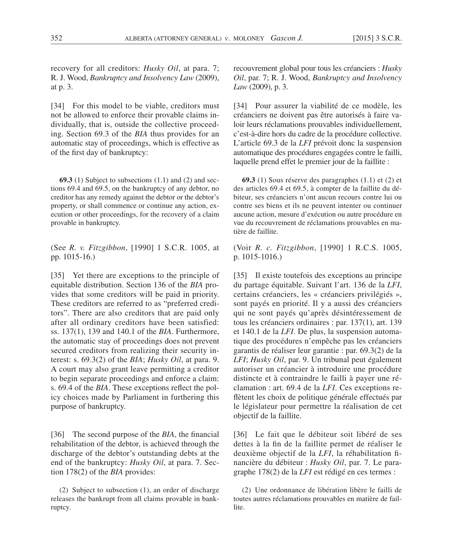recovery for all creditors: *Husky Oil*, at para. 7; R. J. Wood, *Bankruptcy and Insolvency Law* (2009), at p. 3.

[34] For this model to be viable, creditors must not be allowed to enforce their provable claims individually, that is, outside the collective proceeding. Section 69.3 of the *BIA* thus provides for an automatic stay of proceedings, which is effective as of the first day of bankruptcy:

**69.3** (1) Subject to subsections (1.1) and (2) and sections 69.4 and 69.5, on the bankruptcy of any debtor, no creditor has any remedy against the debtor or the debtor's property, or shall commence or continue any action, execution or other proceedings, for the recovery of a claim provable in bankruptcy.

(See *R. v. Fitzgibbon*, [1990] 1 S.C.R. 1005, at pp. 1015-16.)

[35] Yet there are exceptions to the principle of equitable distribution. Section 136 of the *BIA* provides that some creditors will be paid in priority. These creditors are referred to as "preferred creditors". There are also creditors that are paid only after all ordinary creditors have been satisfied: ss. 137(1), 139 and 140.1 of the *BIA*. Furthermore, the automatic stay of proceedings does not prevent secured creditors from realizing their security interest: s. 69.3(2) of the *BIA*; *Husky Oil*, at para. 9. A court may also grant leave permitting a creditor to begin separate proceedings and enforce a claim: s. 69.4 of the *BIA*. These exceptions reflect the policy choices made by Parliament in furthering this purpose of bankruptcy.

[36] The second purpose of the *BIA*, the financial rehabilitation of the debtor, is achieved through the discharge of the debtor's outstanding debts at the end of the bankruptcy: *Husky Oil*, at para. 7. Section 178(2) of the *BIA* provides:

(2) Subject to subsection (1), an order of discharge releases the bankrupt from all claims provable in bankruptcy.

recouvrement global pour tous les créanciers : *Husky Oil*, par. 7; R. J. Wood, *Bankruptcy and Insolvency Law* (2009), p. 3.

[34] Pour assurer la viabilité de ce modèle, les créanciers ne doivent pas être autorisés à faire valoir leurs réclamations prouvables individuellement, c'est-à-dire hors du cadre de la procédure collective. L'article 69.3 de la *LFI* prévoit donc la suspension automatique des procédures engagées contre le failli, laquelle prend effet le premier jour de la faillite :

**69.3** (1) Sous réserve des paragraphes (1.1) et (2) et des articles 69.4 et 69.5, à compter de la faillite du débiteur, ses créanciers n'ont aucun recours contre lui ou contre ses biens et ils ne peuvent intenter ou continuer aucune action, mesure d'exécution ou autre procédure en vue du recouvrement de réclamations prouvables en matière de faillite.

(Voir *R. c. Fitzgibbon*, [1990] 1 R.C.S. 1005, p. 1015-1016.)

[35] Il existe toutefois des exceptions au principe du partage équitable. Suivant l'art. 136 de la *LFI*, certains créanciers, les « créanciers privilégiés », sont payés en priorité. Il y a aussi des créanciers qui ne sont payés qu'après désintéressement de tous les créanciers ordinaires : par. 137(1), art. 139 et 140.1 de la *LFI*. De plus, la suspension automatique des procédures n'empêche pas les créanciers garantis de réaliser leur garantie : par. 69.3(2) de la *LFI*; *Husky Oil*, par. 9. Un tribunal peut également autoriser un créancier à introduire une procédure distincte et à contraindre le failli à payer une réclamation : art. 69.4 de la *LFI*. Ces exceptions reflètent les choix de politique générale effectués par le législateur pour permettre la réalisation de cet objectif de la faillite.

[36] Le fait que le débiteur soit libéré de ses dettes à la fin de la faillite permet de réaliser le deuxième objectif de la *LFI*, la réhabilitation financière du débiteur : *Husky Oil*, par. 7. Le paragraphe 178(2) de la *LFI* est rédigé en ces termes :

(2) Une ordonnance de libération libère le failli de toutes autres réclamations prouvables en matière de faillite.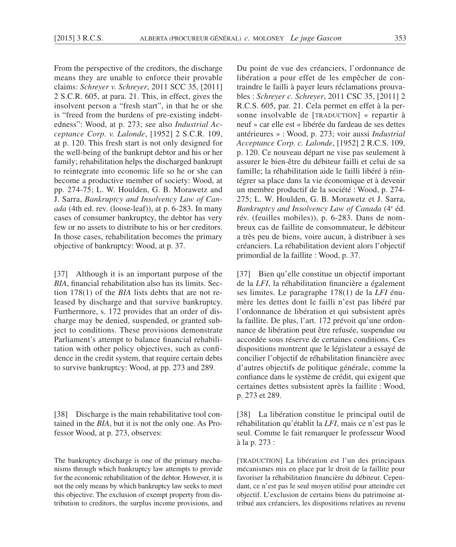From the perspective of the creditors, the discharge means they are unable to enforce their provable claims: *Schreyer v. Schreyer*, 2011 SCC 35, [2011] 2 S.C.R. 605, at para. 21. This, in effect, gives the insolvent person a "fresh start", in that he or she is "freed from the burdens of pre-existing indebtedness": Wood, at p. 273; see also *Industrial Acceptance Corp. v. Lalonde*, [1952] 2 S.C.R. 109, at p. 120. This fresh start is not only designed for the well-being of the bankrupt debtor and his or her family; rehabilitation helps the discharged bankrupt to reintegrate into economic life so he or she can become a productive member of society: Wood, at pp. 274-75; L. W. Houlden, G. B. Morawetz and J. Sarra, *Bankruptcy and Insolvency Law of Canada* (4th ed. rev. (loose-leaf)), at p. 6-283. In many cases of consumer bankruptcy, the debtor has very few or no assets to distribute to his or her creditors. In those cases, rehabilitation becomes the primary objective of bankruptcy: Wood, at p. 37.

[37] Although it is an important purpose of the *BIA*, financial rehabilitation also has its limits. Section 178(1) of the *BIA* lists debts that are not released by discharge and that survive bankruptcy. Furthermore, s. 172 provides that an order of discharge may be denied, suspended, or granted subject to conditions. These provisions demonstrate Parliament's attempt to balance financial rehabilitation with other policy objectives, such as confidence in the credit system, that require certain debts to survive bankruptcy: Wood, at pp. 273 and 289.

[38] Discharge is the main rehabilitative tool contained in the *BIA*, but it is not the only one. As Professor Wood, at p. 273, observes:

The bankruptcy discharge is one of the primary mechanisms through which bankruptcy law attempts to provide for the economic rehabilitation of the debtor. However, it is not the only means by which bankruptcy law seeks to meet this objective. The exclusion of exempt property from distribution to creditors, the surplus income provisions, and

Du point de vue des créanciers, l'ordonnance de libération a pour effet de les empêcher de contraindre le failli à payer leurs réclamations prouvables : *Schreyer c. Schreyer*, 2011 CSC 35, [2011] 2 R.C.S. 605, par. 21. Cela permet en effet à la personne insolvable de [TRADUCTION] « repartir à neuf » car elle est « libérée du fardeau de ses dettes antérieures » : Wood, p. 273; voir aussi *Industrial Acceptance Corp. c. Lalonde*, [1952] 2 R.C.S. 109, p. 120. Ce nouveau départ ne vise pas seulement à assurer le bien-être du débiteur failli et celui de sa famille; la réhabilitation aide le failli libéré à réintégrer sa place dans la vie économique et à devenir un membre productif de la société : Wood, p. 274- 275; L. W. Houlden, G. B. Morawetz et J. Sarra, Bankruptcy and Insolvency Law of Canada (4<sup>e</sup> éd. rév. (feuilles mobiles)), p. 6-283. Dans de nombreux cas de faillite de consommateur, le débiteur a très peu de biens, voire aucun, à distribuer à ses créanciers. La réhabilitation devient alors l'objectif primordial de la faillite : Wood, p. 37.

[37] Bien qu'elle constitue un objectif important de la *LFI*, la réhabilitation financière a également ses limites. Le paragraphe 178(1) de la *LFI* énumère les dettes dont le failli n'est pas libéré par l'ordonnance de libération et qui subsistent après la faillite. De plus, l'art. 172 prévoit qu'une ordonnance de libération peut être refusée, suspendue ou accordée sous réserve de certaines conditions. Ces dispositions montrent que le législateur a essayé de concilier l'objectif de réhabilitation financière avec d'autres objectifs de politique générale, comme la confiance dans le système de crédit, qui exigent que certaines dettes subsistent après la faillite : Wood, p. 273 et 289.

[38] La libération constitue le principal outil de réhabilitation qu'établit la *LFI*, mais ce n'est pas le seul. Comme le fait remarquer le professeur Wood à la p. 273 :

[TRADUCTION] La libération est l'un des principaux mécanismes mis en place par le droit de la faillite pour favoriser la réhabilitation financière du débiteur. Cependant, ce n'est pas le seul moyen utilisé pour atteindre cet objectif. L'exclusion de certains biens du patrimoine attribué aux créanciers, les dispositions relatives au revenu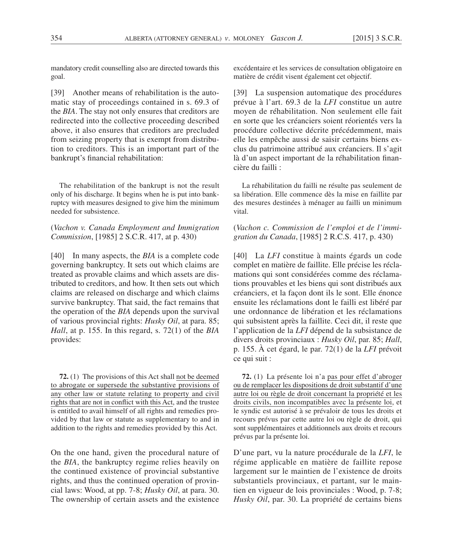mandatory credit counselling also are directed towards this goal.

[39] Another means of rehabilitation is the automatic stay of proceedings contained in s. 69.3 of the *BIA*. The stay not only ensures that creditors are redirected into the collective proceeding described above, it also ensures that creditors are precluded from seizing property that is exempt from distribution to creditors. This is an important part of the bankrupt's financial rehabilitation:

The rehabilitation of the bankrupt is not the result only of his discharge. It begins when he is put into bankruptcy with measures designed to give him the minimum needed for subsistence.

(*Vachon v. Canada Employment and Immigration Commission*, [1985] 2 S.C.R. 417, at p. 430)

[40] In many aspects, the *BIA* is a complete code governing bankruptcy. It sets out which claims are treated as provable claims and which assets are distributed to creditors, and how. It then sets out which claims are released on discharge and which claims survive bankruptcy. That said, the fact remains that the operation of the *BIA* depends upon the survival of various provincial rights: *Husky Oil*, at para. 85; *Hall*, at p. 155. In this regard, s. 72(1) of the *BIA* provides:

**72.** (1) The provisions of this Act shall not be deemed to abrogate or supersede the substantive provisions of any other law or statute relating to property and civil rights that are not in conflict with this Act, and the trustee is entitled to avail himself of all rights and remedies provided by that law or statute as supplementary to and in addition to the rights and remedies provided by this Act.

On the one hand, given the procedural nature of the *BIA*, the bankruptcy regime relies heavily on the continued existence of provincial substantive rights, and thus the continued operation of provincial laws: Wood, at pp. 7-8; *Husky Oil*, at para. 30. The ownership of certain assets and the existence excédentaire et les services de consultation obligatoire en matière de crédit visent également cet objectif.

[39] La suspension automatique des procédures prévue à l'art. 69.3 de la *LFI* constitue un autre moyen de réhabilitation. Non seulement elle fait en sorte que les créanciers soient réorientés vers la procédure collective décrite précédemment, mais elle les empêche aussi de saisir certains biens exclus du patrimoine attribué aux créanciers. Il s'agit là d'un aspect important de la réhabilitation financière du failli :

La réhabilitation du failli ne résulte pas seulement de sa libération. Elle commence dès la mise en faillite par des mesures destinées à ménager au failli un minimum vital.

(*Vachon c. Commission de l'emploi et de l'immigration du Canada*, [1985] 2 R.C.S. 417, p. 430)

[40] La *LFI* constitue à maints égards un code complet en matière de faillite. Elle précise les réclamations qui sont considérées comme des réclamations prouvables et les biens qui sont distribués aux créanciers, et la façon dont ils le sont. Elle énonce ensuite les réclamations dont le failli est libéré par une ordonnance de libération et les réclamations qui subsistent après la faillite. Ceci dit, il reste que l'application de la *LFI* dépend de la subsistance de divers droits provinciaux : *Husky Oil*, par. 85; *Hall*, p. 155. À cet égard, le par. 72(1) de la *LFI* prévoit ce qui suit :

**72.** (1) La présente loi n'a pas pour effet d'abroger ou de remplacer les dispositions de droit substantif d'une autre loi ou règle de droit concernant la propriété et les droits civils, non incompatibles avec la présente loi, et le syndic est autorisé à se prévaloir de tous les droits et recours prévus par cette autre loi ou règle de droit, qui sont supplémentaires et additionnels aux droits et recours prévus par la présente loi.

D'une part, vu la nature procédurale de la *LFI*, le régime applicable en matière de faillite repose largement sur le maintien de l'existence de droits substantiels provinciaux, et partant, sur le maintien en vigueur de lois provinciales : Wood, p. 7-8; *Husky Oil*, par. 30. La propriété de certains biens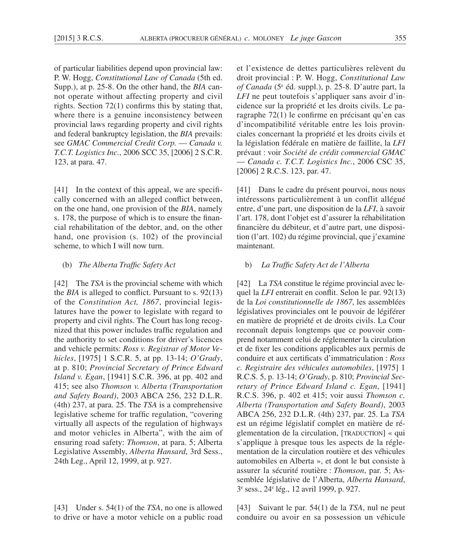of particular liabilities depend upon provincial law: P. W. Hogg, *Constitutional Law of Canada* (5th ed. Supp.), at p. 25-8. On the other hand, the *BIA* cannot operate without affecting property and civil rights. Section 72(1) confirms this by stating that, where there is a genuine inconsistency between provincial laws regarding property and civil rights and federal bankruptcy legislation, the *BIA* prevails: see *GMAC Commercial Credit Corp.* — *Canada v. T.C.T. Logistics Inc.*, 2006 SCC 35, [2006] 2 S.C.R. 123, at para. 47.

[41] In the context of this appeal, we are specifically concerned with an alleged conflict between, on the one hand, one provision of the *BIA*, namely s. 178, the purpose of which is to ensure the financial rehabilitation of the debtor, and, on the other hand, one provision (s. 102) of the provincial scheme, to which I will now turn.

### (b) *The Alberta Traffic Safety Act*

[42] The *TSA* is the provincial scheme with which the *BIA* is alleged to conflict. Pursuant to s. 92(13) of the *Constitution Act, 1867*, provincial legislatures have the power to legislate with regard to property and civil rights. The Court has long recognized that this power includes traffic regulation and the authority to set conditions for driver's licences and vehicle permits: *Ross v. Registrar of Motor Vehicles*, [1975] 1 S.C.R. 5, at pp. 13-14; *O'Grady*, at p. 810; *Provincial Secretary of Prince Edward Island v. Egan*, [1941] S.C.R. 396, at pp. 402 and 415; see also *Thomson v. Alberta (Transportation and Safety Board)*, 2003 ABCA 256, 232 D.L.R. (4th) 237, at para. 25. The *TSA* is a comprehensive legislative scheme for traffic regulation, "covering virtually all aspects of the regulation of highways and motor vehicles in Alberta", with the aim of ensuring road safety: *Thomson*, at para. 5; Alberta Legislative Assembly, *Alberta Hansard*, 3rd Sess., 24th Leg., April 12, 1999, at p. 927.

[43] Under s. 54(1) of the *TSA*, no one is allowed to drive or have a motor vehicle on a public road et l'existence de dettes particulières relèvent du droit provincial : P. W. Hogg, *Constitutional Law of Canada* (5e éd. suppl.), p. 25-8. D'autre part, la *LFI* ne peut toutefois s'appliquer sans avoir d'incidence sur la propriété et les droits civils. Le paragraphe 72(1) le confirme en précisant qu'en cas d'incompatibilité véritable entre les lois provinciales concernant la propriété et les droits civils et la législation fédérale en matière de faillite, la *LFI* prévaut : voir *Société de crédit commercial GMAC*  — *Canada c. T.C.T. Logistics Inc.*, 2006 CSC 35, [2006] 2 R.C.S. 123, par. 47.

[41] Dans le cadre du présent pourvoi, nous nous intéressons particulièrement à un conflit allégué entre, d'une part, une disposition de la *LFI*, à savoir l'art. 178, dont l'objet est d'assurer la réhabilitation financière du débiteur, et d'autre part, une disposition (l'art. 102) du régime provincial, que j'examine maintenant.

### b) *La Traffic Safety Act de l'Alberta*

[42] La *TSA* constitue le régime provincial avec lequel la *LFI* entrerait en conflit. Selon le par. 92(13) de la *Loi constitutionnelle de 1867*, les assemblées législatives provinciales ont le pouvoir de légiférer en matière de propriété et de droits civils. La Cour reconnaît depuis longtemps que ce pouvoir comprend notamment celui de réglementer la circulation et de fixer les conditions applicables aux permis de conduire et aux certificats d'immatriculation : *Ross c. Registraire des véhicules automobiles*, [1975] 1 R.C.S. 5, p. 13-14; *O'Grady*, p. 810; *Provincial Secretary of Prince Edward Island c. Egan*, [1941] R.C.S. 396, p. 402 et 415; voir aussi *Thomson c. Alberta (Transportation and Safety Board)*, 2003 ABCA 256, 232 D.L.R. (4th) 237, par. 25. La *TSA* est un régime législatif complet en matière de réglementation de la circulation, [TRADUCTION] « qui s'applique à presque tous les aspects de la réglementation de la circulation routière et des véhicules automobiles en Alberta », et dont le but consiste à assurer la sécurité routière : *Thomson*, par. 5; Assemblée législative de l'Alberta, *Alberta Hansard*, 3e sess., 24e lég., 12 avril 1999, p. 927.

[43] Suivant le par. 54(1) de la *TSA*, nul ne peut conduire ou avoir en sa possession un véhicule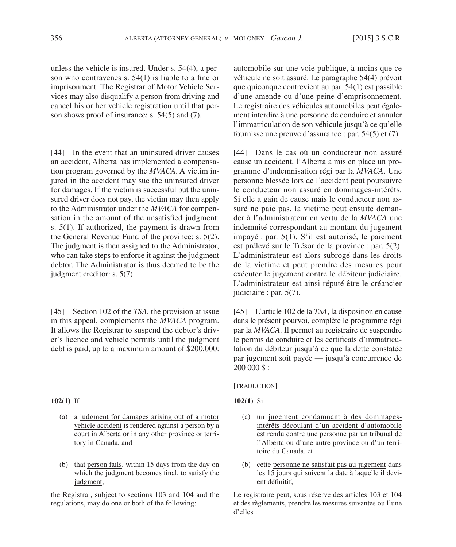unless the vehicle is insured. Under s. 54(4), a person who contravenes s. 54(1) is liable to a fine or imprisonment. The Registrar of Motor Vehicle Services may also disqualify a person from driving and cancel his or her vehicle registration until that person shows proof of insurance: s. 54(5) and (7).

[44] In the event that an uninsured driver causes an accident, Alberta has implemented a compensation program governed by the *MVACA*. A victim injured in the accident may sue the uninsured driver for damages. If the victim is successful but the uninsured driver does not pay, the victim may then apply to the Administrator under the *MVACA* for compensation in the amount of the unsatisfied judgment: s. 5(1). If authorized, the payment is drawn from the General Revenue Fund of the province: s. 5(2). The judgment is then assigned to the Administrator, who can take steps to enforce it against the judgment debtor. The Administrator is thus deemed to be the judgment creditor: s. 5(7).

[45] Section 102 of the *TSA*, the provision at issue in this appeal, complements the *MVACA* program. It allows the Registrar to suspend the debtor's driver's licence and vehicle permits until the judgment debt is paid, up to a maximum amount of \$200,000:

### **102(1)** If

- (a) a judgment for damages arising out of a motor vehicle accident is rendered against a person by a court in Alberta or in any other province or territory in Canada, and
- (b) that person fails, within 15 days from the day on which the judgment becomes final, to satisfy the judgment,

the Registrar, subject to sections 103 and 104 and the regulations, may do one or both of the following:

automobile sur une voie publique, à moins que ce véhicule ne soit assuré. Le paragraphe 54(4) prévoit que quiconque contrevient au par. 54(1) est passible d'une amende ou d'une peine d'emprisonnement. Le registraire des véhicules automobiles peut également interdire à une personne de conduire et annuler l'immatriculation de son véhicule jusqu'à ce qu'elle fournisse une preuve d'assurance : par. 54(5) et (7).

[44] Dans le cas où un conducteur non assuré cause un accident, l'Alberta a mis en place un programme d'indemnisation régi par la *MVACA*. Une personne blessée lors de l'accident peut poursuivre le conducteur non assuré en dommages-intérêts. Si elle a gain de cause mais le conducteur non assuré ne paie pas, la victime peut ensuite demander à l'administrateur en vertu de la *MVACA* une indemnité correspondant au montant du jugement impayé : par. 5(1). S'il est autorisé, le paiement est prélevé sur le Trésor de la province : par. 5(2). L'administrateur est alors subrogé dans les droits de la victime et peut prendre des mesures pour exécuter le jugement contre le débiteur judiciaire. L'administrateur est ainsi réputé être le créancier judiciaire : par. 5(7).

[45] L'article 102 de la *TSA*, la disposition en cause dans le présent pourvoi, complète le programme régi par la *MVACA*. Il permet au registraire de suspendre le permis de conduire et les certificats d'immatriculation du débiteur jusqu'à ce que la dette constatée par jugement soit payée — jusqu'à concurrence de 200 000 \$ :

#### [TRADUCTION]

# **102(1)** Si

- (a) un jugement condamnant à des dommagesintérêts découlant d'un accident d'automobile est rendu contre une personne par un tribunal de l'Alberta ou d'une autre province ou d'un territoire du Canada, et
- (b) cette personne ne satisfait pas au jugement dans les 15 jours qui suivent la date à laquelle il devient définitif,

Le registraire peut, sous réserve des articles 103 et 104 et des règlements, prendre les mesures suivantes ou l'une d'elles :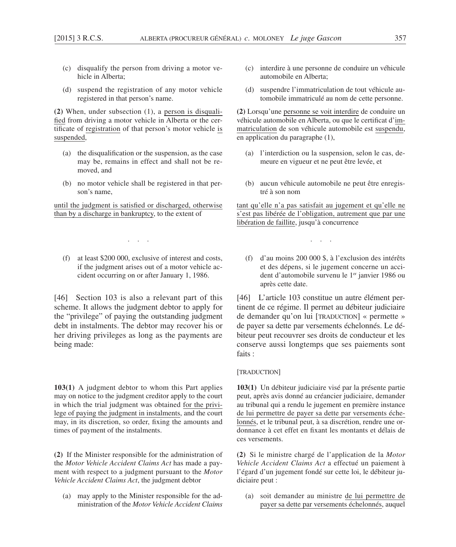- (c) disqualify the person from driving a motor vehicle in Alberta;
- (d) suspend the registration of any motor vehicle registered in that person's name.

**(2)** When, under subsection (1), a person is disqualified from driving a motor vehicle in Alberta or the certificate of registration of that person's motor vehicle is suspended,

- (a) the disqualification or the suspension, as the case may be, remains in effect and shall not be removed, and
- (b) no motor vehicle shall be registered in that person's name,

until the judgment is satisfied or discharged, otherwise than by a discharge in bankruptcy, to the extent of

. . .

(f) at least \$200 000, exclusive of interest and costs, if the judgment arises out of a motor vehicle accident occurring on or after January 1, 1986.

[46] Section 103 is also a relevant part of this scheme. It allows the judgment debtor to apply for the "privilege" of paying the outstanding judgment debt in instalments. The debtor may recover his or her driving privileges as long as the payments are being made:

**103(1)** A judgment debtor to whom this Part applies may on notice to the judgment creditor apply to the court in which the trial judgment was obtained for the privilege of paying the judgment in instalments, and the court may, in its discretion, so order, fixing the amounts and times of payment of the instalments.

**(2)** If the Minister responsible for the administration of the *Motor Vehicle Accident Claims Act* has made a payment with respect to a judgment pursuant to the *Motor Vehicle Accident Claims Act*, the judgment debtor

(a) may apply to the Minister responsible for the administration of the *Motor Vehicle Accident Claims* 

- (c) interdire à une personne de conduire un véhicule automobile en Alberta;
- (d) suspendre l'immatriculation de tout véhicule automobile immatriculé au nom de cette personne.

**(2)** Lorsqu'une personne se voit interdire de conduire un véhicule automobile en Alberta, ou que le certificat d'immatriculation de son véhicule automobile est suspendu, en application du paragraphe (1),

- (a) l'interdiction ou la suspension, selon le cas, demeure en vigueur et ne peut être levée, et
- (b) aucun véhicule automobile ne peut être enregistré à son nom

tant qu'elle n'a pas satisfait au jugement et qu'elle ne s'est pas libérée de l'obligation, autrement que par une libération de faillite, jusqu'à concurrence

. . .

(f) d'au moins 200 000 \$, à l'exclusion des intérêts et des dépens, si le jugement concerne un accident d'automobile survenu le 1<sup>er</sup> janvier 1986 ou après cette date.

[46] L'article 103 constitue un autre élément pertinent de ce régime. Il permet au débiteur judiciaire de demander qu'on lui [TRADUCTION] « permette » de payer sa dette par versements échelonnés. Le débiteur peut recouvrer ses droits de conducteur et les conserve aussi longtemps que ses paiements sont faits :

#### [TRADUCTION]

**103(1)** Un débiteur judiciaire visé par la présente partie peut, après avis donné au créancier judiciaire, demander au tribunal qui a rendu le jugement en première instance de lui permettre de payer sa dette par versements échelonnés, et le tribunal peut, à sa discrétion, rendre une ordonnance à cet effet en fixant les montants et délais de ces versements.

**(2)** Si le ministre chargé de l'application de la *Motor Vehicle Accident Claims Act* a effectué un paiement à l'égard d'un jugement fondé sur cette loi, le débiteur judiciaire peut :

(a) soit demander au ministre de lui permettre de payer sa dette par versements échelonnés, auquel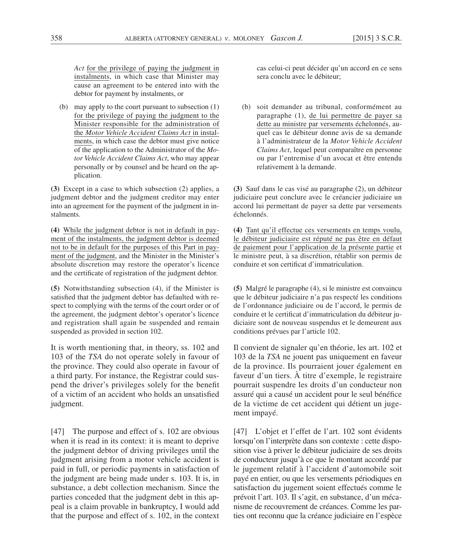*Act* for the privilege of paying the judgment in instalments, in which case that Minister may cause an agreement to be entered into with the debtor for payment by instalments, or

(b) may apply to the court pursuant to subsection (1) for the privilege of paying the judgment to the Minister responsible for the administration of the *Motor Vehicle Accident Claims Act* in instalments, in which case the debtor must give notice of the application to the Administrator of the *Motor Vehicle Accident Claims Act*, who may appear personally or by counsel and be heard on the application.

**(3)** Except in a case to which subsection (2) applies, a judgment debtor and the judgment creditor may enter into an agreement for the payment of the judgment in instalments.

**(4)** While the judgment debtor is not in default in payment of the instalments, the judgment debtor is deemed not to be in default for the purposes of this Part in payment of the judgment, and the Minister in the Minister's absolute discretion may restore the operator's licence and the certificate of registration of the judgment debtor.

**(5)** Notwithstanding subsection (4), if the Minister is satisfied that the judgment debtor has defaulted with respect to complying with the terms of the court order or of the agreement, the judgment debtor's operator's licence and registration shall again be suspended and remain suspended as provided in section 102.

It is worth mentioning that, in theory, ss. 102 and 103 of the *TSA* do not operate solely in favour of the province. They could also operate in favour of a third party. For instance, the Registrar could suspend the driver's privileges solely for the benefit of a victim of an accident who holds an unsatisfied judgment.

[47] The purpose and effect of s. 102 are obvious when it is read in its context: it is meant to deprive the judgment debtor of driving privileges until the judgment arising from a motor vehicle accident is paid in full, or periodic payments in satisfaction of the judgment are being made under s. 103. It is, in substance, a debt collection mechanism. Since the parties conceded that the judgment debt in this appeal is a claim provable in bankruptcy, I would add that the purpose and effect of s. 102, in the context cas celui-ci peut décider qu'un accord en ce sens sera conclu avec le débiteur;

(b) soit demander au tribunal, conformément au paragraphe (1), de lui permettre de payer sa dette au ministre par versements échelonnés, auquel cas le débiteur donne avis de sa demande à l'administrateur de la *Motor Vehicle Accident Claims Act*, lequel peut comparaître en personne ou par l'entremise d'un avocat et être entendu relativement à la demande.

**(3)** Sauf dans le cas visé au paragraphe (2), un débiteur judiciaire peut conclure avec le créancier judiciaire un accord lui permettant de payer sa dette par versements échelonnés.

**(4)** Tant qu'il effectue ces versements en temps voulu, le débiteur judiciaire est réputé ne pas être en défaut de paiement pour l'application de la présente partie et le ministre peut, à sa discrétion, rétablir son permis de conduire et son certificat d'immatriculation.

**(5)** Malgré le paragraphe (4), si le ministre est convaincu que le débiteur judiciaire n'a pas respecté les conditions de l'ordonnance judiciaire ou de l'accord, le permis de conduire et le certificat d'immatriculation du débiteur judiciaire sont de nouveau suspendus et le demeurent aux conditions prévues par l'article 102.

Il convient de signaler qu'en théorie, les art. 102 et 103 de la *TSA* ne jouent pas uniquement en faveur de la province. Ils pourraient jouer également en faveur d'un tiers. À titre d'exemple, le registraire pourrait suspendre les droits d'un conducteur non assuré qui a causé un accident pour le seul bénéfice de la victime de cet accident qui détient un jugement impayé.

[47] L'objet et l'effet de l'art. 102 sont évidents lorsqu'on l'interprète dans son contexte : cette disposition vise à priver le débiteur judiciaire de ses droits de conducteur jusqu'à ce que le montant accordé par le jugement relatif à l'accident d'automobile soit payé en entier, ou que les versements périodiques en satisfaction du jugement soient effectués comme le prévoit l'art. 103. Il s'agit, en substance, d'un mécanisme de recouvrement de créances. Comme les parties ont reconnu que la créance judiciaire en l'espèce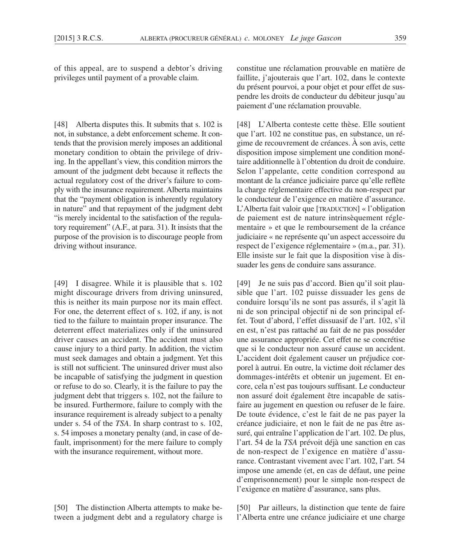of this appeal, are to suspend a debtor's driving privileges until payment of a provable claim.

[48] Alberta disputes this. It submits that s. 102 is not, in substance, a debt enforcement scheme. It contends that the provision merely imposes an additional monetary condition to obtain the privilege of driving. In the appellant's view, this condition mirrors the amount of the judgment debt because it reflects the actual regulatory cost of the driver's failure to comply with the insurance requirement. Alberta maintains that the "payment obligation is inherently regulatory in nature" and that repayment of the judgment debt "is merely incidental to the satisfaction of the regulatory requirement" (A.F., at para. 31). It insists that the purpose of the provision is to discourage people from driving without insurance.

[49] I disagree. While it is plausible that s. 102 might discourage drivers from driving uninsured, this is neither its main purpose nor its main effect. For one, the deterrent effect of s. 102, if any, is not tied to the failure to maintain proper insurance. The deterrent effect materializes only if the uninsured driver causes an accident. The accident must also cause injury to a third party. In addition, the victim must seek damages and obtain a judgment. Yet this is still not sufficient. The uninsured driver must also be incapable of satisfying the judgment in question or refuse to do so. Clearly, it is the failure to pay the judgment debt that triggers s. 102, not the failure to be insured. Furthermore, failure to comply with the insurance requirement is already subject to a penalty under s. 54 of the *TSA*. In sharp contrast to s. 102, s. 54 imposes a monetary penalty (and, in case of default, imprisonment) for the mere failure to comply with the insurance requirement, without more.

[50] The distinction Alberta attempts to make between a judgment debt and a regulatory charge is constitue une réclamation prouvable en matière de faillite, j'ajouterais que l'art. 102, dans le contexte du présent pourvoi, a pour objet et pour effet de suspendre les droits de conducteur du débiteur jusqu'au paiement d'une réclamation prouvable.

[48] L'Alberta conteste cette thèse. Elle soutient que l'art. 102 ne constitue pas, en substance, un régime de recouvrement de créances. À son avis, cette disposition impose simplement une condition monétaire additionnelle à l'obtention du droit de conduire. Selon l'appelante, cette condition correspond au montant de la créance judiciaire parce qu'elle reflète la charge réglementaire effective du non-respect par le conducteur de l'exigence en matière d'assurance. L'Alberta fait valoir que [TRADUCTION] « l'obligation de paiement est de nature intrinsèquement réglementaire » et que le remboursement de la créance judiciaire « ne représente qu'un aspect accessoire du respect de l'exigence réglementaire » (m.a., par. 31). Elle insiste sur le fait que la disposition vise à dissuader les gens de conduire sans assurance.

[49] Je ne suis pas d'accord. Bien qu'il soit plausible que l'art. 102 puisse dissuader les gens de conduire lorsqu'ils ne sont pas assurés, il s'agit là ni de son principal objectif ni de son principal effet. Tout d'abord, l'effet dissuasif de l'art. 102, s'il en est, n'est pas rattaché au fait de ne pas posséder une assurance appropriée. Cet effet ne se concrétise que si le conducteur non assuré cause un accident. L'accident doit également causer un préjudice corporel à autrui. En outre, la victime doit réclamer des dommages-intérêts et obtenir un jugement. Et encore, cela n'est pas toujours suffisant. Le conducteur non assuré doit également être incapable de satisfaire au jugement en question ou refuser de le faire. De toute évidence, c'est le fait de ne pas payer la créance judiciaire, et non le fait de ne pas être assuré, qui entraîne l'application de l'art. 102. De plus, l'art. 54 de la *TSA* prévoit déjà une sanction en cas de non-respect de l'exigence en matière d'assurance. Contrastant vivement avec l'art. 102, l'art. 54 impose une amende (et, en cas de défaut, une peine d'emprisonnement) pour le simple non-respect de l'exigence en matière d'assurance, sans plus.

[50] Par ailleurs, la distinction que tente de faire l'Alberta entre une créance judiciaire et une charge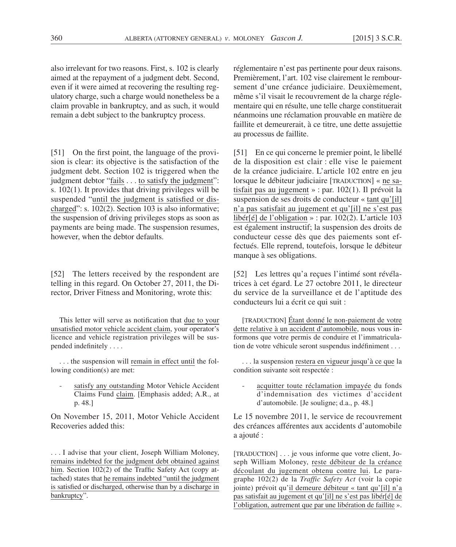also irrelevant for two reasons. First, s. 102 is clearly aimed at the repayment of a judgment debt. Second, even if it were aimed at recovering the resulting regulatory charge, such a charge would nonetheless be a claim provable in bankruptcy, and as such, it would remain a debt subject to the bankruptcy process.

[51] On the first point, the language of the provision is clear: its objective is the satisfaction of the judgment debt. Section 102 is triggered when the judgment debtor "fails . . . to satisfy the judgment": s.  $102(1)$ . It provides that driving privileges will be suspended "until the judgment is satisfied or discharged": s. 102(2). Section 103 is also informative; the suspension of driving privileges stops as soon as payments are being made. The suspension resumes, however, when the debtor defaults.

[52] The letters received by the respondent are telling in this regard. On October 27, 2011, the Director, Driver Fitness and Monitoring, wrote this:

This letter will serve as notification that due to your unsatisfied motor vehicle accident claim, your operator's licence and vehicle registration privileges will be suspended indefinitely . . . .

. . . the suspension will remain in effect until the following condition(s) are met:

satisfy any outstanding Motor Vehicle Accident Claims Fund claim. [Emphasis added; A.R., at p. 48.]

On November 15, 2011, Motor Vehicle Accident Recoveries added this:

. . . I advise that your client, Joseph William Moloney, remains indebted for the judgment debt obtained against him. Section 102(2) of the Traffic Safety Act (copy attached) states that he remains indebted "until the judgment is satisfied or discharged, otherwise than by a discharge in bankruptcy".

réglementaire n'est pas pertinente pour deux raisons. Premièrement, l'art. 102 vise clairement le remboursement d'une créance judiciaire. Deuxièmement, même s'il visait le recouvrement de la charge réglementaire qui en résulte, une telle charge constituerait néanmoins une réclamation prouvable en matière de faillite et demeurerait, à ce titre, une dette assujettie au processus de faillite.

[51] En ce qui concerne le premier point, le libellé de la disposition est clair : elle vise le paiement de la créance judiciaire. L'article 102 entre en jeu lorsque le débiteur judiciaire [TRADUCTION] « ne satisfait pas au jugement » : par. 102(1). Il prévoit la suspension de ses droits de conducteur « tant qu'[il] n'a pas satisfait au jugement et qu'[il] ne s'est pas libér[é] de l'obligation » : par. 102(2). L'article 103 est également instructif; la suspension des droits de conducteur cesse dès que des paiements sont effectués. Elle reprend, toutefois, lorsque le débiteur manque à ses obligations.

[52] Les lettres qu'a reçues l'intimé sont révélatrices à cet égard. Le 27 octobre 2011, le directeur du service de la surveillance et de l'aptitude des conducteurs lui a écrit ce qui suit :

[TRADUCTION] Étant donné le non-paiement de votre dette relative à un accident d'automobile, nous vous informons que votre permis de conduire et l'immatriculation de votre véhicule seront suspendus indéfiniment . . .

. . . la suspension restera en vigueur jusqu'à ce que la condition suivante soit respectée :

acquitter toute réclamation impayée du fonds d'indemnisation des victimes d'accident d'automobile. [Je souligne; d.a., p. 48.]

Le 15 novembre 2011, le service de recouvrement des créances afférentes aux accidents d'automobile a ajouté :

[TRADUCTION] . . . je vous informe que votre client, Joseph William Moloney, reste débiteur de la créance découlant du jugement obtenu contre lui. Le paragraphe 102(2) de la *Traffic Safety Act* (voir la copie jointe) prévoit qu'il demeure débiteur « tant qu'[il] n'a pas satisfait au jugement et qu'[il] ne s'est pas libér[é] de l'obligation, autrement que par une libération de faillite ».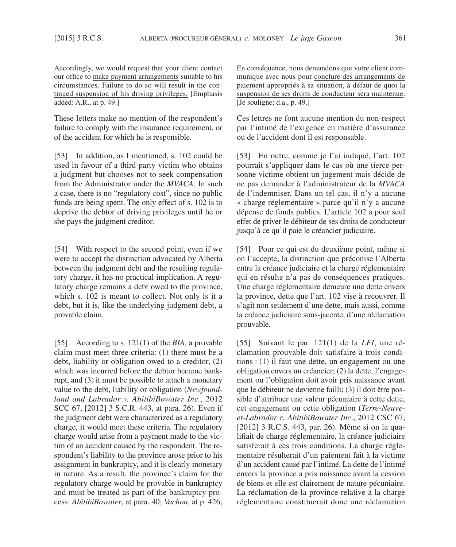Accordingly, we would request that your client contact our office to make payment arrangements suitable to his circumstances. Failure to do so will result in the continued suspension of his driving privileges. [Emphasis added; A.R., at p. 49.]

These letters make no mention of the respondent's failure to comply with the insurance requirement, or of the accident for which he is responsible.

[53] In addition, as I mentioned, s. 102 could be used in favour of a third party victim who obtains a judgment but chooses not to seek compensation from the Administrator under the *MVACA*. In such a case, there is no "regulatory cost", since no public funds are being spent. The only effect of s. 102 is to deprive the debtor of driving privileges until he or she pays the judgment creditor.

[54] With respect to the second point, even if we were to accept the distinction advocated by Alberta between the judgment debt and the resulting regulatory charge, it has no practical implication. A regulatory charge remains a debt owed to the province, which s. 102 is meant to collect. Not only is it a debt, but it is, like the underlying judgment debt, a provable claim.

[55] According to s. 121(1) of the *BIA*, a provable claim must meet three criteria: (1) there must be a debt, liability or obligation owed to a creditor, (2) which was incurred before the debtor became bankrupt, and (3) it must be possible to attach a monetary value to the debt, liability or obligation (*Newfoundland and Labrador v. AbitibiBowater Inc.*, 2012 SCC 67, [2012] 3 S.C.R. 443, at para. 26). Even if the judgment debt were characterized as a regulatory charge, it would meet these criteria. The regulatory charge would arise from a payment made to the victim of an accident caused by the respondent. The respondent's liability to the province arose prior to his assignment in bankruptcy, and it is clearly monetary in nature. As a result, the province's claim for the regulatory charge would be provable in bankruptcy and must be treated as part of the bankruptcy process: *AbitibiBowater*, at para. 40; *Vachon*, at p. 426; En conséquence, nous demandons que votre client communique avec nous pour conclure des arrangements de paiement appropriés à sa situation, à défaut de quoi la suspension de ses droits de conducteur sera maintenue. [Je souligne; d.a., p. 49.]

Ces lettres ne font aucune mention du non-respect par l'intimé de l'exigence en matière d'assurance ou de l'accident dont il est responsable.

[53] En outre, comme je l'ai indiqué, l'art. 102 pourrait s'appliquer dans le cas où une tierce personne victime obtient un jugement mais décide de ne pas demander à l'administrateur de la *MVACA* de l'indemniser. Dans un tel cas, il n'y a aucune « charge réglementaire » parce qu'il n'y a aucune dépense de fonds publics. L'article 102 a pour seul effet de priver le débiteur de ses droits de conducteur jusqu'à ce qu'il paie le créancier judiciaire.

[54] Pour ce qui est du deuxième point, même si on l'accepte, la distinction que préconise l'Alberta entre la créance judiciaire et la charge réglementaire qui en résulte n'a pas de conséquences pratiques. Une charge réglementaire demeure une dette envers la province, dette que l'art. 102 vise à recouvrer. Il s'agit non seulement d'une dette, mais aussi, comme la créance judiciaire sous-jacente, d'une réclamation prouvable.

[55] Suivant le par. 121(1) de la *LFI*, une réclamation prouvable doit satisfaire à trois conditions : (1) il faut une dette, un engagement ou une obligation envers un créancier; (2) la dette, l'engagement ou l'obligation doit avoir pris naissance avant que le débiteur ne devienne failli; (3) il doit être possible d'attribuer une valeur pécuniaire à cette dette, cet engagement ou cette obligation (*Terre-Neuveet-Labrador c. AbitibiBowater Inc*., 2012 CSC 67, [2012] 3 R.C.S. 443, par. 26). Même si on la qualifiait de charge réglementaire, la créance judiciaire satisferait à ces trois conditions. La charge réglementaire résulterait d'un paiement fait à la victime d'un accident causé par l'intimé. La dette de l'intimé envers la province a pris naissance avant la cession de biens et elle est clairement de nature pécuniaire. La réclamation de la province relative à la charge réglementaire constituerait donc une réclamation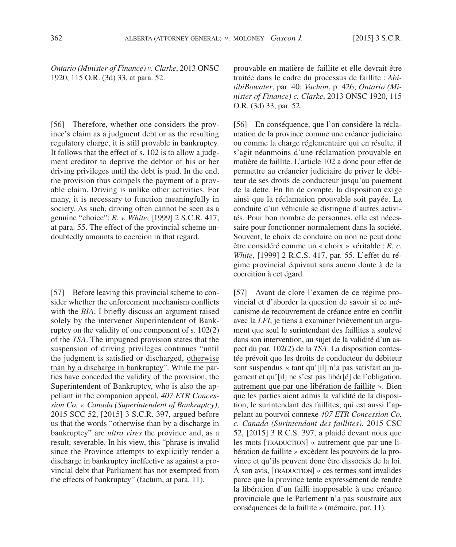*Ontario (Minister of Finance) v. Clarke*, 2013 ONSC 1920, 115 O.R. (3d) 33, at para. 52.

[56] Therefore, whether one considers the province's claim as a judgment debt or as the resulting regulatory charge, it is still provable in bankruptcy. It follows that the effect of s. 102 is to allow a judgment creditor to deprive the debtor of his or her driving privileges until the debt is paid. In the end, the provision thus compels the payment of a provable claim. Driving is unlike other activities. For many, it is necessary to function meaningfully in society. As such, driving often cannot be seen as a genuine "choice": *R. v. White*, [1999] 2 S.C.R. 417, at para. 55. The effect of the provincial scheme undoubtedly amounts to coercion in that regard.

[57] Before leaving this provincial scheme to consider whether the enforcement mechanism conflicts with the *BIA*, I briefly discuss an argument raised solely by the intervener Superintendent of Bankruptcy on the validity of one component of s. 102(2) of the *TSA*. The impugned provision states that the suspension of driving privileges continues "until the judgment is satisfied or discharged, otherwise than by a discharge in bankruptcy". While the parties have conceded the validity of the provision, the Superintendent of Bankruptcy, who is also the appellant in the companion appeal, *407 ETR Concession Co. v. Canada (Superintendent of Bankruptcy)*, 2015 SCC 52, [2015] 3 S.C.R. 397, argued before us that the words "otherwise than by a discharge in bankruptcy" are *ultra vires* the province and, as a result, severable. In his view, this "phrase is invalid since the Province attempts to explicitly render a discharge in bankruptcy ineffective as against a provincial debt that Parliament has not exempted from the effects of bankruptcy" (factum, at para. 11).

prouvable en matière de faillite et elle devrait être traitée dans le cadre du processus de faillite : *AbitibiBowater*, par. 40; *Vachon*, p. 426; *Ontario (Minister of Finance) c. Clarke*, 2013 ONSC 1920, 115 O.R. (3d) 33, par. 52.

[56] En conséquence, que l'on considère la réclamation de la province comme une créance judiciaire ou comme la charge réglementaire qui en résulte, il s'agit néanmoins d'une réclamation prouvable en matière de faillite. L'article 102 a donc pour effet de permettre au créancier judiciaire de priver le débiteur de ses droits de conducteur jusqu'au paiement de la dette. En fin de compte, la disposition exige ainsi que la réclamation prouvable soit payée. La conduite d'un véhicule se distingue d'autres activités. Pour bon nombre de personnes, elle est nécessaire pour fonctionner normalement dans la société. Souvent, le choix de conduire ou non ne peut donc être considéré comme un « choix » véritable : *R. c. White*, [1999] 2 R.C.S. 417, par. 55. L'effet du régime provincial équivaut sans aucun doute à de la coercition à cet égard.

[57] Avant de clore l'examen de ce régime provincial et d'aborder la question de savoir si ce mécanisme de recouvrement de créance entre en conflit avec la *LFI*, je tiens à examiner brièvement un argument que seul le surintendant des faillites a soulevé dans son intervention, au sujet de la validité d'un aspect du par. 102(2) de la *TSA*. La disposition contestée prévoit que les droits de conducteur du débiteur sont suspendus « tant qu'[il] n'a pas satisfait au jugement et qu'[il] ne s'est pas libér[é] de l'obligation, autrement que par une libération de faillite ». Bien que les parties aient admis la validité de la disposition, le surintendant des faillites, qui est aussi l'appelant au pourvoi connexe *407 ETR Concession Co. c. Canada (Surintendant des faillites)*, 2015 CSC 52, [2015] 3 R.C.S. 397, a plaidé devant nous que les mots [TRADUCTION] « autrement que par une libération de faillite » excèdent les pouvoirs de la province et qu'ils peuvent donc être dissociés de la loi. À son avis, [TRADUCTION] « ces termes sont invalides parce que la province tente expressément de rendre la libération d'un failli inopposable à une créance provinciale que le Parlement n'a pas soustraite aux conséquences de la faillite » (mémoire, par. 11).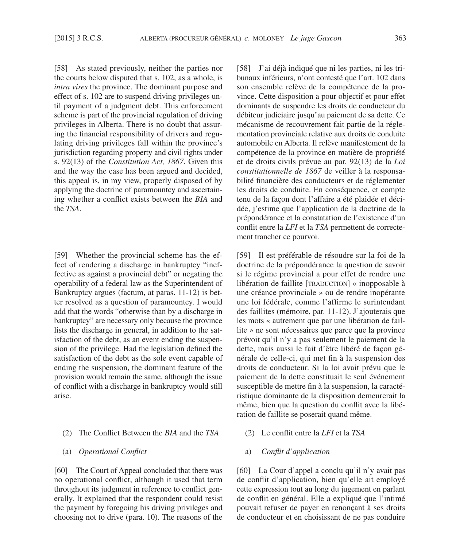[58] As stated previously, neither the parties nor the courts below disputed that s. 102, as a whole, is *intra vires* the province. The dominant purpose and effect of s. 102 are to suspend driving privileges until payment of a judgment debt. This enforcement scheme is part of the provincial regulation of driving privileges in Alberta. There is no doubt that assuring the financial responsibility of drivers and regulating driving privileges fall within the province's jurisdiction regarding property and civil rights under s. 92(13) of the *Constitution Act, 1867*. Given this and the way the case has been argued and decided, this appeal is, in my view, properly disposed of by applying the doctrine of paramountcy and ascertaining whether a conflict exists between the *BIA* and the *TSA*.

[59] Whether the provincial scheme has the effect of rendering a discharge in bankruptcy "ineffective as against a provincial debt" or negating the operability of a federal law as the Superintendent of Bankruptcy argues (factum, at paras. 11-12) is better resolved as a question of paramountcy. I would add that the words "otherwise than by a discharge in bankruptcy" are necessary only because the province lists the discharge in general, in addition to the satisfaction of the debt, as an event ending the suspension of the privilege. Had the legislation defined the satisfaction of the debt as the sole event capable of ending the suspension, the dominant feature of the provision would remain the same, although the issue of conflict with a discharge in bankruptcy would still arise.

- (2) The Conflict Between the *BIA* and the *TSA*
- (a) *Operational Conflict*

[60] The Court of Appeal concluded that there was no operational conflict, although it used that term throughout its judgment in reference to conflict generally. It explained that the respondent could resist the payment by foregoing his driving privileges and choosing not to drive (para. 10). The reasons of the [58] J'ai déjà indiqué que ni les parties, ni les tribunaux inférieurs, n'ont contesté que l'art. 102 dans son ensemble relève de la compétence de la province. Cette disposition a pour objectif et pour effet dominants de suspendre les droits de conducteur du débiteur judiciaire jusqu'au paiement de sa dette. Ce mécanisme de recouvrement fait partie de la réglementation provinciale relative aux droits de conduite automobile en Alberta. Il relève manifestement de la compétence de la province en matière de propriété et de droits civils prévue au par. 92(13) de la *Loi constitutionnelle de 1867* de veiller à la responsabilité financière des conducteurs et de réglementer les droits de conduite. En conséquence, et compte tenu de la façon dont l'affaire a été plaidée et décidée, j'estime que l'application de la doctrine de la prépondérance et la constatation de l'existence d'un conflit entre la *LFI* et la *TSA* permettent de correctement trancher ce pourvoi.

[59] Il est préférable de résoudre sur la foi de la doctrine de la prépondérance la question de savoir si le régime provincial a pour effet de rendre une libération de faillite [TRADUCTION] « inopposable à une créance provinciale » ou de rendre inopérante une loi fédérale, comme l'affirme le surintendant des faillites (mémoire, par. 11-12). J'ajouterais que les mots « autrement que par une libération de faillite » ne sont nécessaires que parce que la province prévoit qu'il n'y a pas seulement le paiement de la dette, mais aussi le fait d'être libéré de façon générale de celle-ci, qui met fin à la suspension des droits de conducteur. Si la loi avait prévu que le paiement de la dette constituait le seul événement susceptible de mettre fin à la suspension, la caractéristique dominante de la disposition demeurerait la même, bien que la question du conflit avec la libération de faillite se poserait quand même.

- (2) Le conflit entre la *LFI* et la *TSA*
- a) *Conflit d'application*

[60] La Cour d'appel a conclu qu'il n'y avait pas de conflit d'application, bien qu'elle ait employé cette expression tout au long du jugement en parlant de conflit en général. Elle a expliqué que l'intimé pouvait refuser de payer en renonçant à ses droits de conducteur et en choisissant de ne pas conduire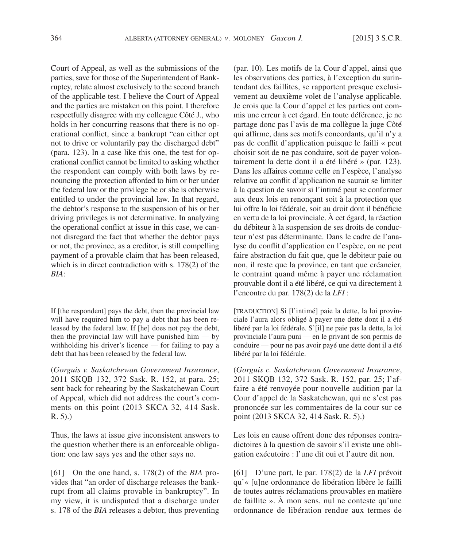Court of Appeal, as well as the submissions of the parties, save for those of the Superintendent of Bankruptcy, relate almost exclusively to the second branch of the applicable test. I believe the Court of Appeal and the parties are mistaken on this point. I therefore respectfully disagree with my colleague Côté J., who holds in her concurring reasons that there is no operational conflict, since a bankrupt "can either opt not to drive or voluntarily pay the discharged debt" (para. 123). In a case like this one, the test for operational conflict cannot be limited to asking whether the respondent can comply with both laws by renouncing the protection afforded to him or her under the federal law or the privilege he or she is otherwise entitled to under the provincial law. In that regard, the debtor's response to the suspension of his or her driving privileges is not determinative. In analyzing the operational conflict at issue in this case, we cannot disregard the fact that whether the debtor pays or not, the province, as a creditor, is still compelling payment of a provable claim that has been released, which is in direct contradiction with s. 178(2) of the *BIA*:

If [the respondent] pays the debt, then the provincial law will have required him to pay a debt that has been released by the federal law. If [he] does not pay the debt, then the provincial law will have punished him — by withholding his driver's licence — for failing to pay a debt that has been released by the federal law.

(*Gorguis v. Saskatchewan Government Insurance*, 2011 SKQB 132, 372 Sask. R. 152, at para. 25; sent back for rehearing by the Saskatchewan Court of Appeal, which did not address the court's comments on this point (2013 SKCA 32, 414 Sask. R. 5).)

Thus, the laws at issue give inconsistent answers to the question whether there is an enforceable obligation: one law says yes and the other says no.

[61] On the one hand, s. 178(2) of the *BIA* provides that "an order of discharge releases the bankrupt from all claims provable in bankruptcy". In my view, it is undisputed that a discharge under s. 178 of the *BIA* releases a debtor, thus preventing

(par. 10). Les motifs de la Cour d'appel, ainsi que les observations des parties, à l'exception du surintendant des faillites, se rapportent presque exclusivement au deuxième volet de l'analyse applicable. Je crois que la Cour d'appel et les parties ont commis une erreur à cet égard. En toute déférence, je ne partage donc pas l'avis de ma collègue la juge Côté qui affirme, dans ses motifs concordants, qu'il n'y a pas de conflit d'application puisque le failli « peut choisir soit de ne pas conduire, soit de payer volontairement la dette dont il a été libéré » (par. 123). Dans les affaires comme celle en l'espèce, l'analyse relative au conflit d'application ne saurait se limiter à la question de savoir si l'intimé peut se conformer aux deux lois en renonçant soit à la protection que lui offre la loi fédérale, soit au droit dont il bénéficie en vertu de la loi provinciale. À cet égard, la réaction du débiteur à la suspension de ses droits de conducteur n'est pas déterminante. Dans le cadre de l'analyse du conflit d'application en l'espèce, on ne peut faire abstraction du fait que, que le débiteur paie ou non, il reste que la province, en tant que créancier, le contraint quand même à payer une réclamation prouvable dont il a été libéré, ce qui va directement à l'encontre du par. 178(2) de la *LFI* :

[TRADUCTION] Si [l'intimé] paie la dette, la loi provinciale l'aura alors obligé à payer une dette dont il a été libéré par la loi fédérale. S'[il] ne paie pas la dette, la loi provinciale l'aura puni — en le privant de son permis de conduire — pour ne pas avoir payé une dette dont il a été libéré par la loi fédérale.

(*Gorguis c. Saskatchewan Government Insurance*, 2011 SKQB 132, 372 Sask. R. 152, par. 25; l'affaire a été renvoyée pour nouvelle audition par la Cour d'appel de la Saskatchewan, qui ne s'est pas prononcée sur les commentaires de la cour sur ce point (2013 SKCA 32, 414 Sask. R. 5).)

Les lois en cause offrent donc des réponses contradictoires à la question de savoir s'il existe une obligation exécutoire : l'une dit oui et l'autre dit non.

[61] D'une part, le par. 178(2) de la *LFI* prévoit qu'« [u]ne ordonnance de libération libère le failli de toutes autres réclamations prouvables en matière de faillite ». À mon sens, nul ne conteste qu'une ordonnance de libération rendue aux termes de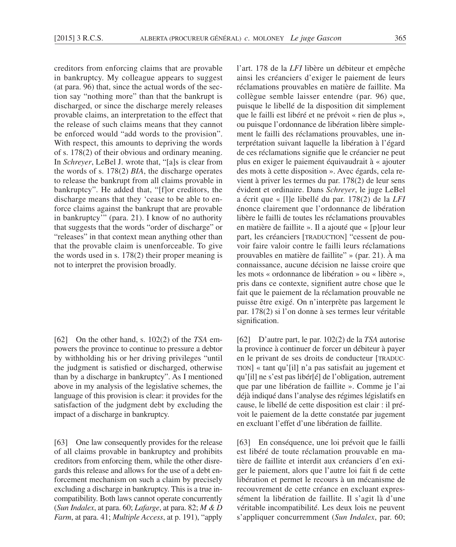creditors from enforcing claims that are provable in bankruptcy. My colleague appears to suggest (at para. 96) that, since the actual words of the section say "nothing more" than that the bankrupt is discharged, or since the discharge merely releases provable claims, an interpretation to the effect that the release of such claims means that they cannot be enforced would "add words to the provision". With respect, this amounts to depriving the words of s. 178(2) of their obvious and ordinary meaning. In *Schreyer*, LeBel J. wrote that, "[a]s is clear from the words of s. 178(2) *BIA*, the discharge operates to release the bankrupt from all claims provable in bankruptcy". He added that, "[f]or creditors, the discharge means that they 'cease to be able to enforce claims against the bankrupt that are provable in bankruptcy'" (para. 21). I know of no authority that suggests that the words "order of discharge" or "releases" in that context mean anything other than that the provable claim is unenforceable. To give the words used in s. 178(2) their proper meaning is not to interpret the provision broadly.

[62] On the other hand, s. 102(2) of the *TSA* empowers the province to continue to pressure a debtor by withholding his or her driving privileges "until the judgment is satisfied or discharged, otherwise than by a discharge in bankruptcy". As I mentioned above in my analysis of the legislative schemes, the language of this provision is clear: it provides for the satisfaction of the judgment debt by excluding the impact of a discharge in bankruptcy.

[63] One law consequently provides for the release of all claims provable in bankruptcy and prohibits creditors from enforcing them, while the other disregards this release and allows for the use of a debt enforcement mechanism on such a claim by precisely excluding a discharge in bankruptcy. This is a true incompatibility. Both laws cannot operate concurrently (*Sun Indalex*, at para. 60; *Lafarge*, at para. 82; *M & D Farm*, at para. 41; *Multiple Access*, at p. 191), "apply l'art. 178 de la *LFI* libère un débiteur et empêche ainsi les créanciers d'exiger le paiement de leurs réclamations prouvables en matière de faillite. Ma collègue semble laisser entendre (par. 96) que, puisque le libellé de la disposition dit simplement que le failli est libéré et ne prévoit « rien de plus », ou puisque l'ordonnance de libération libère simplement le failli des réclamations prouvables, une interprétation suivant laquelle la libération à l'égard de ces réclamations signifie que le créancier ne peut plus en exiger le paiement équivaudrait à « ajouter des mots à cette disposition ». Avec égards, cela revient à priver les termes du par. 178(2) de leur sens évident et ordinaire. Dans *Schreyer*, le juge LeBel a écrit que « [l]e libellé du par. 178(2) de la *LFI* énonce clairement que l'ordonnance de libération libère le failli de toutes les réclamations prouvables en matière de faillite ». Il a ajouté que « [p]our leur part, les créanciers [TRADUCTION] "cessent de pouvoir faire valoir contre le failli leurs réclamations prouvables en matière de faillite" » (par. 21). À ma connaissance, aucune décision ne laisse croire que les mots « ordonnance de libération » ou « libère », pris dans ce contexte, signifient autre chose que le fait que le paiement de la réclamation prouvable ne puisse être exigé. On n'interprète pas largement le par. 178(2) si l'on donne à ses termes leur véritable signification.

[62] D'autre part, le par. 102(2) de la *TSA* autorise la province à continuer de forcer un débiteur à payer en le privant de ses droits de conducteur [TRADUC-TION] « tant qu'[il] n'a pas satisfait au jugement et qu'[il] ne s'est pas libér[é] de l'obligation, autrement que par une libération de faillite ». Comme je l'ai déjà indiqué dans l'analyse des régimes législatifs en cause, le libellé de cette disposition est clair : il prévoit le paiement de la dette constatée par jugement en excluant l'effet d'une libération de faillite.

[63] En conséquence, une loi prévoit que le failli est libéré de toute réclamation prouvable en matière de faillite et interdit aux créanciers d'en exiger le paiement, alors que l'autre loi fait fi de cette libération et permet le recours à un mécanisme de recouvrement de cette créance en excluant expressément la libération de faillite. Il s'agit là d'une véritable incompatibilité. Les deux lois ne peuvent s'appliquer concurremment (*Sun Indalex*, par. 60;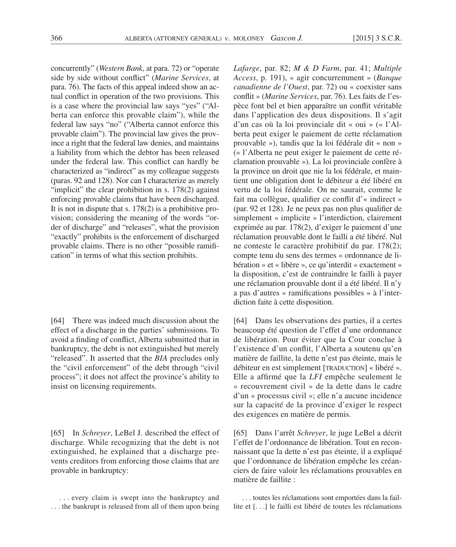concurrently" (*Western Bank*, at para. 72) or "operate side by side without conflict" (*Marine Services*, at para. 76). The facts of this appeal indeed show an actual conflict in operation of the two provisions. This is a case where the provincial law says "yes" ("Alberta can enforce this provable claim"), while the federal law says "no" ("Alberta cannot enforce this provable claim"). The provincial law gives the province a right that the federal law denies, and maintains a liability from which the debtor has been released under the federal law. This conflict can hardly be characterized as "indirect" as my colleague suggests (paras. 92 and 128). Nor can I characterize as merely "implicit" the clear prohibition in s. 178(2) against enforcing provable claims that have been discharged. It is not in dispute that s.  $178(2)$  is a prohibitive provision; considering the meaning of the words "order of discharge" and "releases", what the provision "exactly" prohibits is the enforcement of discharged provable claims. There is no other "possible ramification" in terms of what this section prohibits.

[64] There was indeed much discussion about the effect of a discharge in the parties' submissions. To avoid a finding of conflict, Alberta submitted that in bankruptcy, the debt is not extinguished but merely "released". It asserted that the *BIA* precludes only the "civil enforcement" of the debt through "civil process"; it does not affect the province's ability to insist on licensing requirements.

[65] In *Schreyer*, LeBel J. described the effect of discharge. While recognizing that the debt is not extinguished, he explained that a discharge prevents creditors from enforcing those claims that are provable in bankruptcy:

. . . every claim is swept into the bankruptcy and . . . the bankrupt is released from all of them upon being *Lafarge*, par. 82; *M & D Farm*, par. 41; *Multiple Access*, p. 191), « agir concurremment » (*Banque canadienne de l'Ouest*, par. 72) ou « coexister sans conflit » (*Marine Services*, par. 76). Les faits de l'espèce font bel et bien apparaître un conflit véritable dans l'application des deux dispositions. Il s'agit d'un cas où la loi provinciale dit « oui » (« l'Alberta peut exiger le paiement de cette réclamation prouvable »), tandis que la loi fédérale dit « non » (« l'Alberta ne peut exiger le paiement de cette réclamation prouvable »). La loi provinciale confère à la province un droit que nie la loi fédérale, et maintient une obligation dont le débiteur a été libéré en vertu de la loi fédérale. On ne saurait, comme le fait ma collègue, qualifier ce conflit d'« indirect » (par. 92 et 128). Je ne peux pas non plus qualifier de simplement « implicite » l'interdiction, clairement exprimée au par. 178(2), d'exiger le paiement d'une réclamation prouvable dont le failli a été libéré. Nul ne conteste le caractère prohibitif du par. 178(2); compte tenu du sens des termes « ordonnance de libération » et « libère », ce qu'interdit « exactement » la disposition, c'est de contraindre le failli à payer une réclamation prouvable dont il a été libéré. Il n'y a pas d'autres « ramifications possibles » à l'interdiction faite à cette disposition.

[64] Dans les observations des parties, il a certes beaucoup été question de l'effet d'une ordonnance de libération. Pour éviter que la Cour conclue à l'existence d'un conflit, l'Alberta a soutenu qu'en matière de faillite, la dette n'est pas éteinte, mais le débiteur en est simplement [TRADUCTION] « libéré ». Elle a affirmé que la *LFI* empêche seulement le « recouvrement civil » de la dette dans le cadre d'un « processus civil »; elle n'a aucune incidence sur la capacité de la province d'exiger le respect des exigences en matière de permis.

[65] Dans l'arrêt *Schreyer*, le juge LeBel a décrit l'effet de l'ordonnance de libération. Tout en reconnaissant que la dette n'est pas éteinte, il a expliqué que l'ordonnance de libération empêche les créanciers de faire valoir les réclamations prouvables en matière de faillite :

. . . toutes les réclamations sont emportées dans la faillite et [. . .] le failli est libéré de toutes les réclamations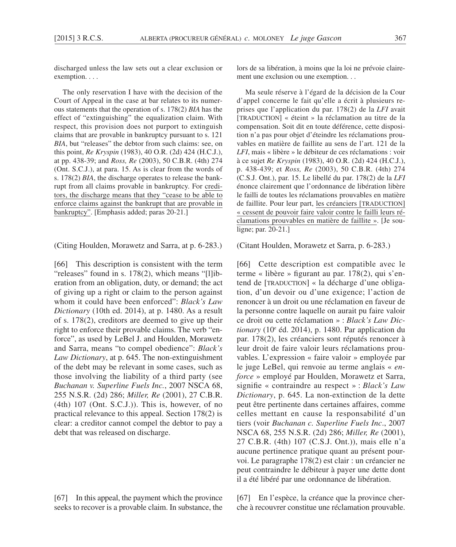discharged unless the law sets out a clear exclusion or exemption. . . .

The only reservation I have with the decision of the Court of Appeal in the case at bar relates to its numerous statements that the operation of s. 178(2) *BIA* has the effect of "extinguishing" the equalization claim. With respect, this provision does not purport to extinguish claims that are provable in bankruptcy pursuant to s. 121 *BIA*, but "releases" the debtor from such claims: see, on this point, *Re Kryspin* (1983), 40 O.R. (2d) 424 (H.C.J.), at pp. 438-39; and *Ross, Re* (2003), 50 C.B.R. (4th) 274 (Ont. S.C.J.), at para. 15. As is clear from the words of s. 178(2) *BIA*, the discharge operates to release the bankrupt from all claims provable in bankruptcy. For creditors, the discharge means that they "cease to be able to enforce claims against the bankrupt that are provable in bankruptcy". [Emphasis added; paras 20-21.]

(Citing Houlden, Morawetz and Sarra, at p. 6-283.)

[66] This description is consistent with the term "releases" found in s. 178(2), which means "[l]iberation from an obligation, duty, or demand; the act of giving up a right or claim to the person against whom it could have been enforced": *Black's Law Dictionary* (10th ed. 2014), at p. 1480. As a result of s. 178(2), creditors are deemed to give up their right to enforce their provable claims. The verb "enforce", as used by LeBel J. and Houlden, Morawetz and Sarra, means "to compel obedience": *Black's Law Dictionary*, at p. 645. The non-extinguishment of the debt may be relevant in some cases, such as those involving the liability of a third party (see *Buchanan v. Superline Fuels Inc.*, 2007 NSCA 68, 255 N.S.R. (2d) 286; *Miller, Re* (2001), 27 C.B.R. (4th) 107 (Ont. S.C.J.)). This is, however, of no practical relevance to this appeal. Section 178(2) is clear: a creditor cannot compel the debtor to pay a debt that was released on discharge.

[67] In this appeal, the payment which the province seeks to recover is a provable claim. In substance, the lors de sa libération, à moins que la loi ne prévoie clairement une exclusion ou une exemption. . .

Ma seule réserve à l'égard de la décision de la Cour d'appel concerne le fait qu'elle a écrit à plusieurs reprises que l'application du par. 178(2) de la *LFI* avait [TRADUCTION] « éteint » la réclamation au titre de la compensation. Soit dit en toute déférence, cette disposition n'a pas pour objet d'éteindre les réclamations prouvables en matière de faillite au sens de l'art. 121 de la *LFI*, mais « libère » le débiteur de ces réclamations : voir à ce sujet *Re Kryspin* (1983), 40 O.R. (2d) 424 (H.C.J.), p. 438-439; et *Ross, Re* (2003), 50 C.B.R. (4th) 274 (C.S.J. Ont.), par. 15. Le libellé du par. 178(2) de la *LFI* énonce clairement que l'ordonnance de libération libère le failli de toutes les réclamations prouvables en matière de faillite. Pour leur part, les créanciers [TRADUCTION] « cessent de pouvoir faire valoir contre le failli leurs réclamations prouvables en matière de faillite ». [Je souligne; par. 20-21.]

### (Citant Houlden, Morawetz et Sarra, p. 6-283.)

[66] Cette description est compatible avec le terme « libère » figurant au par. 178(2), qui s'entend de [TRADUCTION] « la décharge d'une obligation, d'un devoir ou d'une exigence; l'action de renoncer à un droit ou une réclamation en faveur de la personne contre laquelle on aurait pu faire valoir ce droit ou cette réclamation » : *Black's Law Dictionary* (10e éd. 2014), p. 1480. Par application du par. 178(2), les créanciers sont réputés renoncer à leur droit de faire valoir leurs réclamations prouvables. L'expression « faire valoir » employée par le juge LeBel, qui renvoie au terme anglais « *enforce* » employé par Houlden, Morawetz et Sarra, signifie « contraindre au respect » : *Black's Law Dictionary*, p. 645. La non-extinction de la dette peut être pertinente dans certaines affaires, comme celles mettant en cause la responsabilité d'un tiers (voir *Buchanan c. Superline Fuels Inc*., 2007 NSCA 68, 255 N.S.R. (2d) 286; *Miller, Re* (2001), 27 C.B.R. (4th) 107 (C.S.J. Ont.)), mais elle n'a aucune pertinence pratique quant au présent pourvoi. Le paragraphe 178(2) est clair : un créancier ne peut contraindre le débiteur à payer une dette dont il a été libéré par une ordonnance de libération.

[67] En l'espèce, la créance que la province cherche à recouvrer constitue une réclamation prouvable.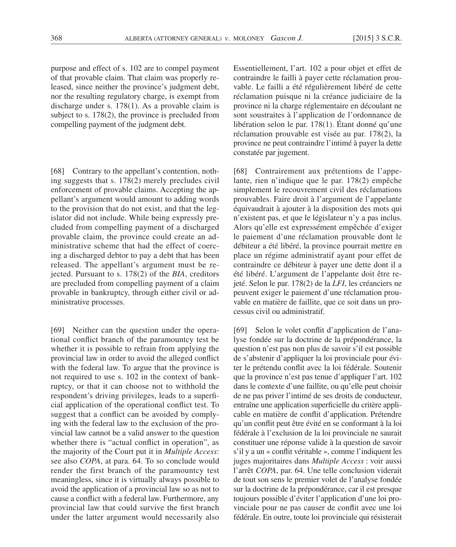purpose and effect of s. 102 are to compel payment of that provable claim. That claim was properly released, since neither the province's judgment debt, nor the resulting regulatory charge, is exempt from discharge under s. 178(1). As a provable claim is subject to s.  $178(2)$ , the province is precluded from compelling payment of the judgment debt.

[68] Contrary to the appellant's contention, nothing suggests that s. 178(2) merely precludes civil enforcement of provable claims. Accepting the appellant's argument would amount to adding words to the provision that do not exist, and that the legislator did not include. While being expressly precluded from compelling payment of a discharged provable claim, the province could create an administrative scheme that had the effect of coercing a discharged debtor to pay a debt that has been released. The appellant's argument must be rejected. Pursuant to s. 178(2) of the *BIA*, creditors are precluded from compelling payment of a claim provable in bankruptcy, through either civil or administrative processes.

[69] Neither can the question under the operational conflict branch of the paramountcy test be whether it is possible to refrain from applying the provincial law in order to avoid the alleged conflict with the federal law. To argue that the province is not required to use s. 102 in the context of bankruptcy, or that it can choose not to withhold the respondent's driving privileges, leads to a superficial application of the operational conflict test. To suggest that a conflict can be avoided by complying with the federal law to the exclusion of the provincial law cannot be a valid answer to the question whether there is "actual conflict in operation", as the majority of the Court put it in *Multiple Access*: see also *COPA*, at para. 64. To so conclude would render the first branch of the paramountcy test meaningless, since it is virtually always possible to avoid the application of a provincial law so as not to cause a conflict with a federal law. Furthermore, any provincial law that could survive the first branch under the latter argument would necessarily also

Essentiellement, l'art. 102 a pour objet et effet de contraindre le failli à payer cette réclamation prouvable. Le failli a été régulièrement libéré de cette réclamation puisque ni la créance judiciaire de la province ni la charge réglementaire en découlant ne sont soustraites à l'application de l'ordonnance de libération selon le par. 178(1). Étant donné qu'une réclamation prouvable est visée au par. 178(2), la province ne peut contraindre l'intimé à payer la dette constatée par jugement.

[68] Contrairement aux prétentions de l'appelante, rien n'indique que le par. 178(2) empêche simplement le recouvrement civil des réclamations prouvables. Faire droit à l'argument de l'appelante équivaudrait à ajouter à la disposition des mots qui n'existent pas, et que le législateur n'y a pas inclus. Alors qu'elle est expressément empêchée d'exiger le paiement d'une réclamation prouvable dont le débiteur a été libéré, la province pourrait mettre en place un régime administratif ayant pour effet de contraindre ce débiteur à payer une dette dont il a été libéré. L'argument de l'appelante doit être rejeté. Selon le par. 178(2) de la *LFI*, les créanciers ne peuvent exiger le paiement d'une réclamation prouvable en matière de faillite, que ce soit dans un processus civil ou administratif.

[69] Selon le volet conflit d'application de l'analyse fondée sur la doctrine de la prépondérance, la question n'est pas non plus de savoir s'il est possible de s'abstenir d'appliquer la loi provinciale pour éviter le prétendu conflit avec la loi fédérale. Soutenir que la province n'est pas tenue d'appliquer l'art. 102 dans le contexte d'une faillite, ou qu'elle peut choisir de ne pas priver l'intimé de ses droits de conducteur, entraîne une application superficielle du critère applicable en matière de conflit d'application. Prétendre qu'un conflit peut être évité en se conformant à la loi fédérale à l'exclusion de la loi provinciale ne saurait constituer une réponse valide à la question de savoir s'il y a un « conflit véritable », comme l'indiquent les juges majoritaires dans *Multiple Access* : voir aussi l'arrêt *COPA*, par. 64. Une telle conclusion viderait de tout son sens le premier volet de l'analyse fondée sur la doctrine de la prépondérance, car il est presque toujours possible d'éviter l'application d'une loi provinciale pour ne pas causer de conflit avec une loi fédérale. En outre, toute loi provinciale qui résisterait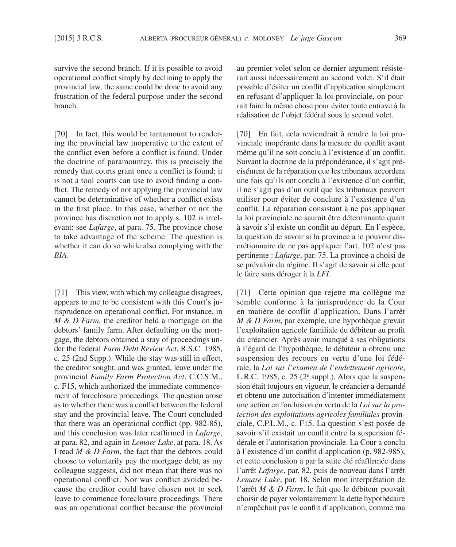survive the second branch. If it is possible to avoid operational conflict simply by declining to apply the provincial law, the same could be done to avoid any frustration of the federal purpose under the second branch.

[70] In fact, this would be tantamount to rendering the provincial law inoperative to the extent of the conflict even before a conflict is found. Under the doctrine of paramountcy, this is precisely the remedy that courts grant once a conflict is found; it is not a tool courts can use to avoid finding a conflict. The remedy of not applying the provincial law cannot be determinative of whether a conflict exists in the first place. In this case, whether or not the province has discretion not to apply s. 102 is irrelevant: see *Lafarge*, at para. 75. The province chose to take advantage of the scheme. The question is whether it can do so while also complying with the *BIA*.

[71] This view, with which my colleague disagrees, appears to me to be consistent with this Court's jurisprudence on operational conflict. For instance, in *M & D Farm*, the creditor held a mortgage on the debtors' family farm. After defaulting on the mortgage, the debtors obtained a stay of proceedings under the federal *Farm Debt Review Act*, R.S.C. 1985, c. 25 (2nd Supp.). While the stay was still in effect, the creditor sought, and was granted, leave under the provincial *Family Farm Protection Act*, C.C.S.M., c. F15, which authorized the immediate commencement of foreclosure proceedings. The question arose as to whether there was a conflict between the federal stay and the provincial leave. The Court concluded that there was an operational conflict (pp. 982-85), and this conclusion was later reaffirmed in *Lafarge*, at para. 82, and again in *Lemare Lake*, at para. 18. As I read *M & D Farm*, the fact that the debtors could choose to voluntarily pay the mortgage debt, as my colleague suggests, did not mean that there was no operational conflict. Nor was conflict avoided because the creditor could have chosen not to seek leave to commence foreclosure proceedings. There was an operational conflict because the provincial au premier volet selon ce dernier argument résisterait aussi nécessairement au second volet. S'il était possible d'éviter un conflit d'application simplement en refusant d'appliquer la loi provinciale, on pourrait faire la même chose pour éviter toute entrave à la réalisation de l'objet fédéral sous le second volet.

[70] En fait, cela reviendrait à rendre la loi provinciale inopérante dans la mesure du conflit avant même qu'il ne soit conclu à l'existence d'un conflit. Suivant la doctrine de la prépondérance, il s'agit précisément de la réparation que les tribunaux accordent une fois qu'ils ont conclu à l'existence d'un conflit; il ne s'agit pas d'un outil que les tribunaux peuvent utiliser pour éviter de conclure à l'existence d'un conflit. La réparation consistant à ne pas appliquer la loi provinciale ne saurait être déterminante quant à savoir s'il existe un conflit au départ. En l'espèce, la question de savoir si la province a le pouvoir discrétionnaire de ne pas appliquer l'art. 102 n'est pas pertinente : *Lafarge*, par. 75. La province a choisi de se prévaloir du régime. Il s'agit de savoir si elle peut le faire sans déroger à la *LFI*.

[71] Cette opinion que rejette ma collègue me semble conforme à la jurisprudence de la Cour en matière de conflit d'application. Dans l'arrêt *M & D Farm*, par exemple, une hypothèque grevait l'exploitation agricole familiale du débiteur au profit du créancier. Après avoir manqué à ses obligations à l'égard de l'hypothèque, le débiteur a obtenu une suspension des recours en vertu d'une loi fédérale, la *Loi sur l'examen de l'endettement agricole*, L.R.C. 1985, c.  $25$  ( $2^e$  suppl.). Alors que la suspension était toujours en vigueur, le créancier a demandé et obtenu une autorisation d'intenter immédiatement une action en forclusion en vertu de la *Loi sur la protection des exploitations agricoles familiales* provinciale, C.P.L.M., c. F15. La question s'est posée de savoir s'il existait un conflit entre la suspension fédérale et l'autorisation provinciale. La Cour a conclu à l'existence d'un conflit d'application (p. 982-985), et cette conclusion a par la suite été réaffirmée dans l'arrêt *Lafarge*, par. 82, puis de nouveau dans l'arrêt *Lemare Lake*, par. 18. Selon mon interprétation de l'arrêt *M & D Farm*, le fait que le débiteur pouvait choisir de payer volontairement la dette hypothécaire n'empêchait pas le conflit d'application, comme ma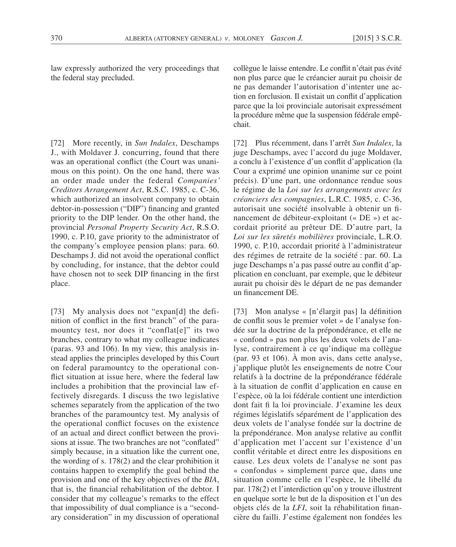law expressly authorized the very proceedings that the federal stay precluded.

[72] More recently, in *Sun Indalex*, Deschamps J., with Moldaver J. concurring, found that there was an operational conflict (the Court was unanimous on this point). On the one hand, there was an order made under the federal *Companies' Creditors Arrangement Act*, R.S.C. 1985, c. C-36, which authorized an insolvent company to obtain debtor-in-possession ("DIP") financing and granted priority to the DIP lender. On the other hand, the provincial *Personal Property Security Act*, R.S.O. 1990, c. P.10, gave priority to the administrator of the company's employee pension plans: para. 60. Deschamps J. did not avoid the operational conflict by concluding, for instance, that the debtor could have chosen not to seek DIP financing in the first place.

[73] My analysis does not "expan[d] the definition of conflict in the first branch" of the paramountcy test, nor does it "conflat[e]" its two branches, contrary to what my colleague indicates (paras. 93 and 106). In my view, this analysis instead applies the principles developed by this Court on federal paramountcy to the operational conflict situation at issue here, where the federal law includes a prohibition that the provincial law effectively disregards. I discuss the two legislative schemes separately from the application of the two branches of the paramountcy test. My analysis of the operational conflict focuses on the existence of an actual and direct conflict between the provisions at issue. The two branches are not "conflated" simply because, in a situation like the current one, the wording of s. 178(2) and the clear prohibition it contains happen to exemplify the goal behind the provision and one of the key objectives of the *BIA*, that is, the financial rehabilitation of the debtor. I consider that my colleague's remarks to the effect that impossibility of dual compliance is a "secondary consideration" in my discussion of operational

collègue le laisse entendre. Le conflit n'était pas évité non plus parce que le créancier aurait pu choisir de ne pas demander l'autorisation d'intenter une action en forclusion. Il existait un conflit d'application parce que la loi provinciale autorisait expressément la procédure même que la suspension fédérale empêchait.

[72] Plus récemment, dans l'arrêt *Sun Indalex*, la juge Deschamps, avec l'accord du juge Moldaver, a conclu à l'existence d'un conflit d'application (la Cour a exprimé une opinion unanime sur ce point précis). D'une part, une ordonnance rendue sous le régime de la *Loi sur les arrangements avec les créanciers des compagnies*, L.R.C. 1985, c. C-36, autorisait une société insolvable à obtenir un financement de débiteur-exploitant (« DE ») et accordait priorité au prêteur DE. D'autre part, la *Loi sur les sûretés mobilières* provinciale, L.R.O. 1990, c. P.10, accordait priorité à l'administrateur des régimes de retraite de la société : par. 60. La juge Deschamps n'a pas passé outre au conflit d'application en concluant, par exemple, que le débiteur aurait pu choisir dès le départ de ne pas demander un financement DE.

[73] Mon analyse « [n'élargit pas] la définition de conflit sous le premier volet » de l'analyse fondée sur la doctrine de la prépondérance, et elle ne « confond » pas non plus les deux volets de l'analyse, contrairement à ce qu'indique ma collègue (par. 93 et 106). À mon avis, dans cette analyse, j'applique plutôt les enseignements de notre Cour relatifs à la doctrine de la prépondérance fédérale à la situation de conflit d'application en cause en l'espèce, où la loi fédérale contient une interdiction dont fait fi la loi provinciale. J'examine les deux régimes législatifs séparément de l'application des deux volets de l'analyse fondée sur la doctrine de la prépondérance. Mon analyse relative au conflit d'application met l'accent sur l'existence d'un conflit véritable et direct entre les dispositions en cause. Les deux volets de l'analyse ne sont pas « confondus » simplement parce que, dans une situation comme celle en l'espèce, le libellé du par. 178(2) et l'interdiction qu'on y trouve illustrent en quelque sorte le but de la disposition et l'un des objets clés de la *LFI*, soit la réhabilitation financière du failli. J'estime également non fondées les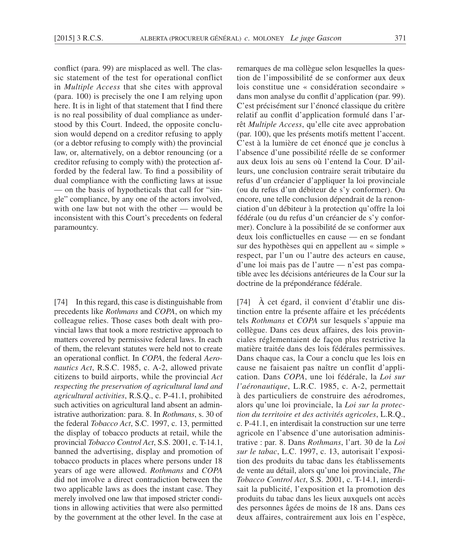conflict (para. 99) are misplaced as well. The classic statement of the test for operational conflict in *Multiple Access* that she cites with approval (para. 100) is precisely the one I am relying upon here. It is in light of that statement that I find there is no real possibility of dual compliance as understood by this Court. Indeed, the opposite conclusion would depend on a creditor refusing to apply (or a debtor refusing to comply with) the provincial law, or, alternatively, on a debtor renouncing (or a creditor refusing to comply with) the protection afforded by the federal law. To find a possibility of dual compliance with the conflicting laws at issue — on the basis of hypotheticals that call for "single" compliance, by any one of the actors involved, with one law but not with the other — would be inconsistent with this Court's precedents on federal paramountcy.

[74] In this regard, this case is distinguishable from precedents like *Rothmans* and *COPA*, on which my colleague relies. Those cases both dealt with provincial laws that took a more restrictive approach to matters covered by permissive federal laws. In each of them, the relevant statutes were held not to create an operational conflict. In *COPA*, the federal *Aeronautics Act*, R.S.C. 1985, c. A-2, allowed private citizens to build airports, while the provincial *Act respecting the preservation of agricultural land and agricultural activities*, R.S.Q., c. P-41.1, prohibited such activities on agricultural land absent an administrative authorization: para. 8. In *Rothmans*, s. 30 of the federal *Tobacco Act*, S.C. 1997, c. 13, permitted the display of tobacco products at retail, while the provincial *Tobacco Control Act*, S.S. 2001, c. T-14.1, banned the advertising, display and promotion of tobacco products in places where persons under 18 years of age were allowed. *Rothmans* and *COPA* did not involve a direct contradiction between the two applicable laws as does the instant case. They merely involved one law that imposed stricter conditions in allowing activities that were also permitted by the government at the other level. In the case at remarques de ma collègue selon lesquelles la question de l'impossibilité de se conformer aux deux lois constitue une « considération secondaire » dans mon analyse du conflit d'application (par. 99). C'est précisément sur l'énoncé classique du critère relatif au conflit d'application formulé dans l'arrêt *Multiple Access*, qu'elle cite avec approbation (par. 100), que les présents motifs mettent l'accent. C'est à la lumière de cet énoncé que je conclus à l'absence d'une possibilité réelle de se conformer aux deux lois au sens où l'entend la Cour. D'ailleurs, une conclusion contraire serait tributaire du refus d'un créancier d'appliquer la loi provinciale (ou du refus d'un débiteur de s'y conformer). Ou encore, une telle conclusion dépendrait de la renonciation d'un débiteur à la protection qu'offre la loi fédérale (ou du refus d'un créancier de s'y conformer). Conclure à la possibilité de se conformer aux deux lois conflictuelles en cause — en se fondant sur des hypothèses qui en appellent au « simple » respect, par l'un ou l'autre des acteurs en cause, d'une loi mais pas de l'autre — n'est pas compatible avec les décisions antérieures de la Cour sur la doctrine de la prépondérance fédérale.

[74] À cet égard, il convient d'établir une distinction entre la présente affaire et les précédents tels *Rothmans* et *COPA* sur lesquels s'appuie ma collègue. Dans ces deux affaires, des lois provinciales réglementaient de façon plus restrictive la matière traitée dans des lois fédérales permissives. Dans chaque cas, la Cour a conclu que les lois en cause ne faisaient pas naître un conflit d'application. Dans *COPA*, une loi fédérale, la *Loi sur l'aéronautique*, L.R.C. 1985, c. A-2, permettait à des particuliers de construire des aérodromes, alors qu'une loi provinciale, la *Loi sur la protection du territoire et des activités agricoles*, L.R.Q., c. P-41.1, en interdisait la construction sur une terre agricole en l'absence d'une autorisation administrative : par. 8. Dans *Rothmans*, l'art. 30 de la *Loi sur le tabac*, L.C. 1997, c. 13, autorisait l'exposition des produits du tabac dans les établissements de vente au détail, alors qu'une loi provinciale, *The Tobacco Control Act*, S.S. 2001, c. T-14.1, interdisait la publicité, l'exposition et la promotion des produits du tabac dans les lieux auxquels ont accès des personnes âgées de moins de 18 ans. Dans ces deux affaires, contrairement aux lois en l'espèce,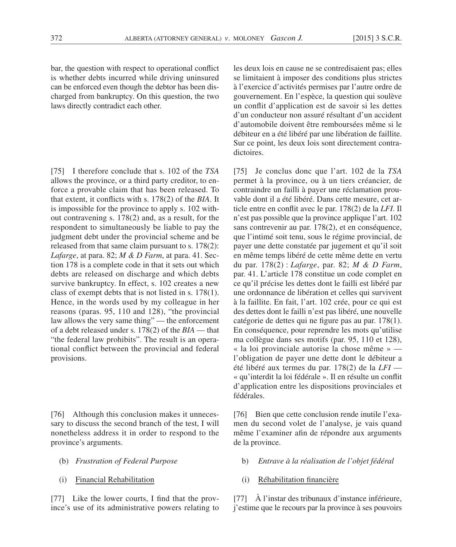bar, the question with respect to operational conflict is whether debts incurred while driving uninsured can be enforced even though the debtor has been discharged from bankruptcy. On this question, the two laws directly contradict each other.

[75] I therefore conclude that s. 102 of the *TSA* allows the province, or a third party creditor, to enforce a provable claim that has been released. To that extent, it conflicts with s. 178(2) of the *BIA*. It is impossible for the province to apply s. 102 without contravening s. 178(2) and, as a result, for the respondent to simultaneously be liable to pay the judgment debt under the provincial scheme and be released from that same claim pursuant to s. 178(2): *Lafarge*, at para. 82; *M & D Farm*, at para. 41. Section 178 is a complete code in that it sets out which debts are released on discharge and which debts survive bankruptcy. In effect, s. 102 creates a new class of exempt debts that is not listed in s. 178(1). Hence, in the words used by my colleague in her reasons (paras. 95, 110 and 128), "the provincial law allows the very same thing" — the enforcement of a debt released under s. 178(2) of the *BIA* — that "the federal law prohibits". The result is an operational conflict between the provincial and federal provisions.

[76] Although this conclusion makes it unnecessary to discuss the second branch of the test, I will nonetheless address it in order to respond to the province's arguments.

- (b) *Frustration of Federal Purpose*
- (i) Financial Rehabilitation

[77] Like the lower courts, I find that the province's use of its administrative powers relating to

les deux lois en cause ne se contredisaient pas; elles se limitaient à imposer des conditions plus strictes à l'exercice d'activités permises par l'autre ordre de gouvernement. En l'espèce, la question qui soulève un conflit d'application est de savoir si les dettes d'un conducteur non assuré résultant d'un accident d'automobile doivent être remboursées même si le débiteur en a été libéré par une libération de faillite. Sur ce point, les deux lois sont directement contradictoires.

[75] Je conclus donc que l'art. 102 de la *TSA* permet à la province, ou à un tiers créancier, de contraindre un failli à payer une réclamation prouvable dont il a été libéré. Dans cette mesure, cet article entre en conflit avec le par. 178(2) de la *LFI*. Il n'est pas possible que la province applique l'art. 102 sans contrevenir au par. 178(2), et en conséquence, que l'intimé soit tenu, sous le régime provincial, de payer une dette constatée par jugement et qu'il soit en même temps libéré de cette même dette en vertu du par. 178(2) : *Lafarge*, par. 82; *M & D Farm*, par. 41. L'article 178 constitue un code complet en ce qu'il précise les dettes dont le failli est libéré par une ordonnance de libération et celles qui survivent à la faillite. En fait, l'art. 102 crée, pour ce qui est des dettes dont le failli n'est pas libéré, une nouvelle catégorie de dettes qui ne figure pas au par. 178(1). En conséquence, pour reprendre les mots qu'utilise ma collègue dans ses motifs (par. 95, 110 et 128), « la loi provinciale autorise la chose même » l'obligation de payer une dette dont le débiteur a été libéré aux termes du par. 178(2) de la *LFI* — « qu'interdit la loi fédérale ». Il en résulte un conflit d'application entre les dispositions provinciales et fédérales.

[76] Bien que cette conclusion rende inutile l'examen du second volet de l'analyse, je vais quand même l'examiner afin de répondre aux arguments de la province.

- b) *Entrave à la réalisation de l'objet fédéral*
- (i) Réhabilitation financière

[77] À l'instar des tribunaux d'instance inférieure, j'estime que le recours par la province à ses pouvoirs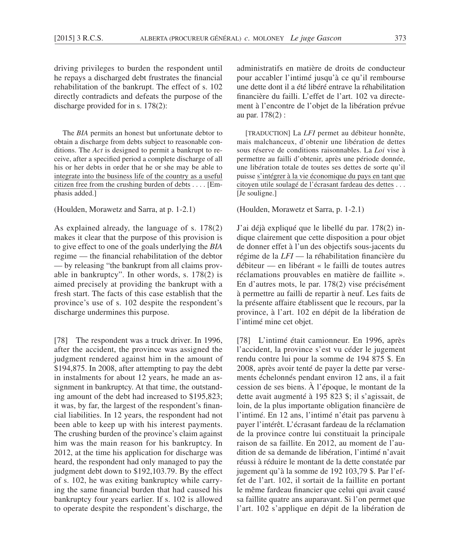driving privileges to burden the respondent until he repays a discharged debt frustrates the financial rehabilitation of the bankrupt. The effect of s. 102 directly contradicts and defeats the purpose of the discharge provided for in s. 178(2):

The *BIA* permits an honest but unfortunate debtor to obtain a discharge from debts subject to reasonable conditions. The *Act* is designed to permit a bankrupt to receive, after a specified period a complete discharge of all his or her debts in order that he or she may be able to integrate into the business life of the country as a useful citizen free from the crushing burden of debts . . . . [Emphasis added.]

(Houlden, Morawetz and Sarra, at p. 1-2.1)

As explained already, the language of s. 178(2) makes it clear that the purpose of this provision is to give effect to one of the goals underlying the *BIA*  regime — the financial rehabilitation of the debtor — by releasing "the bankrupt from all claims provable in bankruptcy". In other words, s. 178(2) is aimed precisely at providing the bankrupt with a fresh start. The facts of this case establish that the province's use of s. 102 despite the respondent's discharge undermines this purpose.

[78] The respondent was a truck driver. In 1996, after the accident, the province was assigned the judgment rendered against him in the amount of \$194,875. In 2008, after attempting to pay the debt in instalments for about 12 years, he made an assignment in bankruptcy. At that time, the outstanding amount of the debt had increased to \$195,823; it was, by far, the largest of the respondent's financial liabilities. In 12 years, the respondent had not been able to keep up with his interest payments. The crushing burden of the province's claim against him was the main reason for his bankruptcy. In 2012, at the time his application for discharge was heard, the respondent had only managed to pay the judgment debt down to \$192,103.79. By the effect of s. 102, he was exiting bankruptcy while carrying the same financial burden that had caused his bankruptcy four years earlier. If s. 102 is allowed to operate despite the respondent's discharge, the

administratifs en matière de droits de conducteur pour accabler l'intimé jusqu'à ce qu'il rembourse une dette dont il a été libéré entrave la réhabilitation financière du failli. L'effet de l'art. 102 va directement à l'encontre de l'objet de la libération prévue au par. 178(2) :

[TRADUCTION] La *LFI* permet au débiteur honnête, mais malchanceux, d'obtenir une libération de dettes sous réserve de conditions raisonnables. La *Loi* vise à permettre au failli d'obtenir, après une période donnée, une libération totale de toutes ses dettes de sorte qu'il puisse s'intégrer à la vie économique du pays en tant que citoyen utile soulagé de l'écrasant fardeau des dettes . . . [Je souligne.]

(Houlden, Morawetz et Sarra, p. 1-2.1)

J'ai déjà expliqué que le libellé du par. 178(2) indique clairement que cette disposition a pour objet de donner effet à l'un des objectifs sous-jacents du régime de la *LFI* — la réhabilitation financière du débiteur — en libérant « le failli de toutes autres réclamations prouvables en matière de faillite ». En d'autres mots, le par. 178(2) vise précisément à permettre au failli de repartir à neuf. Les faits de la présente affaire établissent que le recours, par la province, à l'art. 102 en dépit de la libération de l'intimé mine cet objet.

[78] L'intimé était camionneur. En 1996, après l'accident, la province s'est vu céder le jugement rendu contre lui pour la somme de 194 875 \$. En 2008, après avoir tenté de payer la dette par versements échelonnés pendant environ 12 ans, il a fait cession de ses biens. À l'époque, le montant de la dette avait augmenté à 195 823 \$; il s'agissait, de loin, de la plus importante obligation financière de l'intimé. En 12 ans, l'intimé n'était pas parvenu à payer l'intérêt. L'écrasant fardeau de la réclamation de la province contre lui constituait la principale raison de sa faillite. En 2012, au moment de l'audition de sa demande de libération, l'intimé n'avait réussi à réduire le montant de la dette constatée par jugement qu'à la somme de 192 103,79 \$. Par l'effet de l'art. 102, il sortait de la faillite en portant le même fardeau financier que celui qui avait causé sa faillite quatre ans auparavant. Si l'on permet que l'art. 102 s'applique en dépit de la libération de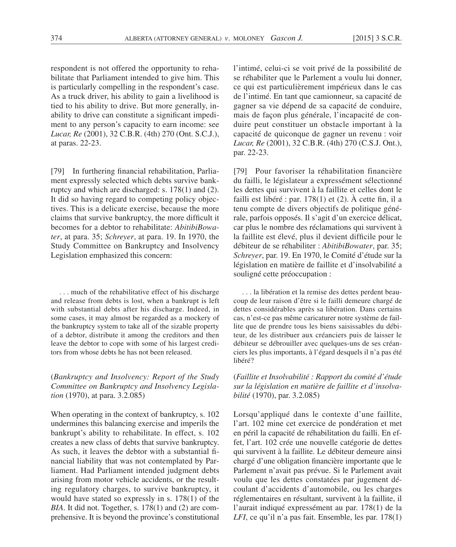respondent is not offered the opportunity to rehabilitate that Parliament intended to give him. This is particularly compelling in the respondent's case. As a truck driver, his ability to gain a livelihood is tied to his ability to drive. But more generally, inability to drive can constitute a significant impediment to any person's capacity to earn income: see *Lucar, Re* (2001), 32 C.B.R. (4th) 270 (Ont. S.C.J.), at paras. 22-23.

[79] In furthering financial rehabilitation, Parliament expressly selected which debts survive bankruptcy and which are discharged: s. 178(1) and (2). It did so having regard to competing policy objectives. This is a delicate exercise, because the more claims that survive bankruptcy, the more difficult it becomes for a debtor to rehabilitate: *AbitibiBowater*, at para. 35; *Schreyer*, at para. 19. In 1970, the Study Committee on Bankruptcy and Insolvency Legislation emphasized this concern:

. . . much of the rehabilitative effect of his discharge and release from debts is lost, when a bankrupt is left with substantial debts after his discharge. Indeed, in some cases, it may almost be regarded as a mockery of the bankruptcy system to take all of the sizable property of a debtor, distribute it among the creditors and then leave the debtor to cope with some of his largest creditors from whose debts he has not been released.

# (*Bankruptcy and Insolvency: Report of the Study Committee on Bankruptcy and Insolvency Legislation* (1970), at para. 3.2.085)

When operating in the context of bankruptcy, s. 102 undermines this balancing exercise and imperils the bankrupt's ability to rehabilitate. In effect, s. 102 creates a new class of debts that survive bankruptcy. As such, it leaves the debtor with a substantial financial liability that was not contemplated by Parliament. Had Parliament intended judgment debts arising from motor vehicle accidents, or the resulting regulatory charges, to survive bankruptcy, it would have stated so expressly in s.  $178(1)$  of the *BIA*. It did not. Together, s. 178(1) and (2) are comprehensive. It is beyond the province's constitutional l'intimé, celui-ci se voit privé de la possibilité de se réhabiliter que le Parlement a voulu lui donner, ce qui est particulièrement impérieux dans le cas de l'intimé. En tant que camionneur, sa capacité de gagner sa vie dépend de sa capacité de conduire, mais de façon plus générale, l'incapacité de conduire peut constituer un obstacle important à la capacité de quiconque de gagner un revenu : voir *Lucar, Re* (2001), 32 C.B.R. (4th) 270 (C.S.J. Ont.), par. 22-23.

[79] Pour favoriser la réhabilitation financière du failli, le législateur a expressément sélectionné les dettes qui survivent à la faillite et celles dont le failli est libéré : par. 178(1) et (2). À cette fin, il a tenu compte de divers objectifs de politique générale, parfois opposés. Il s'agit d'un exercice délicat, car plus le nombre des réclamations qui survivent à la faillite est élevé, plus il devient difficile pour le débiteur de se réhabiliter : *AbitibiBowater*, par. 35; *Schreyer*, par. 19. En 1970, le Comité d'étude sur la législation en matière de faillite et d'insolvabilité a souligné cette préoccupation :

. . . la libération et la remise des dettes perdent beaucoup de leur raison d'être si le failli demeure chargé de dettes considérables après sa libération. Dans certains cas, n'est-ce pas même caricaturer notre système de faillite que de prendre tous les biens saisissables du débiteur, de les distribuer aux créanciers puis de laisser le débiteur se débrouiller avec quelques-uns de ses créanciers les plus importants, à l'égard desquels il n'a pas été libéré?

(*Faillite et Insolvabilité : Rapport du comité d'étude sur la législation en matière de faillite et d'insolvabilité* (1970), par. 3.2.085)

Lorsqu'appliqué dans le contexte d'une faillite, l'art. 102 mine cet exercice de pondération et met en péril la capacité de réhabilitation du failli. En effet, l'art. 102 crée une nouvelle catégorie de dettes qui survivent à la faillite. Le débiteur demeure ainsi chargé d'une obligation financière importante que le Parlement n'avait pas prévue. Si le Parlement avait voulu que les dettes constatées par jugement découlant d'accidents d'automobile, ou les charges réglementaires en résultant, survivent à la faillite, il l'aurait indiqué expressément au par. 178(1) de la *LFI*, ce qu'il n'a pas fait. Ensemble, les par. 178(1)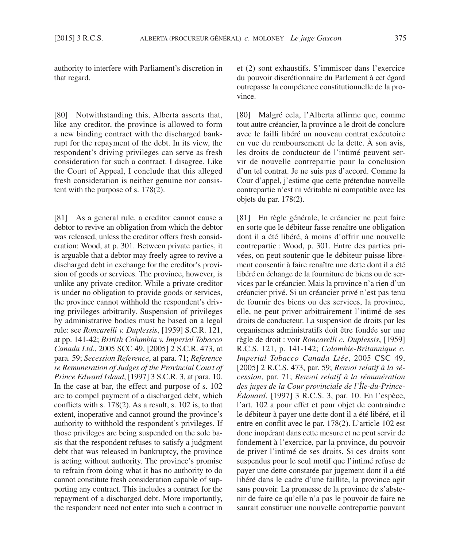authority to interfere with Parliament's discretion in that regard.

[80] Notwithstanding this, Alberta asserts that, like any creditor, the province is allowed to form a new binding contract with the discharged bankrupt for the repayment of the debt. In its view, the respondent's driving privileges can serve as fresh consideration for such a contract. I disagree. Like the Court of Appeal, I conclude that this alleged fresh consideration is neither genuine nor consistent with the purpose of s. 178(2).

[81] As a general rule, a creditor cannot cause a debtor to revive an obligation from which the debtor was released, unless the creditor offers fresh consideration: Wood, at p. 301. Between private parties, it is arguable that a debtor may freely agree to revive a discharged debt in exchange for the creditor's provision of goods or services. The province, however, is unlike any private creditor. While a private creditor is under no obligation to provide goods or services, the province cannot withhold the respondent's driving privileges arbitrarily. Suspension of privileges by administrative bodies must be based on a legal rule: see *Roncarelli v. Duplessis*, [1959] S.C.R. 121, at pp. 141-42; *British Columbia v. Imperial Tobacco Canada Ltd.*, 2005 SCC 49, [2005] 2 S.C.R. 473, at para. 59; *Secession Reference*, at para. 71; *Reference re Remuneration of Judges of the Provincial Court of Prince Edward Island*, [1997] 3 S.C.R. 3, at para. 10. In the case at bar, the effect and purpose of s. 102 are to compel payment of a discharged debt, which conflicts with s. 178(2). As a result, s. 102 is, to that extent, inoperative and cannot ground the province's authority to withhold the respondent's privileges. If those privileges are being suspended on the sole basis that the respondent refuses to satisfy a judgment debt that was released in bankruptcy, the province is acting without authority. The province's promise to refrain from doing what it has no authority to do cannot constitute fresh consideration capable of supporting any contract. This includes a contract for the repayment of a discharged debt. More importantly, the respondent need not enter into such a contract in

et (2) sont exhaustifs. S'immiscer dans l'exercice du pouvoir discrétionnaire du Parlement à cet égard outrepasse la compétence constitutionnelle de la province.

[80] Malgré cela, l'Alberta affirme que, comme tout autre créancier, la province a le droit de conclure avec le failli libéré un nouveau contrat exécutoire en vue du remboursement de la dette. À son avis, les droits de conducteur de l'intimé peuvent servir de nouvelle contrepartie pour la conclusion d'un tel contrat. Je ne suis pas d'accord. Comme la Cour d'appel, j'estime que cette prétendue nouvelle contrepartie n'est ni véritable ni compatible avec les objets du par. 178(2).

[81] En règle générale, le créancier ne peut faire en sorte que le débiteur fasse renaître une obligation dont il a été libéré, à moins d'offrir une nouvelle contrepartie : Wood, p. 301. Entre des parties privées, on peut soutenir que le débiteur puisse librement consentir à faire renaître une dette dont il a été libéré en échange de la fourniture de biens ou de services par le créancier. Mais la province n'a rien d'un créancier privé. Si un créancier privé n'est pas tenu de fournir des biens ou des services, la province, elle, ne peut priver arbitrairement l'intimé de ses droits de conducteur. La suspension de droits par les organismes administratifs doit être fondée sur une règle de droit : voir *Roncarelli c. Duplessis*, [1959] R.C.S. 121, p. 141-142; *Colombie-Britannique c. Imperial Tobacco Canada Ltée*, 2005 CSC 49, [2005] 2 R.C.S. 473, par. 59; *Renvoi relatif à la sécession*, par. 71; *Renvoi relatif à la rémunération des juges de la Cour provinciale de l'Île-du-Prince-Édouard*, [1997] 3 R.C.S. 3, par. 10. En l'espèce, l'art. 102 a pour effet et pour objet de contraindre le débiteur à payer une dette dont il a été libéré, et il entre en conflit avec le par. 178(2). L'article 102 est donc inopérant dans cette mesure et ne peut servir de fondement à l'exercice, par la province, du pouvoir de priver l'intimé de ses droits. Si ces droits sont suspendus pour le seul motif que l'intimé refuse de payer une dette constatée par jugement dont il a été libéré dans le cadre d'une faillite, la province agit sans pouvoir. La promesse de la province de s'abstenir de faire ce qu'elle n'a pas le pouvoir de faire ne saurait constituer une nouvelle contrepartie pouvant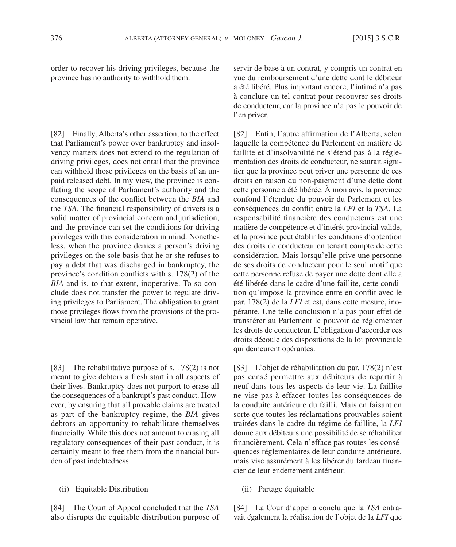order to recover his driving privileges, because the province has no authority to withhold them.

[82] Finally, Alberta's other assertion, to the effect that Parliament's power over bankruptcy and insolvency matters does not extend to the regulation of driving privileges, does not entail that the province can withhold those privileges on the basis of an unpaid released debt. In my view, the province is conflating the scope of Parliament's authority and the consequences of the conflict between the *BIA* and the *TSA*. The financial responsibility of drivers is a valid matter of provincial concern and jurisdiction, and the province can set the conditions for driving privileges with this consideration in mind. Nonetheless, when the province denies a person's driving privileges on the sole basis that he or she refuses to pay a debt that was discharged in bankruptcy, the province's condition conflicts with s. 178(2) of the *BIA* and is, to that extent, inoperative. To so conclude does not transfer the power to regulate driving privileges to Parliament. The obligation to grant those privileges flows from the provisions of the provincial law that remain operative.

[83] The rehabilitative purpose of s. 178(2) is not meant to give debtors a fresh start in all aspects of their lives. Bankruptcy does not purport to erase all the consequences of a bankrupt's past conduct. However, by ensuring that all provable claims are treated as part of the bankruptcy regime, the *BIA* gives debtors an opportunity to rehabilitate themselves financially. While this does not amount to erasing all regulatory consequences of their past conduct, it is certainly meant to free them from the financial burden of past indebtedness.

## (ii) Equitable Distribution

[84] The Court of Appeal concluded that the *TSA* also disrupts the equitable distribution purpose of

servir de base à un contrat, y compris un contrat en vue du remboursement d'une dette dont le débiteur a été libéré. Plus important encore, l'intimé n'a pas à conclure un tel contrat pour recouvrer ses droits de conducteur, car la province n'a pas le pouvoir de l'en priver.

[82] Enfin, l'autre affirmation de l'Alberta, selon laquelle la compétence du Parlement en matière de faillite et d'insolvabilité ne s'étend pas à la réglementation des droits de conducteur, ne saurait signifier que la province peut priver une personne de ces droits en raison du non-paiement d'une dette dont cette personne a été libérée. À mon avis, la province confond l'étendue du pouvoir du Parlement et les conséquences du conflit entre la *LFI* et la *TSA*. La responsabilité financière des conducteurs est une matière de compétence et d'intérêt provincial valide, et la province peut établir les conditions d'obtention des droits de conducteur en tenant compte de cette considération. Mais lorsqu'elle prive une personne de ses droits de conducteur pour le seul motif que cette personne refuse de payer une dette dont elle a été libérée dans le cadre d'une faillite, cette condition qu'impose la province entre en conflit avec le par. 178(2) de la *LFI* et est, dans cette mesure, inopérante. Une telle conclusion n'a pas pour effet de transférer au Parlement le pouvoir de réglementer les droits de conducteur. L'obligation d'accorder ces droits découle des dispositions de la loi provinciale qui demeurent opérantes.

[83] L'objet de réhabilitation du par. 178(2) n'est pas censé permettre aux débiteurs de repartir à neuf dans tous les aspects de leur vie. La faillite ne vise pas à effacer toutes les conséquences de la conduite antérieure du failli. Mais en faisant en sorte que toutes les réclamations prouvables soient traitées dans le cadre du régime de faillite, la *LFI* donne aux débiteurs une possibilité de se réhabiliter financièrement. Cela n'efface pas toutes les conséquences réglementaires de leur conduite antérieure, mais vise assurément à les libérer du fardeau financier de leur endettement antérieur.

## (ii) Partage équitable

[84] La Cour d'appel a conclu que la *TSA* entravait également la réalisation de l'objet de la *LFI* que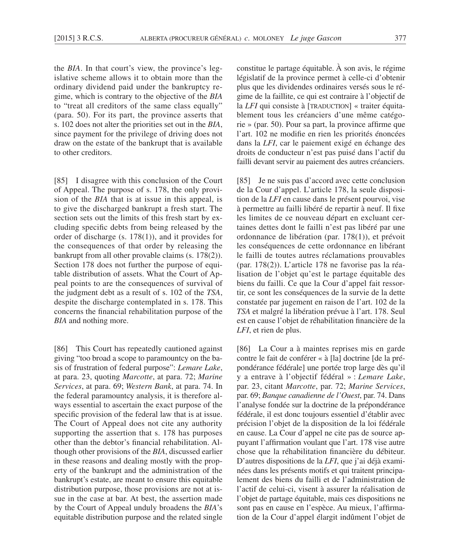the *BIA*. In that court's view, the province's legislative scheme allows it to obtain more than the ordinary dividend paid under the bankruptcy regime, which is contrary to the objective of the *BIA* to "treat all creditors of the same class equally" (para. 50). For its part, the province asserts that s. 102 does not alter the priorities set out in the *BIA*, since payment for the privilege of driving does not draw on the estate of the bankrupt that is available to other creditors.

[85] I disagree with this conclusion of the Court of Appeal. The purpose of s. 178, the only provision of the *BIA* that is at issue in this appeal, is to give the discharged bankrupt a fresh start. The section sets out the limits of this fresh start by excluding specific debts from being released by the order of discharge (s. 178(1)), and it provides for the consequences of that order by releasing the bankrupt from all other provable claims (s. 178(2)). Section 178 does not further the purpose of equitable distribution of assets. What the Court of Appeal points to are the consequences of survival of the judgment debt as a result of s. 102 of the *TSA*, despite the discharge contemplated in s. 178. This concerns the financial rehabilitation purpose of the *BIA* and nothing more.

[86] This Court has repeatedly cautioned against giving "too broad a scope to paramountcy on the basis of frustration of federal purpose": *Lemare Lake*, at para. 23, quoting *Marcotte*, at para. 72; *Marine Services*, at para. 69; *Western Bank*, at para. 74. In the federal paramountcy analysis, it is therefore always essential to ascertain the exact purpose of the specific provision of the federal law that is at issue. The Court of Appeal does not cite any authority supporting the assertion that s. 178 has purposes other than the debtor's financial rehabilitation. Although other provisions of the *BIA*, discussed earlier in these reasons and dealing mostly with the property of the bankrupt and the administration of the bankrupt's estate, are meant to ensure this equitable distribution purpose, those provisions are not at issue in the case at bar. At best, the assertion made by the Court of Appeal unduly broadens the *BIA*'s equitable distribution purpose and the related single constitue le partage équitable. À son avis, le régime législatif de la province permet à celle-ci d'obtenir plus que les dividendes ordinaires versés sous le régime de la faillite, ce qui est contraire à l'objectif de la *LFI* qui consiste à [TRADUCTION] « traiter équitablement tous les créanciers d'une même catégorie » (par. 50). Pour sa part, la province affirme que l'art. 102 ne modifie en rien les priorités énoncées dans la *LFI*, car le paiement exigé en échange des droits de conducteur n'est pas puisé dans l'actif du failli devant servir au paiement des autres créanciers.

[85] Je ne suis pas d'accord avec cette conclusion de la Cour d'appel. L'article 178, la seule disposition de la *LFI* en cause dans le présent pourvoi, vise à permettre au failli libéré de repartir à neuf. Il fixe les limites de ce nouveau départ en excluant certaines dettes dont le failli n'est pas libéré par une ordonnance de libération (par. 178(1)), et prévoit les conséquences de cette ordonnance en libérant le failli de toutes autres réclamations prouvables (par. 178(2)). L'article 178 ne favorise pas la réalisation de l'objet qu'est le partage équitable des biens du failli. Ce que la Cour d'appel fait ressortir, ce sont les conséquences de la survie de la dette constatée par jugement en raison de l'art. 102 de la *TSA* et malgré la libération prévue à l'art. 178. Seul est en cause l'objet de réhabilitation financière de la *LFI*, et rien de plus.

[86] La Cour a à maintes reprises mis en garde contre le fait de conférer « à [la] doctrine [de la prépondérance fédérale] une portée trop large dès qu'il y a entrave à l'objectif fédéral » : *Lemare Lake*, par. 23, citant *Marcotte*, par. 72; *Marine Services*, par. 69; *Banque canadienne de l'Ouest*, par. 74. Dans l'analyse fondée sur la doctrine de la prépondérance fédérale, il est donc toujours essentiel d'établir avec précision l'objet de la disposition de la loi fédérale en cause. La Cour d'appel ne cite pas de source appuyant l'affirmation voulant que l'art. 178 vise autre chose que la réhabilitation financière du débiteur. D'autres dispositions de la *LFI*, que j'ai déjà examinées dans les présents motifs et qui traitent principalement des biens du failli et de l'administration de l'actif de celui-ci, visent à assurer la réalisation de l'objet de partage équitable, mais ces dispositions ne sont pas en cause en l'espèce. Au mieux, l'affirmation de la Cour d'appel élargit indûment l'objet de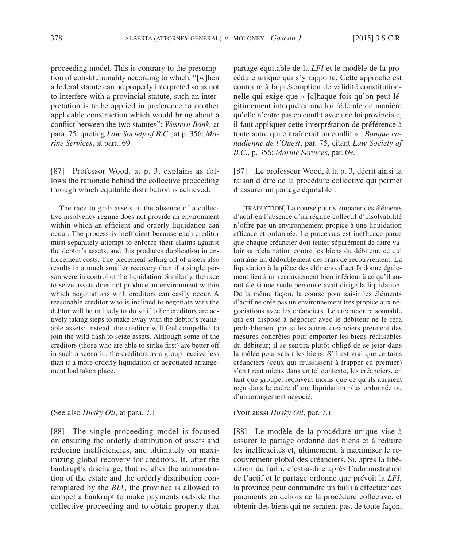proceeding model. This is contrary to the presumption of constitutionality according to which, "[w]hen a federal statute can be properly interpreted so as not to interfere with a provincial statute, such an interpretation is to be applied in preference to another applicable construction which would bring about a conflict between the two statutes": *Western Bank*, at para. 75, quoting *Law Society of B.C.*, at p. 356; *Marine Services*, at para. 69.

[87] Professor Wood, at p. 3, explains as follows the rationale behind the collective proceeding through which equitable distribution is achieved:

The race to grab assets in the absence of a collective insolvency regime does not provide an environment within which an efficient and orderly liquidation can occur. The process is inefficient because each creditor must separately attempt to enforce their claims against the debtor's assets, and this produces duplication in enforcement costs. The piecemeal selling off of assets also results in a much smaller recovery than if a single person were in control of the liquidation. Similarly, the race to seize assets does not produce an environment within which negotiations with creditors can easily occur. A reasonable creditor who is inclined to negotiate with the debtor will be unlikely to do so if other creditors are actively taking steps to make away with the debtor's realizable assets; instead, the creditor will feel compelled to join the wild dash to seize assets. Although some of the creditors (those who are able to strike first) are better off in such a scenario, the creditors as a group receive less than if a more orderly liquidation or negotiated arrangement had taken place.

### (See also *Husky Oil*, at para. 7.)

[88] The single proceeding model is focused on ensuring the orderly distribution of assets and reducing inefficiencies, and ultimately on maximizing global recovery for creditors. If, after the bankrupt's discharge, that is, after the administration of the estate and the orderly distribution contemplated by the *BIA*, the province is allowed to compel a bankrupt to make payments outside the collective proceeding and to obtain property that

partage équitable de la *LFI* et le modèle de la procédure unique qui s'y rapporte. Cette approche est contraire à la présomption de validité constitutionnelle qui exige que « [c]haque fois qu'on peut légitimement interpréter une loi fédérale de manière qu'elle n'entre pas en conflit avec une loi provinciale, il faut appliquer cette interprétation de préférence à toute autre qui entraînerait un conflit » : *Banque canadienne de l'Ouest*, par. 75, citant *Law Society of B.C.*, p. 356; *Marine Services*, par. 69.

[87] Le professeur Wood, à la p. 3, décrit ainsi la raison d'être de la procédure collective qui permet d'assurer un partage équitable :

[TRADUCTION] La course pour s'emparer des éléments d'actif en l'absence d'un régime collectif d'insolvabilité n'offre pas un environnement propice à une liquidation efficace et ordonnée. Le processus est inefficace parce que chaque créancier doit tenter séparément de faire valoir sa réclamation contre les biens du débiteur, ce qui entraîne un dédoublement des frais de recouvrement. La liquidation à la pièce des éléments d'actifs donne également lieu à un recouvrement bien inférieur à ce qu'il aurait été si une seule personne avait dirigé la liquidation. De la même façon, la course pour saisir les éléments d'actif ne crée pas un environnement très propice aux négociations avec les créanciers. Le créancier raisonnable qui est disposé à négocier avec le débiteur ne le fera probablement pas si les autres créanciers prennent des mesures concrètes pour emporter les biens réalisables du débiteur; il se sentira plutôt obligé de se jeter dans la mêlée pour saisir les biens. S'il est vrai que certains créanciers (ceux qui réussissent à frapper en premier) s'en tirent mieux dans un tel contexte, les créanciers, en tant que groupe, reçoivent moins que ce qu'ils auraient reçu dans le cadre d'une liquidation plus ordonnée ou d'un arrangement négocié.

### (Voir aussi *Husky Oil*, par. 7.)

[88] Le modèle de la procédure unique vise à assurer le partage ordonné des biens et à réduire les inefficacités et, ultimement, à maximiser le recouvrement global des créanciers. Si, après la libération du failli, c'est-à-dire après l'administration de l'actif et le partage ordonné que prévoit la *LFI*, la province peut contraindre un failli à effectuer des paiements en dehors de la procédure collective, et obtenir des biens qui ne seraient pas, de toute façon,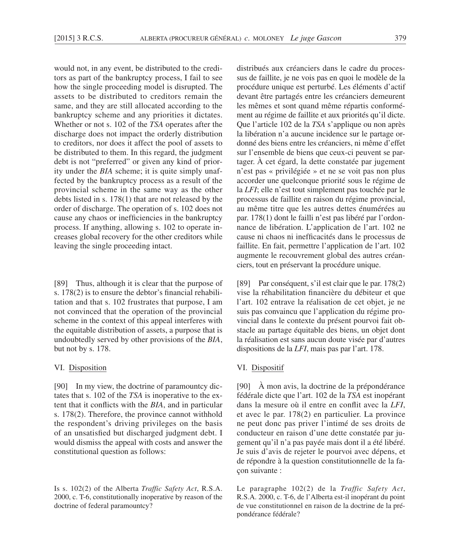would not, in any event, be distributed to the creditors as part of the bankruptcy process, I fail to see how the single proceeding model is disrupted. The assets to be distributed to creditors remain the same, and they are still allocated according to the bankruptcy scheme and any priorities it dictates. Whether or not s. 102 of the *TSA* operates after the discharge does not impact the orderly distribution to creditors, nor does it affect the pool of assets to be distributed to them. In this regard, the judgment debt is not "preferred" or given any kind of priority under the *BIA* scheme; it is quite simply unaffected by the bankruptcy process as a result of the provincial scheme in the same way as the other debts listed in s. 178(1) that are not released by the order of discharge. The operation of s. 102 does not cause any chaos or inefficiencies in the bankruptcy process. If anything, allowing s. 102 to operate increases global recovery for the other creditors while leaving the single proceeding intact.

[89] Thus, although it is clear that the purpose of s. 178(2) is to ensure the debtor's financial rehabilitation and that s. 102 frustrates that purpose, I am not convinced that the operation of the provincial scheme in the context of this appeal interferes with the equitable distribution of assets, a purpose that is undoubtedly served by other provisions of the *BIA*, but not by s. 178.

## VI. Disposition

[90] In my view, the doctrine of paramountcy dictates that s. 102 of the *TSA* is inoperative to the extent that it conflicts with the *BIA*, and in particular s. 178(2). Therefore, the province cannot withhold the respondent's driving privileges on the basis of an unsatisfied but discharged judgment debt. I would dismiss the appeal with costs and answer the constitutional question as follows:

Is s. 102(2) of the Alberta *Traffic Safety Act*, R.S.A. 2000, c. T-6, constitutionally inoperative by reason of the doctrine of federal paramountcy?

distribués aux créanciers dans le cadre du processus de faillite, je ne vois pas en quoi le modèle de la procédure unique est perturbé. Les éléments d'actif devant être partagés entre les créanciers demeurent les mêmes et sont quand même répartis conformément au régime de faillite et aux priorités qu'il dicte. Que l'article 102 de la *TSA* s'applique ou non après la libération n'a aucune incidence sur le partage ordonné des biens entre les créanciers, ni même d'effet sur l'ensemble de biens que ceux-ci peuvent se partager. À cet égard, la dette constatée par jugement n'est pas « privilégiée » et ne se voit pas non plus accorder une quelconque priorité sous le régime de la *LFI*; elle n'est tout simplement pas touchée par le processus de faillite en raison du régime provincial, au même titre que les autres dettes énumérées au par. 178(1) dont le failli n'est pas libéré par l'ordonnance de libération. L'application de l'art. 102 ne cause ni chaos ni inefficacités dans le processus de faillite. En fait, permettre l'application de l'art. 102 augmente le recouvrement global des autres créanciers, tout en préservant la procédure unique.

[89] Par conséquent, s'il est clair que le par. 178(2) vise la réhabilitation financière du débiteur et que l'art. 102 entrave la réalisation de cet objet, je ne suis pas convaincu que l'application du régime provincial dans le contexte du présent pourvoi fait obstacle au partage équitable des biens, un objet dont la réalisation est sans aucun doute visée par d'autres dispositions de la *LFI*, mais pas par l'art. 178.

## VI. Dispositif

[90] À mon avis, la doctrine de la prépondérance fédérale dicte que l'art. 102 de la *TSA* est inopérant dans la mesure où il entre en conflit avec la *LFI*, et avec le par. 178(2) en particulier. La province ne peut donc pas priver l'intimé de ses droits de conducteur en raison d'une dette constatée par jugement qu'il n'a pas payée mais dont il a été libéré. Je suis d'avis de rejeter le pourvoi avec dépens, et de répondre à la question constitutionnelle de la façon suivante :

Le paragraphe 102(2) de la *Traffic Safety Act*, R.S.A. 2000, c. T-6, de l'Alberta est-il inopérant du point de vue constitutionnel en raison de la doctrine de la prépondérance fédérale?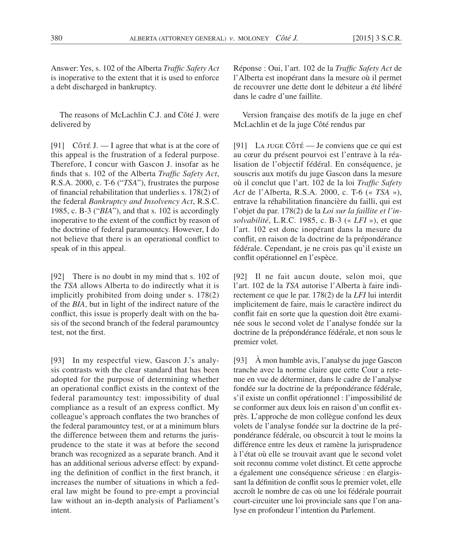Answer: Yes, s. 102 of the Alberta *Traffic Safety Act*  is inoperative to the extent that it is used to enforce a debt discharged in bankruptcy.

The reasons of McLachlin C.J. and Côté J. were delivered by

[91] Côté J.  $\overline{\phantom{a}}$  L agree that what is at the core of this appeal is the frustration of a federal purpose. Therefore, I concur with Gascon J. insofar as he finds that s. 102 of the Alberta *Traffic Safety Act*, R.S.A. 2000, c. T-6 ("*TSA*"), frustrates the purpose of financial rehabilitation that underlies s. 178(2) of the federal *Bankruptcy and Insolvency Act*, R.S.C. 1985, c. B-3 ("*BIA*"), and that s. 102 is accordingly inoperative to the extent of the conflict by reason of the doctrine of federal paramountcy. However, I do not believe that there is an operational conflict to speak of in this appeal.

[92] There is no doubt in my mind that s. 102 of the *TSA* allows Alberta to do indirectly what it is implicitly prohibited from doing under s. 178(2) of the *BIA*, but in light of the indirect nature of the conflict, this issue is properly dealt with on the basis of the second branch of the federal paramountcy test, not the first.

[93] In my respectful view, Gascon J.'s analysis contrasts with the clear standard that has been adopted for the purpose of determining whether an operational conflict exists in the context of the federal paramountcy test: impossibility of dual compliance as a result of an express conflict. My colleague's approach conflates the two branches of the federal paramountcy test, or at a minimum blurs the difference between them and returns the jurisprudence to the state it was at before the second branch was recognized as a separate branch. And it has an additional serious adverse effect: by expanding the definition of conflict in the first branch, it increases the number of situations in which a federal law might be found to pre-empt a provincial law without an in-depth analysis of Parliament's intent.

Réponse : Oui, l'art. 102 de la *Traffic Safety Act* de l'Alberta est inopérant dans la mesure où il permet de recouvrer une dette dont le débiteur a été libéré dans le cadre d'une faillite.

Version française des motifs de la juge en chef McLachlin et de la juge Côté rendus par

[91] La juge Côté — Je conviens que ce qui est au cœur du présent pourvoi est l'entrave à la réalisation de l'objectif fédéral. En conséquence, je souscris aux motifs du juge Gascon dans la mesure où il conclut que l'art. 102 de la loi *Traffic Safety Act* de l'Alberta, R.S.A. 2000, c. T-6 (« *TSA* »), entrave la réhabilitation financière du failli, qui est l'objet du par. 178(2) de la *Loi sur la faillite et l'insolvabilité*, L.R.C. 1985, c. B-3 (« *LFI* »), et que l'art. 102 est donc inopérant dans la mesure du conflit, en raison de la doctrine de la prépondérance fédérale. Cependant, je ne crois pas qu'il existe un conflit opérationnel en l'espèce.

[92] Il ne fait aucun doute, selon moi, que l'art. 102 de la *TSA* autorise l'Alberta à faire indirectement ce que le par. 178(2) de la *LFI* lui interdit implicitement de faire, mais le caractère indirect du conflit fait en sorte que la question doit être examinée sous le second volet de l'analyse fondée sur la doctrine de la prépondérance fédérale, et non sous le premier volet.

[93] À mon humble avis, l'analyse du juge Gascon tranche avec la norme claire que cette Cour a retenue en vue de déterminer, dans le cadre de l'analyse fondée sur la doctrine de la prépondérance fédérale, s'il existe un conflit opérationnel : l'impossibilité de se conformer aux deux lois en raison d'un conflit exprès. L'approche de mon collègue confond les deux volets de l'analyse fondée sur la doctrine de la prépondérance fédérale, ou obscurcit à tout le moins la différence entre les deux et ramène la jurisprudence à l'état où elle se trouvait avant que le second volet soit reconnu comme volet distinct. Et cette approche a également une conséquence sérieuse : en élargissant la définition de conflit sous le premier volet, elle accroît le nombre de cas où une loi fédérale pourrait court-circuiter une loi provinciale sans que l'on analyse en profondeur l'intention du Parlement.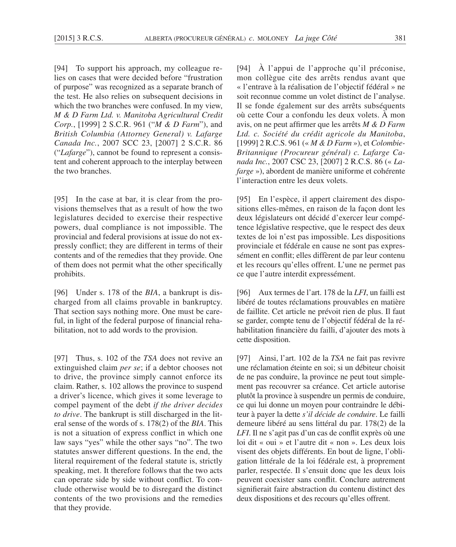[94] To support his approach, my colleague relies on cases that were decided before "frustration of purpose" was recognized as a separate branch of the test. He also relies on subsequent decisions in which the two branches were confused. In my view, *M & D Farm Ltd. v. Manitoba Agricultural Credit Corp.*, [1999] 2 S.C.R. 961 ("*M & D Farm*"), and *British Columbia (Attorney General) v. Lafarge Canada Inc.*, 2007 SCC 23, [2007] 2 S.C.R. 86 ("*Lafarge*"), cannot be found to represent a consistent and coherent approach to the interplay between the two branches.

[95] In the case at bar, it is clear from the provisions themselves that as a result of how the two legislatures decided to exercise their respective powers, dual compliance is not impossible. The provincial and federal provisions at issue do not expressly conflict; they are different in terms of their contents and of the remedies that they provide. One of them does not permit what the other specifically prohibits.

[96] Under s. 178 of the *BIA*, a bankrupt is discharged from all claims provable in bankruptcy. That section says nothing more. One must be careful, in light of the federal purpose of financial rehabilitation, not to add words to the provision.

[97] Thus, s. 102 of the *TSA* does not revive an extinguished claim *per se*; if a debtor chooses not to drive, the province simply cannot enforce its claim. Rather, s. 102 allows the province to suspend a driver's licence, which gives it some leverage to compel payment of the debt *if the driver decides to drive*. The bankrupt is still discharged in the literal sense of the words of s. 178(2) of the *BIA*. This is not a situation of express conflict in which one law says "yes" while the other says "no". The two statutes answer different questions. In the end, the literal requirement of the federal statute is, strictly speaking, met. It therefore follows that the two acts can operate side by side without conflict. To conclude otherwise would be to disregard the distinct contents of the two provisions and the remedies that they provide.

[94] À l'appui de l'approche qu'il préconise, mon collègue cite des arrêts rendus avant que « l'entrave à la réalisation de l'objectif fédéral » ne soit reconnue comme un volet distinct de l'analyse. Il se fonde également sur des arrêts subséquents où cette Cour a confondu les deux volets. À mon avis, on ne peut affirmer que les arrêts *M & D Farm Ltd. c. Société du crédit agricole du Manitoba*, [1999] 2 R.C.S. 961 (« *M & D Farm* »), et *Colombie-Britannique (Procureur général) c. Lafarge Canada Inc.*, 2007 CSC 23, [2007] 2 R.C.S. 86 (« *Lafarge* »), abordent de manière uniforme et cohérente l'interaction entre les deux volets.

[95] En l'espèce, il appert clairement des dispositions elles-mêmes, en raison de la façon dont les deux législateurs ont décidé d'exercer leur compétence législative respective, que le respect des deux textes de loi n'est pas impossible. Les dispositions provinciale et fédérale en cause ne sont pas expressément en conflit; elles diffèrent de par leur contenu et les recours qu'elles offrent. L'une ne permet pas ce que l'autre interdit expressément.

[96] Aux termes de l'art. 178 de la *LFI*, un failli est libéré de toutes réclamations prouvables en matière de faillite. Cet article ne prévoit rien de plus. Il faut se garder, compte tenu de l'objectif fédéral de la réhabilitation financière du failli, d'ajouter des mots à cette disposition.

[97] Ainsi, l'art. 102 de la *TSA* ne fait pas revivre une réclamation éteinte en soi; si un débiteur choisit de ne pas conduire, la province ne peut tout simplement pas recouvrer sa créance. Cet article autorise plutôt la province à suspendre un permis de conduire, ce qui lui donne un moyen pour contraindre le débiteur à payer la dette *s'il décide de conduire*. Le failli demeure libéré au sens littéral du par. 178(2) de la *LFI*. Il ne s'agit pas d'un cas de conflit exprès où une loi dit « oui » et l'autre dit « non ». Les deux lois visent des objets différents. En bout de ligne, l'obligation littérale de la loi fédérale est, à proprement parler, respectée. Il s'ensuit donc que les deux lois peuvent coexister sans conflit. Conclure autrement signifierait faire abstraction du contenu distinct des deux dispositions et des recours qu'elles offrent.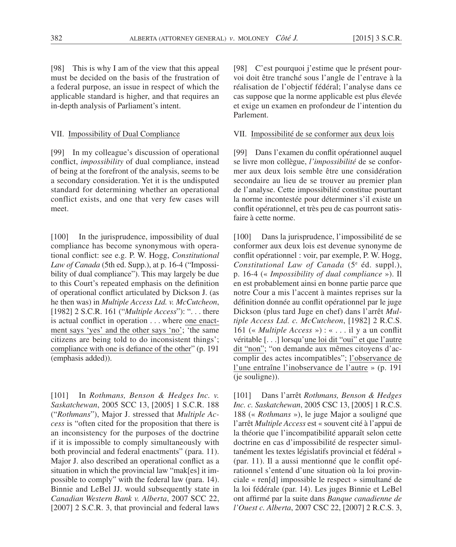[98] This is why I am of the view that this appeal must be decided on the basis of the frustration of a federal purpose, an issue in respect of which the applicable standard is higher, and that requires an in-depth analysis of Parliament's intent.

#### VII. Impossibility of Dual Compliance

[99] In my colleague's discussion of operational conflict, *impossibility* of dual compliance, instead of being at the forefront of the analysis, seems to be a secondary consideration. Yet it is the undisputed standard for determining whether an operational conflict exists, and one that very few cases will meet.

[100] In the jurisprudence, impossibility of dual compliance has become synonymous with operational conflict: see e.g. P. W. Hogg, *Constitutional Law of Canada* (5th ed. Supp.), at p. 16-4 ("Impossibility of dual compliance"). This may largely be due to this Court's repeated emphasis on the definition of operational conflict articulated by Dickson J. (as he then was) in *Multiple Access Ltd. v. McCutcheon*, [1982] 2 S.C.R. 161 ("*Multiple Access*"): ". . . there is actual conflict in operation . . . where one enactment says 'yes' and the other says 'no'; 'the same citizens are being told to do inconsistent things'; compliance with one is defiance of the other" (p. 191 (emphasis added)).

[101] In *Rothmans, Benson & Hedges Inc. v. Saskatchewan*, 2005 SCC 13, [2005] 1 S.C.R. 188 ("*Rothmans*"), Major J. stressed that *Multiple Access* is "often cited for the proposition that there is an inconsistency for the purposes of the doctrine if it is impossible to comply simultaneously with both provincial and federal enactments" (para. 11). Major J. also described an operational conflict as a situation in which the provincial law "mak[es] it impossible to comply" with the federal law (para. 14). Binnie and LeBel JJ. would subsequently state in *Canadian Western Bank v. Alberta*, 2007 SCC 22, [2007] 2 S.C.R. 3, that provincial and federal laws

[98] C'est pourquoi j'estime que le présent pourvoi doit être tranché sous l'angle de l'entrave à la réalisation de l'objectif fédéral; l'analyse dans ce cas suppose que la norme applicable est plus élevée et exige un examen en profondeur de l'intention du Parlement.

#### VII. Impossibilité de se conformer aux deux lois

[99] Dans l'examen du conflit opérationnel auquel se livre mon collègue, *l'impossibilité* de se conformer aux deux lois semble être une considération secondaire au lieu de se trouver au premier plan de l'analyse. Cette impossibilité constitue pourtant la norme incontestée pour déterminer s'il existe un conflit opérationnel, et très peu de cas pourront satisfaire à cette norme.

[100] Dans la jurisprudence, l'impossibilité de se conformer aux deux lois est devenue synonyme de conflit opérationnel : voir, par exemple, P. W. Hogg, Constitutional Law of Canada (5<sup>e</sup> éd. suppl.), p. 16-4 (« *Impossibility of dual compliance* »). Il en est probablement ainsi en bonne partie parce que notre Cour a mis l'accent à maintes reprises sur la définition donnée au conflit opérationnel par le juge Dickson (plus tard Juge en chef) dans l'arrêt *Multiple Access Ltd. c. McCutcheon*, [1982] 2 R.C.S. 161 (« *Multiple Access* ») : « . . . il y a un conflit véritable [. . .] lorsqu'une loi dit "oui" et que l'autre dit "non"; "on demande aux mêmes citoyens d'accomplir des actes incompatibles"; l'observance de l'une entraîne l'inobservance de l'autre » (p. 191 (je souligne)).

[101] Dans l'arrêt *Rothmans, Benson & Hedges Inc. c. Saskatchewan*, 2005 CSC 13, [2005] 1 R.C.S. 188 (« *Rothmans* »), le juge Major a souligné que l'arrêt *Multiple Access* est « souvent cité à l'appui de la théorie que l'incompatibilité apparaît selon cette doctrine en cas d'impossibilité de respecter simultanément les textes législatifs provincial et fédéral » (par. 11). Il a aussi mentionné que le conflit opérationnel s'entend d'une situation où la loi provinciale « ren[d] impossible le respect » simultané de la loi fédérale (par. 14). Les juges Binnie et LeBel ont affirmé par la suite dans *Banque canadienne de l'Ouest c. Alberta*, 2007 CSC 22, [2007] 2 R.C.S. 3,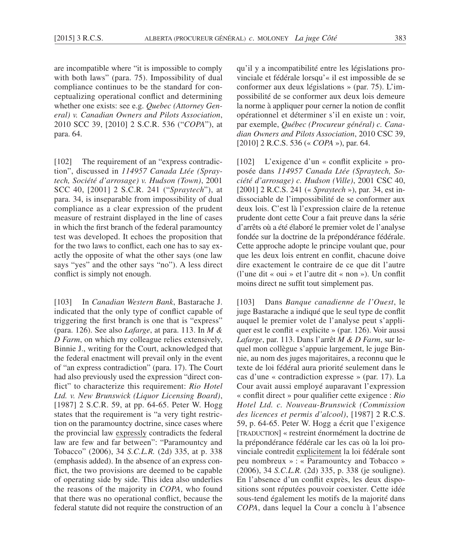are incompatible where "it is impossible to comply with both laws" (para. 75). Impossibility of dual compliance continues to be the standard for conceptualizing operational conflict and determining whether one exists: see e.g. *Quebec (Attorney General) v. Canadian Owners and Pilots Association*, 2010 SCC 39, [2010] 2 S.C.R. 536 ("*COPA*"), at para. 64.

[102] The requirement of an "express contradiction", discussed in *114957 Canada Ltée (Spraytech, Société d'arrosage) v. Hudson (Town)*, 2001 SCC 40, [2001] 2 S.C.R. 241 ("*Spraytech*"), at para. 34, is inseparable from impossibility of dual compliance as a clear expression of the prudent measure of restraint displayed in the line of cases in which the first branch of the federal paramountcy test was developed. It echoes the proposition that for the two laws to conflict, each one has to say exactly the opposite of what the other says (one law says "yes" and the other says "no"). A less direct conflict is simply not enough.

[103] In *Canadian Western Bank*, Bastarache J. indicated that the only type of conflict capable of triggering the first branch is one that is "express" (para. 126). See also *Lafarge*, at para. 113. In *M & D Farm*, on which my colleague relies extensively, Binnie J., writing for the Court, acknowledged that the federal enactment will prevail only in the event of "an express contradiction" (para. 17). The Court had also previously used the expression "direct conflict" to characterize this requirement: *Rio Hotel Ltd. v. New Brunswick (Liquor Licensing Board)*, [1987] 2 S.C.R. 59, at pp. 64-65. Peter W. Hogg states that the requirement is "a very tight restriction on the paramountcy doctrine, since cases where the provincial law expressly contradicts the federal law are few and far between": "Paramountcy and Tobacco" (2006), 34 *S.C.L.R.* (2d) 335, at p. 338 (emphasis added). In the absence of an express conflict, the two provisions are deemed to be capable of operating side by side. This idea also underlies the reasons of the majority in *COPA*, who found that there was no operational conflict, because the federal statute did not require the construction of an qu'il y a incompatibilité entre les législations provinciale et fédérale lorsqu'« il est impossible de se conformer aux deux législations » (par. 75). L'impossibilité de se conformer aux deux lois demeure la norme à appliquer pour cerner la notion de conflit opérationnel et déterminer s'il en existe un : voir, par exemple, *Québec (Procureur général) c. Canadian Owners and Pilots Association*, 2010 CSC 39, [2010] 2 R.C.S. 536 (« *COPA* »), par. 64.

[102] L'exigence d'un « conflit explicite » proposée dans *114957 Canada Ltée (Spraytech, Société d'arrosage) c. Hudson (Ville)*, 2001 CSC 40, [2001] 2 R.C.S. 241 (« *Spraytech* »), par. 34, est indissociable de l'impossibilité de se conformer aux deux lois. C'est là l'expression claire de la retenue prudente dont cette Cour a fait preuve dans la série d'arrêts où a été élaboré le premier volet de l'analyse fondée sur la doctrine de la prépondérance fédérale. Cette approche adopte le principe voulant que, pour que les deux lois entrent en conflit, chacune doive dire exactement le contraire de ce que dit l'autre (l'une dit « oui » et l'autre dit « non »). Un conflit moins direct ne suffit tout simplement pas.

[103] Dans *Banque canadienne de l'Ouest*, le juge Bastarache a indiqué que le seul type de conflit auquel le premier volet de l'analyse peut s'appliquer est le conflit « explicite » (par. 126). Voir aussi *Lafarge*, par. 113. Dans l'arrêt *M & D Farm*, sur lequel mon collègue s'appuie largement, le juge Binnie, au nom des juges majoritaires, a reconnu que le texte de loi fédéral aura priorité seulement dans le cas d'une « contradiction expresse » (par. 17). La Cour avait aussi employé auparavant l'expression « conflit direct » pour qualifier cette exigence : *Rio Hotel Ltd. c. Nouveau-Brunswick (Commission des licences et permis d'alcool)*, [1987] 2 R.C.S. 59, p. 64-65. Peter W. Hogg a écrit que l'exigence [TRADUCTION] « restreint énormément la doctrine de la prépondérance fédérale car les cas où la loi provinciale contredit explicitement la loi fédérale sont peu nombreux » : « Paramountcy and Tobacco » (2006), 34 *S.C.L.R.* (2d) 335, p. 338 (je souligne). En l'absence d'un conflit exprès, les deux dispositions sont réputées pouvoir coexister. Cette idée sous-tend également les motifs de la majorité dans *COPA*, dans lequel la Cour a conclu à l'absence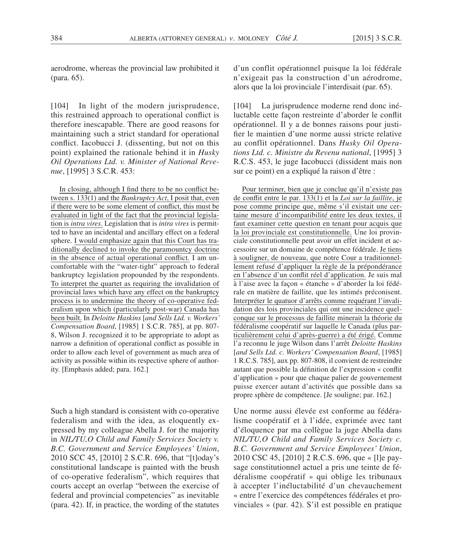aerodrome, whereas the provincial law prohibited it (para. 65).

[104] In light of the modern jurisprudence, this restrained approach to operational conflict is therefore inescapable. There are good reasons for maintaining such a strict standard for operational conflict. Iacobucci J. (dissenting, but not on this point) explained the rationale behind it in *Husky Oil Operations Ltd. v. Minister of National Revenue*, [1995] 3 S.C.R. 453:

In closing, although I find there to be no conflict between s. 133(1) and the *Bankruptcy Act*, I posit that, even if there were to be some element of conflict, this must be evaluated in light of the fact that the provincial legislation is *intra vires*. Legislation that is *intra vires* is permitted to have an incidental and ancillary effect on a federal sphere. I would emphasize again that this Court has traditionally declined to invoke the paramountcy doctrine in the absence of actual operational conflict. I am uncomfortable with the "water-tight" approach to federal bankruptcy legislation propounded by the respondents. To interpret the quartet as requiring the invalidation of provincial laws which have any effect on the bankruptcy process is to undermine the theory of co-operative federalism upon which (particularly post-war) Canada has been built. In *Deloitte Haskins* [*and Sells Ltd. v. Workers' Compensation Board*, [1985] 1 S.C.R. 785], at pp. 807- 8, Wilson J. recognized it to be appropriate to adopt as narrow a definition of operational conflict as possible in order to allow each level of government as much area of activity as possible within its respective sphere of authority. [Emphasis added; para. 162.]

Such a high standard is consistent with co-operative federalism and with the idea, as eloquently expressed by my colleague Abella J. for the majority in *NIL/TU,O Child and Family Services Society v. B.C. Government and Service Employees' Union*, 2010 SCC 45, [2010] 2 S.C.R. 696, that "[t]oday's constitutional landscape is painted with the brush of co-operative federalism", which requires that courts accept an overlap "between the exercise of federal and provincial competencies" as inevitable (para. 42). If, in practice, the wording of the statutes d'un conflit opérationnel puisque la loi fédérale n'exigeait pas la construction d'un aérodrome, alors que la loi provinciale l'interdisait (par. 65).

[104] La jurisprudence moderne rend donc inéluctable cette façon restreinte d'aborder le conflit opérationnel. Il y a de bonnes raisons pour justifier le maintien d'une norme aussi stricte relative au conflit opérationnel. Dans *Husky Oil Operations Ltd. c. Ministre du Revenu national*, [1995] 3 R.C.S. 453, le juge Iacobucci (dissident mais non sur ce point) en a expliqué la raison d'être :

Pour terminer, bien que je conclue qu'il n'existe pas de conflit entre le par. 133(1) et la *Loi sur la faillite*, je pose comme principe que, même s'il existait une certaine mesure d'incompatibilité entre les deux textes, il faut examiner cette question en tenant pour acquis que la loi provinciale est constitutionnelle. Une loi provinciale constitutionnelle peut avoir un effet incident et accessoire sur un domaine de compétence fédérale. Je tiens à souligner, de nouveau, que notre Cour a traditionnellement refusé d'appliquer la règle de la prépondérance en l'absence d'un conflit réel d'application. Je suis mal à l'aise avec la façon « étanche » d'aborder la loi fédérale en matière de faillite, que les intimés préconisent. Interpréter le quatuor d'arrêts comme requérant l'invalidation des lois provinciales qui ont une incidence quelconque sur le processus de faillite minerait la théorie du fédéralisme coopératif sur laquelle le Canada (plus particulièrement celui d'après-guerre) a été érigé. Comme l'a reconnu le juge Wilson dans l'arrêt *Deloitte Haskins*  [*and Sells Ltd. c. Workers' Compensation Board*, [1985] 1 R.C.S. 785], aux pp. 807-808, il convient de restreindre autant que possible la définition de l'expression « conflit d'application » pour que chaque palier de gouvernement puisse exercer autant d'activités que possible dans sa propre sphère de compétence. [Je souligne; par. 162.]

Une norme aussi élevée est conforme au fédéralisme coopératif et à l'idée, exprimée avec tant d'éloquence par ma collègue la juge Abella dans *NIL/TU,O Child and Family Services Society c. B.C. Government and Service Employees' Union*, 2010 CSC 45, [2010] 2 R.C.S. 696, que « [l]e paysage constitutionnel actuel a pris une teinte de fédéralisme coopératif » qui oblige les tribunaux à accepter l'inéluctabilité d'un chevauchement « entre l'exercice des compétences fédérales et provinciales » (par. 42). S'il est possible en pratique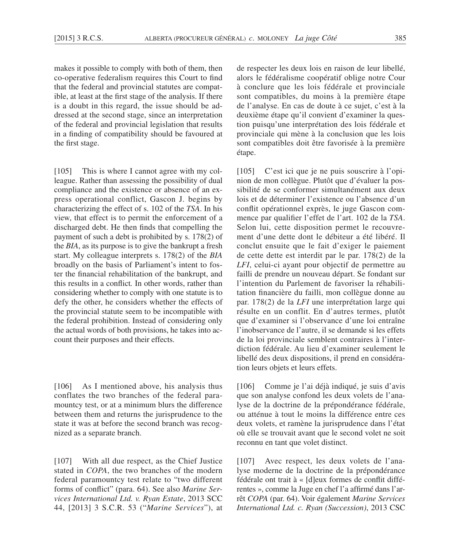makes it possible to comply with both of them, then co-operative federalism requires this Court to find that the federal and provincial statutes are compatible, at least at the first stage of the analysis. If there is a doubt in this regard, the issue should be addressed at the second stage, since an interpretation of the federal and provincial legislation that results in a finding of compatibility should be favoured at the first stage.

[105] This is where I cannot agree with my colleague. Rather than assessing the possibility of dual compliance and the existence or absence of an express operational conflict, Gascon J. begins by characterizing the effect of s. 102 of the *TSA*. In his view, that effect is to permit the enforcement of a discharged debt. He then finds that compelling the payment of such a debt is prohibited by s. 178(2) of the *BIA*, as its purpose is to give the bankrupt a fresh start. My colleague interprets s. 178(2) of the *BIA*  broadly on the basis of Parliament's intent to foster the financial rehabilitation of the bankrupt, and this results in a conflict*.* In other words, rather than considering whether to comply with one statute is to defy the other, he considers whether the effects of the provincial statute seem to be incompatible with the federal prohibition. Instead of considering only the actual words of both provisions, he takes into account their purposes and their effects.

[106] As I mentioned above, his analysis thus conflates the two branches of the federal paramountcy test, or at a minimum blurs the difference between them and returns the jurisprudence to the state it was at before the second branch was recognized as a separate branch.

[107] With all due respect, as the Chief Justice stated in *COPA*, the two branches of the modern federal paramountcy test relate to "two different forms of conflict" (para. 64). See also *Marine Services International Ltd. v. Ryan Estate*, 2013 SCC 44, [2013] 3 S.C.R. 53 ("*Marine Services*"), at de respecter les deux lois en raison de leur libellé, alors le fédéralisme coopératif oblige notre Cour à conclure que les lois fédérale et provinciale sont compatibles, du moins à la première étape de l'analyse. En cas de doute à ce sujet, c'est à la deuxième étape qu'il convient d'examiner la question puisqu'une interprétation des lois fédérale et provinciale qui mène à la conclusion que les lois sont compatibles doit être favorisée à la première étape.

[105] C'est ici que je ne puis souscrire à l'opinion de mon collègue. Plutôt que d'évaluer la possibilité de se conformer simultanément aux deux lois et de déterminer l'existence ou l'absence d'un conflit opérationnel exprès, le juge Gascon commence par qualifier l'effet de l'art. 102 de la *TSA*. Selon lui, cette disposition permet le recouvrement d'une dette dont le débiteur a été libéré. Il conclut ensuite que le fait d'exiger le paiement de cette dette est interdit par le par. 178(2) de la *LFI*, celui-ci ayant pour objectif de permettre au failli de prendre un nouveau départ. Se fondant sur l'intention du Parlement de favoriser la réhabilitation financière du failli, mon collègue donne au par. 178(2) de la *LFI* une interprétation large qui résulte en un conflit. En d'autres termes, plutôt que d'examiner si l'observance d'une loi entraîne l'inobservance de l'autre, il se demande si les effets de la loi provinciale semblent contraires à l'interdiction fédérale. Au lieu d'examiner seulement le libellé des deux dispositions, il prend en considération leurs objets et leurs effets.

[106] Comme je l'ai déjà indiqué, je suis d'avis que son analyse confond les deux volets de l'analyse de la doctrine de la prépondérance fédérale, ou atténue à tout le moins la différence entre ces deux volets, et ramène la jurisprudence dans l'état où elle se trouvait avant que le second volet ne soit reconnu en tant que volet distinct.

[107] Avec respect, les deux volets de l'analyse moderne de la doctrine de la prépondérance fédérale ont trait à « [d]eux formes de conflit différentes », comme la Juge en chef l'a affirmé dans l'arrêt *COPA* (par. 64). Voir également *Marine Services International Ltd. c. Ryan (Succession)*, 2013 CSC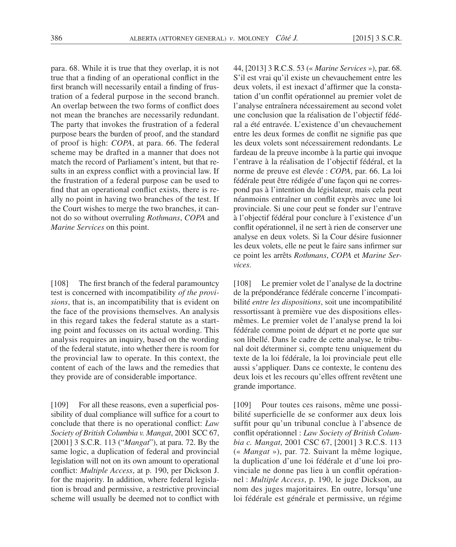para. 68. While it is true that they overlap, it is not true that a finding of an operational conflict in the first branch will necessarily entail a finding of frustration of a federal purpose in the second branch. An overlap between the two forms of conflict does not mean the branches are necessarily redundant. The party that invokes the frustration of a federal purpose bears the burden of proof, and the standard of proof is high: *COPA*, at para. 66. The federal scheme may be drafted in a manner that does not match the record of Parliament's intent, but that results in an express conflict with a provincial law. If the frustration of a federal purpose can be used to find that an operational conflict exists, there is really no point in having two branches of the test. If the Court wishes to merge the two branches, it cannot do so without overruling *Rothmans*, *COPA* and *Marine Services* on this point.

[108] The first branch of the federal paramountcy test is concerned with incompatibility *of the provisions*, that is, an incompatibility that is evident on the face of the provisions themselves. An analysis in this regard takes the federal statute as a starting point and focusses on its actual wording. This analysis requires an inquiry, based on the wording of the federal statute, into whether there is room for the provincial law to operate. In this context, the content of each of the laws and the remedies that they provide are of considerable importance.

[109] For all these reasons, even a superficial possibility of dual compliance will suffice for a court to conclude that there is no operational conflict: *Law Society of British Columbia v. Mangat*, 2001 SCC 67, [2001] 3 S.C.R. 113 ("*Mangat*"), at para. 72. By the same logic, a duplication of federal and provincial legislation will not on its own amount to operational conflict: *Multiple Access*, at p. 190, per Dickson J. for the majority. In addition, where federal legislation is broad and permissive, a restrictive provincial scheme will usually be deemed not to conflict with 44, [2013] 3 R.C.S. 53 (« *Marine Services* »), par. 68. S'il est vrai qu'il existe un chevauchement entre les deux volets, il est inexact d'affirmer que la constatation d'un conflit opérationnel au premier volet de l'analyse entraînera nécessairement au second volet une conclusion que la réalisation de l'objectif fédéral a été entravée. L'existence d'un chevauchement entre les deux formes de conflit ne signifie pas que les deux volets sont nécessairement redondants. Le fardeau de la preuve incombe à la partie qui invoque l'entrave à la réalisation de l'objectif fédéral, et la norme de preuve est élevée : *COPA*, par. 66. La loi fédérale peut être rédigée d'une façon qui ne correspond pas à l'intention du législateur, mais cela peut néanmoins entraîner un conflit exprès avec une loi provinciale. Si une cour peut se fonder sur l'entrave à l'objectif fédéral pour conclure à l'existence d'un conflit opérationnel, il ne sert à rien de conserver une analyse en deux volets. Si la Cour désire fusionner les deux volets, elle ne peut le faire sans infirmer sur ce point les arrêts *Rothmans*, *COPA* et *Marine Services*.

[108] Le premier volet de l'analyse de la doctrine de la prépondérance fédérale concerne l'incompatibilité *entre les dispositions*, soit une incompatibilité ressortissant à première vue des dispositions ellesmêmes. Le premier volet de l'analyse prend la loi fédérale comme point de départ et ne porte que sur son libellé. Dans le cadre de cette analyse, le tribunal doit déterminer si, compte tenu uniquement du texte de la loi fédérale, la loi provinciale peut elle aussi s'appliquer. Dans ce contexte, le contenu des deux lois et les recours qu'elles offrent revêtent une grande importance.

[109] Pour toutes ces raisons, même une possibilité superficielle de se conformer aux deux lois suffit pour qu'un tribunal conclue à l'absence de conflit opérationnel : *Law Society of British Columbia c. Mangat*, 2001 CSC 67, [2001] 3 R.C.S. 113 (« *Mangat* »), par. 72. Suivant la même logique, la duplication d'une loi fédérale et d'une loi provinciale ne donne pas lieu à un conflit opérationnel : *Multiple Access*, p. 190, le juge Dickson, au nom des juges majoritaires. En outre, lorsqu'une loi fédérale est générale et permissive, un régime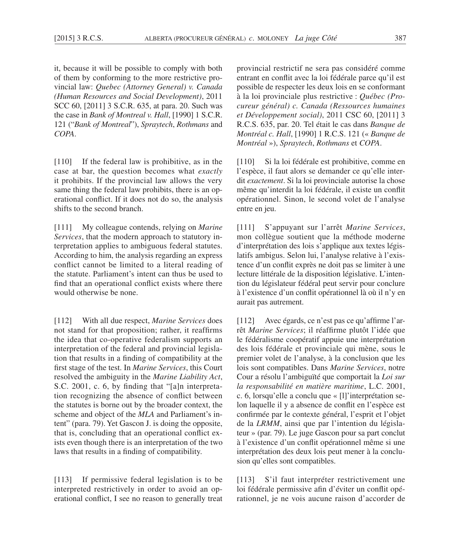it, because it will be possible to comply with both of them by conforming to the more restrictive provincial law: *Quebec (Attorney General) v. Canada (Human Resources and Social Development)*, 2011 SCC 60, [2011] 3 S.C.R. 635, at para. 20. Such was the case in *Bank of Montreal v. Hall*, [1990] 1 S.C.R. 121 ("*Bank of Montreal*"), *Spraytech*, *Rothmans* and *COPA*.

[110] If the federal law is prohibitive, as in the case at bar, the question becomes what *exactly* it prohibits. If the provincial law allows the very same thing the federal law prohibits, there is an operational conflict. If it does not do so, the analysis shifts to the second branch.

[111] My colleague contends, relying on *Marine Services*, that the modern approach to statutory interpretation applies to ambiguous federal statutes. According to him, the analysis regarding an express conflict cannot be limited to a literal reading of the statute. Parliament's intent can thus be used to find that an operational conflict exists where there would otherwise be none.

[112] With all due respect, *Marine Services* does not stand for that proposition; rather, it reaffirms the idea that co-operative federalism supports an interpretation of the federal and provincial legislation that results in a finding of compatibility at the first stage of the test. In *Marine Services*, this Court resolved the ambiguity in the *Marine Liability Act*, S.C. 2001, c. 6, by finding that "[a]n interpretation recognizing the absence of conflict between the statutes is borne out by the broader context, the scheme and object of the *MLA* and Parliament's intent" (para. 79). Yet Gascon J. is doing the opposite, that is, concluding that an operational conflict exists even though there is an interpretation of the two laws that results in a finding of compatibility.

[113] If permissive federal legislation is to be interpreted restrictively in order to avoid an operational conflict, I see no reason to generally treat provincial restrictif ne sera pas considéré comme entrant en conflit avec la loi fédérale parce qu'il est possible de respecter les deux lois en se conformant à la loi provinciale plus restrictive : *Québec (Procureur général) c. Canada (Ressources humaines et Développement social)*, 2011 CSC 60, [2011] 3 R.C.S. 635, par. 20. Tel était le cas dans *Banque de Montréal c. Hall*, [1990] 1 R.C.S. 121 (« *Banque de Montréal* »), *Spraytech*, *Rothmans* et *COPA*.

[110] Si la loi fédérale est prohibitive, comme en l'espèce, il faut alors se demander ce qu'elle interdit *exactement*. Si la loi provinciale autorise la chose même qu'interdit la loi fédérale, il existe un conflit opérationnel. Sinon, le second volet de l'analyse entre en jeu.

[111] S'appuyant sur l'arrêt *Marine Services*, mon collègue soutient que la méthode moderne d'interprétation des lois s'applique aux textes législatifs ambigus. Selon lui, l'analyse relative à l'existence d'un conflit exprès ne doit pas se limiter à une lecture littérale de la disposition législative. L'intention du législateur fédéral peut servir pour conclure à l'existence d'un conflit opérationnel là où il n'y en aurait pas autrement.

[112] Avec égards, ce n'est pas ce qu'affirme l'arrêt *Marine Services*; il réaffirme plutôt l'idée que le fédéralisme coopératif appuie une interprétation des lois fédérale et provinciale qui mène, sous le premier volet de l'analyse, à la conclusion que les lois sont compatibles. Dans *Marine Services*, notre Cour a résolu l'ambiguïté que comportait la *Loi sur la responsabilité en matière maritime*, L.C. 2001, c. 6, lorsqu'elle a conclu que « [l]'interprétation selon laquelle il y a absence de conflit en l'espèce est confirmée par le contexte général, l'esprit et l'objet de la *LRMM*, ainsi que par l'intention du législateur » (par. 79). Le juge Gascon pour sa part conclut à l'existence d'un conflit opérationnel même si une interprétation des deux lois peut mener à la conclusion qu'elles sont compatibles.

[113] S'il faut interpréter restrictivement une loi fédérale permissive afin d'éviter un conflit opérationnel, je ne vois aucune raison d'accorder de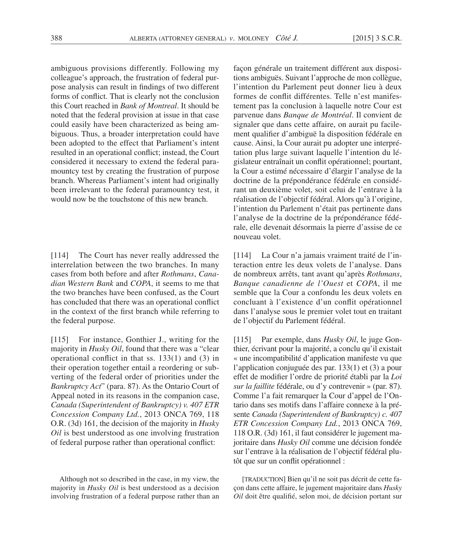ambiguous provisions differently. Following my colleague's approach, the frustration of federal purpose analysis can result in findings of two different forms of conflict. That is clearly not the conclusion this Court reached in *Bank of Montreal*. It should be noted that the federal provision at issue in that case could easily have been characterized as being ambiguous. Thus, a broader interpretation could have been adopted to the effect that Parliament's intent resulted in an operational conflict; instead, the Court considered it necessary to extend the federal paramountcy test by creating the frustration of purpose branch. Whereas Parliament's intent had originally been irrelevant to the federal paramountcy test, it would now be the touchstone of this new branch.

[114] The Court has never really addressed the interrelation between the two branches. In many cases from both before and after *Rothmans*, *Canadian Western Bank* and *COPA*, it seems to me that the two branches have been confused, as the Court has concluded that there was an operational conflict in the context of the first branch while referring to the federal purpose.

[115] For instance, Gonthier J., writing for the majority in *Husky Oil*, found that there was a "clear operational conflict in that ss. 133(1) and (3) in their operation together entail a reordering or subverting of the federal order of priorities under the *Bankruptcy Act*" (para. 87). As the Ontario Court of Appeal noted in its reasons in the companion case, *Canada (Superintendent of Bankruptcy) v. 407 ETR Concession Company Ltd.*, 2013 ONCA 769, 118 O.R. (3d) 161, the decision of the majority in *Husky Oil* is best understood as one involving frustration of federal purpose rather than operational conflict:

façon générale un traitement différent aux dispositions ambiguës. Suivant l'approche de mon collègue, l'intention du Parlement peut donner lieu à deux formes de conflit différentes. Telle n'est manifestement pas la conclusion à laquelle notre Cour est parvenue dans *Banque de Montréal*. Il convient de signaler que dans cette affaire, on aurait pu facilement qualifier d'ambiguë la disposition fédérale en cause. Ainsi, la Cour aurait pu adopter une interprétation plus large suivant laquelle l'intention du législateur entraînait un conflit opérationnel; pourtant, la Cour a estimé nécessaire d'élargir l'analyse de la doctrine de la prépondérance fédérale en considérant un deuxième volet, soit celui de l'entrave à la réalisation de l'objectif fédéral. Alors qu'à l'origine, l'intention du Parlement n'était pas pertinente dans l'analyse de la doctrine de la prépondérance fédérale, elle devenait désormais la pierre d'assise de ce nouveau volet.

[114] La Cour n'a jamais vraiment traité de l'interaction entre les deux volets de l'analyse. Dans de nombreux arrêts, tant avant qu'après *Rothmans*, *Banque canadienne de l'Ouest* et *COPA*, il me semble que la Cour a confondu les deux volets en concluant à l'existence d'un conflit opérationnel dans l'analyse sous le premier volet tout en traitant de l'objectif du Parlement fédéral.

[115] Par exemple, dans *Husky Oil*, le juge Gonthier, écrivant pour la majorité, a conclu qu'il existait « une incompatibilité d'application manifeste vu que l'application conjuguée des par. 133(1) et (3) a pour effet de modifier l'ordre de priorité établi par la *Loi sur la faillite* fédérale, ou d'y contrevenir » (par. 87). Comme l'a fait remarquer la Cour d'appel de l'Ontario dans ses motifs dans l'affaire connexe à la présente *Canada (Superintendent of Bankruptcy) c. 407 ETR Concession Company Ltd.*, 2013 ONCA 769, 118 O.R. (3d) 161, il faut considérer le jugement majoritaire dans *Husky Oil* comme une décision fondée sur l'entrave à la réalisation de l'objectif fédéral plutôt que sur un conflit opérationnel :

Although not so described in the case, in my view, the majority in *Husky Oil* is best understood as a decision involving frustration of a federal purpose rather than an

[TRADUCTION] Bien qu'il ne soit pas décrit de cette façon dans cette affaire, le jugement majoritaire dans *Husky Oil* doit être qualifié, selon moi, de décision portant sur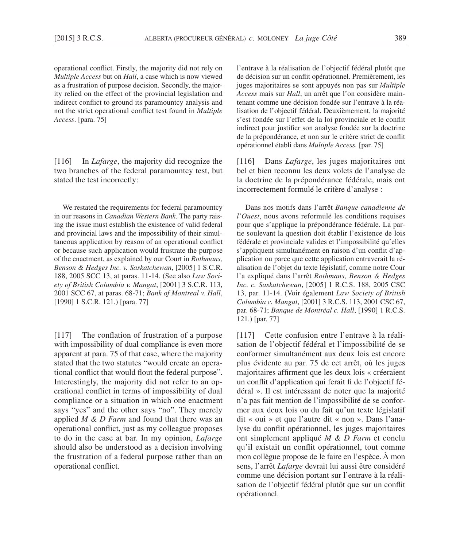operational conflict. Firstly, the majority did not rely on *Multiple Access* but on *Hall*, a case which is now viewed as a frustration of purpose decision. Secondly, the majority relied on the effect of the provincial legislation and indirect conflict to ground its paramountcy analysis and not the strict operational conflict test found in *Multiple Access*. [para. 75]

[116] In *Lafarge*, the majority did recognize the two branches of the federal paramountcy test, but stated the test incorrectly:

We restated the requirements for federal paramountcy in our reasons in *Canadian Western Bank*. The party raising the issue must establish the existence of valid federal and provincial laws and the impossibility of their simultaneous application by reason of an operational conflict or because such application would frustrate the purpose of the enactment, as explained by our Court in *Rothmans, Benson & Hedges Inc. v. Saskatchewan*, [2005] 1 S.C.R. 188, 2005 SCC 13, at paras. 11-14. (See also *Law Society of British Columbia v. Mangat*, [2001] 3 S.C.R. 113, 2001 SCC 67, at paras. 68-71; *Bank of Montreal v. Hall*, [1990] 1 S.C.R. 121.) [para. 77]

[117] The conflation of frustration of a purpose with impossibility of dual compliance is even more apparent at para. 75 of that case, where the majority stated that the two statutes "would create an operational conflict that would flout the federal purpose". Interestingly, the majority did not refer to an operational conflict in terms of impossibility of dual compliance or a situation in which one enactment says "yes" and the other says "no". They merely applied *M & D Farm* and found that there was an operational conflict, just as my colleague proposes to do in the case at bar. In my opinion, *Lafarge*  should also be understood as a decision involving the frustration of a federal purpose rather than an operational conflict.

l'entrave à la réalisation de l'objectif fédéral plutôt que de décision sur un conflit opérationnel. Premièrement, les juges majoritaires se sont appuyés non pas sur *Multiple Access* mais sur *Hall*, un arrêt que l'on considère maintenant comme une décision fondée sur l'entrave à la réalisation de l'objectif fédéral. Deuxièmement, la majorité s'est fondée sur l'effet de la loi provinciale et le conflit indirect pour justifier son analyse fondée sur la doctrine de la prépondérance, et non sur le critère strict de conflit opérationnel établi dans *Multiple Access.* [par. 75]

[116] Dans *Lafarge*, les juges majoritaires ont bel et bien reconnu les deux volets de l'analyse de la doctrine de la prépondérance fédérale, mais ont incorrectement formulé le critère d'analyse :

Dans nos motifs dans l'arrêt *Banque canadienne de l'Ouest*, nous avons reformulé les conditions requises pour que s'applique la prépondérance fédérale. La partie soulevant la question doit établir l'existence de lois fédérale et provinciale valides et l'impossibilité qu'elles s'appliquent simultanément en raison d'un conflit d'application ou parce que cette application entraverait la réalisation de l'objet du texte législatif, comme notre Cour l'a expliqué dans l'arrêt *Rothmans, Benson & Hedges Inc. c. Saskatchewan*, [2005] 1 R.C.S. 188, 2005 CSC 13, par. 11-14. (Voir également *Law Society of British Columbia c. Mangat*, [2001] 3 R.C.S. 113, 2001 CSC 67, par. 68-71; *Banque de Montréal c. Hall*, [1990] 1 R.C.S. 121.) [par. 77]

[117] Cette confusion entre l'entrave à la réalisation de l'objectif fédéral et l'impossibilité de se conformer simultanément aux deux lois est encore plus évidente au par. 75 de cet arrêt, où les juges majoritaires affirment que les deux lois « créeraient un conflit d'application qui ferait fi de l'objectif fédéral ». Il est intéressant de noter que la majorité n'a pas fait mention de l'impossibilité de se conformer aux deux lois ou du fait qu'un texte législatif dit « oui » et que l'autre dit « non ». Dans l'analyse du conflit opérationnel, les juges majoritaires ont simplement appliqué *M & D Farm* et conclu qu'il existait un conflit opérationnel, tout comme mon collègue propose de le faire en l'espèce. À mon sens, l'arrêt *Lafarge* devrait lui aussi être considéré comme une décision portant sur l'entrave à la réalisation de l'objectif fédéral plutôt que sur un conflit opérationnel.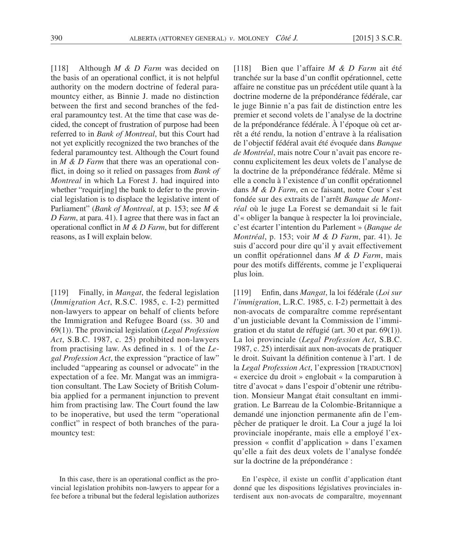[118] Although *M & D Farm* was decided on the basis of an operational conflict, it is not helpful authority on the modern doctrine of federal paramountcy either, as Binnie J. made no distinction between the first and second branches of the federal paramountcy test. At the time that case was decided, the concept of frustration of purpose had been referred to in *Bank of Montreal*, but this Court had not yet explicitly recognized the two branches of the federal paramountcy test. Although the Court found in *M & D Farm* that there was an operational conflict, in doing so it relied on passages from *Bank of Montreal* in which La Forest J. had inquired into whether "requir[ing] the bank to defer to the provincial legislation is to displace the legislative intent of Parliament" (*Bank of Montreal*, at p. 153; see *M & D Farm*, at para. 41). I agree that there was in fact an operational conflict in *M & D Farm*, but for different reasons, as I will explain below.

[119] Finally, in *Mangat*, the federal legislation (*Immigration Act*, R.S.C. 1985, c. I-2) permitted non-lawyers to appear on behalf of clients before the Immigration and Refugee Board (ss. 30 and 69(1)). The provincial legislation (*Legal Profession Act*, S.B.C. 1987, c. 25) prohibited non-lawyers from practising law. As defined in s. 1 of the *Legal Profession Act*, the expression "practice of law" included "appearing as counsel or advocate" in the expectation of a fee. Mr. Mangat was an immigration consultant. The Law Society of British Columbia applied for a permanent injunction to prevent him from practising law. The Court found the law to be inoperative, but used the term "operational conflict" in respect of both branches of the paramountcy test:

In this case, there is an operational conflict as the provincial legislation prohibits non-lawyers to appear for a fee before a tribunal but the federal legislation authorizes [118] Bien que l'affaire *M & D Farm* ait été tranchée sur la base d'un conflit opérationnel, cette affaire ne constitue pas un précédent utile quant à la doctrine moderne de la prépondérance fédérale, car le juge Binnie n'a pas fait de distinction entre les premier et second volets de l'analyse de la doctrine de la prépondérance fédérale. À l'époque où cet arrêt a été rendu, la notion d'entrave à la réalisation de l'objectif fédéral avait été évoquée dans *Banque de Montréal*, mais notre Cour n'avait pas encore reconnu explicitement les deux volets de l'analyse de la doctrine de la prépondérance fédérale. Même si elle a conclu à l'existence d'un conflit opérationnel dans *M & D Farm*, en ce faisant, notre Cour s'est fondée sur des extraits de l'arrêt *Banque de Montréal* où le juge La Forest se demandait si le fait d'« obliger la banque à respecter la loi provinciale, c'est écarter l'intention du Parlement » (*Banque de Montréal*, p. 153; voir *M & D Farm*, par. 41). Je suis d'accord pour dire qu'il y avait effectivement un conflit opérationnel dans *M & D Farm*, mais pour des motifs différents, comme je l'expliquerai plus loin.

[119] Enfin, dans *Mangat*, la loi fédérale (*Loi sur l'immigration*, L.R.C. 1985, c. I-2) permettait à des non-avocats de comparaître comme représentant d'un justiciable devant la Commission de l'immigration et du statut de réfugié (art. 30 et par. 69(1)). La loi provinciale (*Legal Profession Act*, S.B.C. 1987, c. 25) interdisait aux non-avocats de pratiquer le droit. Suivant la définition contenue à l'art. 1 de la *Legal Profession Act*, l'expression [TRADUCTION] « exercice du droit » englobait « la comparution à titre d'avocat » dans l'espoir d'obtenir une rétribution. Monsieur Mangat était consultant en immigration. Le Barreau de la Colombie-Britannique a demandé une injonction permanente afin de l'empêcher de pratiquer le droit. La Cour a jugé la loi provinciale inopérante, mais elle a employé l'expression « conflit d'application » dans l'examen qu'elle a fait des deux volets de l'analyse fondée sur la doctrine de la prépondérance :

En l'espèce, il existe un conflit d'application étant donné que les dispositions législatives provinciales interdisent aux non-avocats de comparaître, moyennant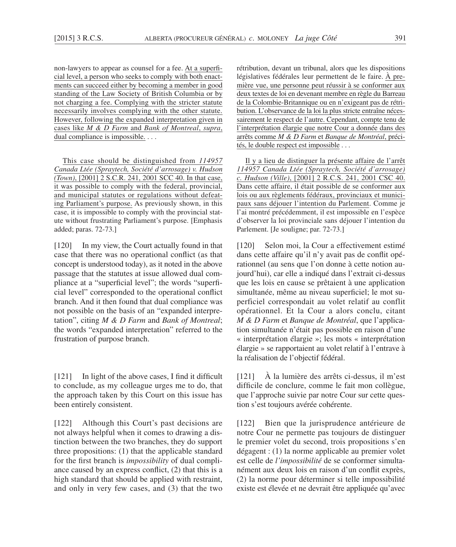non-lawyers to appear as counsel for a fee. At a superficial level, a person who seeks to comply with both enactments can succeed either by becoming a member in good standing of the Law Society of British Columbia or by not charging a fee. Complying with the stricter statute necessarily involves complying with the other statute. However, following the expanded interpretation given in cases like *M & D Farm* and *Bank of Montreal*, *supra*, dual compliance is impossible. . . .

This case should be distinguished from *114957 Canada Ltée (Spraytech, Société d'arrosage) v. Hudson (Town)*, [2001] 2 S.C.R. 241, 2001 SCC 40. In that case, it was possible to comply with the federal, provincial, and municipal statutes or regulations without defeating Parliament's purpose. As previously shown, in this case, it is impossible to comply with the provincial statute without frustrating Parliament's purpose. [Emphasis added; paras. 72-73.]

[120] In my view, the Court actually found in that case that there was no operational conflict (as that concept is understood today), as it noted in the above passage that the statutes at issue allowed dual compliance at a "superficial level"; the words "superficial level" corresponded to the operational conflict branch. And it then found that dual compliance was not possible on the basis of an "expanded interpretation", citing *M & D Farm* and *Bank of Montreal*; the words "expanded interpretation" referred to the frustration of purpose branch.

[121] In light of the above cases, I find it difficult to conclude, as my colleague urges me to do, that the approach taken by this Court on this issue has been entirely consistent.

[122] Although this Court's past decisions are not always helpful when it comes to drawing a distinction between the two branches, they do support three propositions: (1) that the applicable standard for the first branch is *impossibility* of dual compliance caused by an express conflict, (2) that this is a high standard that should be applied with restraint, and only in very few cases, and (3) that the two rétribution, devant un tribunal, alors que les dispositions législatives fédérales leur permettent de le faire. À première vue, une personne peut réussir à se conformer aux deux textes de loi en devenant membre en règle du Barreau de la Colombie-Britannique ou en n'exigeant pas de rétribution. L'observance de la loi la plus stricte entraîne nécessairement le respect de l'autre. Cependant, compte tenu de l'interprétation élargie que notre Cour a donnée dans des arrêts comme *M & D Farm* et *Banque de Montréal*, précités, le double respect est impossible . . .

Il y a lieu de distinguer la présente affaire de l'arrêt *114957 Canada Ltée (Spraytech, Société d'arrosage) c. Hudson (Ville)*, [2001] 2 R.C.S. 241, 2001 CSC 40. Dans cette affaire, il était possible de se conformer aux lois ou aux règlements fédéraux, provinciaux et municipaux sans déjouer l'intention du Parlement. Comme je l'ai montré précédemment, il est impossible en l'espèce d'observer la loi provinciale sans déjouer l'intention du Parlement. [Je souligne; par. 72-73.]

[120] Selon moi, la Cour a effectivement estimé dans cette affaire qu'il n'y avait pas de conflit opérationnel (au sens que l'on donne à cette notion aujourd'hui), car elle a indiqué dans l'extrait ci-dessus que les lois en cause se prêtaient à une application simultanée, même au niveau superficiel; le mot superficiel correspondait au volet relatif au conflit opérationnel. Et la Cour a alors conclu, citant *M & D Farm* et *Banque de Montréal*, que l'application simultanée n'était pas possible en raison d'une « interprétation élargie »; les mots « interprétation élargie » se rapportaient au volet relatif à l'entrave à la réalisation de l'objectif fédéral.

[121] À la lumière des arrêts ci-dessus, il m'est difficile de conclure, comme le fait mon collègue, que l'approche suivie par notre Cour sur cette question s'est toujours avérée cohérente.

[122] Bien que la jurisprudence antérieure de notre Cour ne permette pas toujours de distinguer le premier volet du second, trois propositions s'en dégagent : (1) la norme applicable au premier volet est celle de *l'impossibilité* de se conformer simultanément aux deux lois en raison d'un conflit exprès, (2) la norme pour déterminer si telle impossibilité existe est élevée et ne devrait être appliquée qu'avec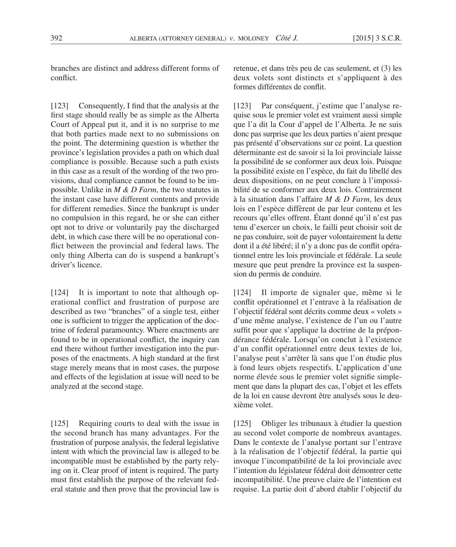branches are distinct and address different forms of conflict.

[123] Consequently, I find that the analysis at the first stage should really be as simple as the Alberta Court of Appeal put it, and it is no surprise to me that both parties made next to no submissions on the point. The determining question is whether the province's legislation provides a path on which dual compliance is possible. Because such a path exists in this case as a result of the wording of the two provisions, dual compliance cannot be found to be impossible. Unlike in *M & D Farm*, the two statutes in the instant case have different contents and provide for different remedies. Since the bankrupt is under no compulsion in this regard, he or she can either opt not to drive or voluntarily pay the discharged debt, in which case there will be no operational conflict between the provincial and federal laws. The only thing Alberta can do is suspend a bankrupt's driver's licence.

[124] It is important to note that although operational conflict and frustration of purpose are described as two "branches" of a single test, either one is sufficient to trigger the application of the doctrine of federal paramountcy. Where enactments are found to be in operational conflict, the inquiry can end there without further investigation into the purposes of the enactments. A high standard at the first stage merely means that in most cases, the purpose and effects of the legislation at issue will need to be analyzed at the second stage.

[125] Requiring courts to deal with the issue in the second branch has many advantages. For the frustration of purpose analysis, the federal legislative intent with which the provincial law is alleged to be incompatible must be established by the party relying on it. Clear proof of intent is required. The party must first establish the purpose of the relevant federal statute and then prove that the provincial law is retenue, et dans très peu de cas seulement, et (3) les deux volets sont distincts et s'appliquent à des formes différentes de conflit.

[123] Par conséquent, j'estime que l'analyse requise sous le premier volet est vraiment aussi simple que l'a dit la Cour d'appel de l'Alberta. Je ne suis donc pas surprise que les deux parties n'aient presque pas présenté d'observations sur ce point. La question déterminante est de savoir si la loi provinciale laisse la possibilité de se conformer aux deux lois. Puisque la possibilité existe en l'espèce, du fait du libellé des deux dispositions, on ne peut conclure à l'impossibilité de se conformer aux deux lois. Contrairement à la situation dans l'affaire *M & D Farm*, les deux lois en l'espèce diffèrent de par leur contenu et les recours qu'elles offrent. Étant donné qu'il n'est pas tenu d'exercer un choix, le failli peut choisir soit de ne pas conduire, soit de payer volontairement la dette dont il a été libéré; il n'y a donc pas de conflit opérationnel entre les lois provinciale et fédérale. La seule mesure que peut prendre la province est la suspension du permis de conduire.

[124] Il importe de signaler que, même si le conflit opérationnel et l'entrave à la réalisation de l'objectif fédéral sont décrits comme deux « volets » d'une même analyse, l'existence de l'un ou l'autre suffit pour que s'applique la doctrine de la prépondérance fédérale. Lorsqu'on conclut à l'existence d'un conflit opérationnel entre deux textes de loi, l'analyse peut s'arrêter là sans que l'on étudie plus à fond leurs objets respectifs. L'application d'une norme élevée sous le premier volet signifie simplement que dans la plupart des cas, l'objet et les effets de la loi en cause devront être analysés sous le deuxième volet.

[125] Obliger les tribunaux à étudier la question au second volet comporte de nombreux avantages. Dans le contexte de l'analyse portant sur l'entrave à la réalisation de l'objectif fédéral, la partie qui invoque l'incompatibilité de la loi provinciale avec l'intention du législateur fédéral doit démontrer cette incompatibilité. Une preuve claire de l'intention est requise. La partie doit d'abord établir l'objectif du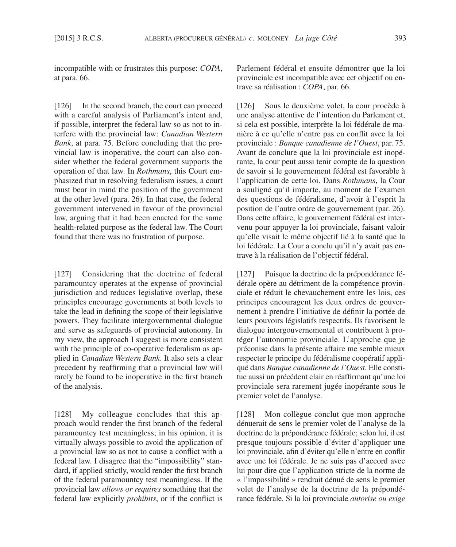incompatible with or frustrates this purpose: *COPA*, at para. 66.

[126] In the second branch, the court can proceed with a careful analysis of Parliament's intent and, if possible, interpret the federal law so as not to interfere with the provincial law: *Canadian Western Bank*, at para. 75. Before concluding that the provincial law is inoperative, the court can also consider whether the federal government supports the operation of that law. In *Rothmans*, this Court emphasized that in resolving federalism issues, a court must bear in mind the position of the government at the other level (para. 26). In that case, the federal government intervened in favour of the provincial law, arguing that it had been enacted for the same health-related purpose as the federal law. The Court found that there was no frustration of purpose.

[127] Considering that the doctrine of federal paramountcy operates at the expense of provincial jurisdiction and reduces legislative overlap, these principles encourage governments at both levels to take the lead in defining the scope of their legislative powers. They facilitate intergovernmental dialogue and serve as safeguards of provincial autonomy. In my view, the approach I suggest is more consistent with the principle of co-operative federalism as applied in *Canadian Western Bank*. It also sets a clear precedent by reaffirming that a provincial law will rarely be found to be inoperative in the first branch of the analysis.

[128] My colleague concludes that this approach would render the first branch of the federal paramountcy test meaningless; in his opinion, it is virtually always possible to avoid the application of a provincial law so as not to cause a conflict with a federal law. I disagree that the "impossibility" standard, if applied strictly, would render the first branch of the federal paramountcy test meaningless. If the provincial law *allows or requires* something that the federal law explicitly *prohibits*, or if the conflict is Parlement fédéral et ensuite démontrer que la loi provinciale est incompatible avec cet objectif ou entrave sa réalisation : *COPA*, par. 66.

[126] Sous le deuxième volet, la cour procède à une analyse attentive de l'intention du Parlement et, si cela est possible, interprète la loi fédérale de manière à ce qu'elle n'entre pas en conflit avec la loi provinciale : *Banque canadienne de l'Ouest*, par. 75. Avant de conclure que la loi provinciale est inopérante, la cour peut aussi tenir compte de la question de savoir si le gouvernement fédéral est favorable à l'application de cette loi. Dans *Rothmans*, la Cour a souligné qu'il importe, au moment de l'examen des questions de fédéralisme, d'avoir à l'esprit la position de l'autre ordre de gouvernement (par. 26). Dans cette affaire, le gouvernement fédéral est intervenu pour appuyer la loi provinciale, faisant valoir qu'elle visait le même objectif lié à la santé que la loi fédérale. La Cour a conclu qu'il n'y avait pas entrave à la réalisation de l'objectif fédéral.

[127] Puisque la doctrine de la prépondérance fédérale opère au détriment de la compétence provinciale et réduit le chevauchement entre les lois, ces principes encouragent les deux ordres de gouvernement à prendre l'initiative de définir la portée de leurs pouvoirs législatifs respectifs. Ils favorisent le dialogue intergouvernemental et contribuent à protéger l'autonomie provinciale. L'approche que je préconise dans la présente affaire me semble mieux respecter le principe du fédéralisme coopératif appliqué dans *Banque canadienne de l'Ouest*. Elle constitue aussi un précédent clair en réaffirmant qu'une loi provinciale sera rarement jugée inopérante sous le premier volet de l'analyse.

[128] Mon collègue conclut que mon approche dénuerait de sens le premier volet de l'analyse de la doctrine de la prépondérance fédérale; selon lui, il est presque toujours possible d'éviter d'appliquer une loi provinciale, afin d'éviter qu'elle n'entre en conflit avec une loi fédérale. Je ne suis pas d'accord avec lui pour dire que l'application stricte de la norme de « l'impossibilité » rendrait dénué de sens le premier volet de l'analyse de la doctrine de la prépondérance fédérale. Si la loi provinciale *autorise ou exige*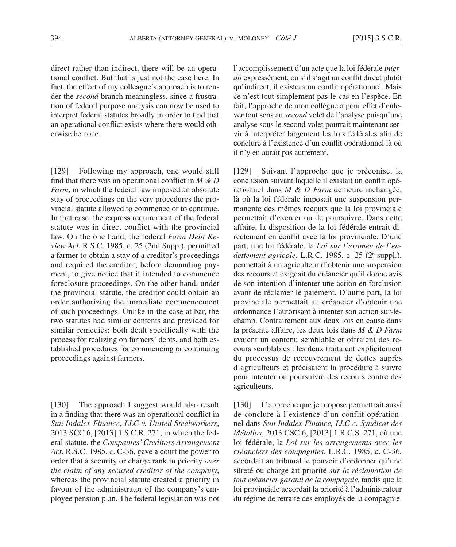direct rather than indirect, there will be an operational conflict. But that is just not the case here. In fact, the effect of my colleague's approach is to render the *second* branch meaningless, since a frustration of federal purpose analysis can now be used to interpret federal statutes broadly in order to find that an operational conflict exists where there would otherwise be none.

[129] Following my approach, one would still find that there was an operational conflict in *M & D Farm*, in which the federal law imposed an absolute stay of proceedings on the very procedures the provincial statute allowed to commence or to continue. In that case, the express requirement of the federal statute was in direct conflict with the provincial law. On the one hand, the federal *Farm Debt Review Act*, R.S.C. 1985, c. 25 (2nd Supp.), permitted a farmer to obtain a stay of a creditor's proceedings and required the creditor, before demanding payment, to give notice that it intended to commence foreclosure proceedings. On the other hand, under the provincial statute, the creditor could obtain an order authorizing the immediate commencement of such proceedings. Unlike in the case at bar, the two statutes had similar contents and provided for similar remedies: both dealt specifically with the process for realizing on farmers' debts, and both established procedures for commencing or continuing proceedings against farmers.

[130] The approach I suggest would also result in a finding that there was an operational conflict in *Sun Indalex Finance, LLC v. United Steelworkers*, 2013 SCC 6, [2013] 1 S.C.R. 271, in which the federal statute, the *Companies' Creditors Arrangement Act*, R.S.C. 1985, c. C-36, gave a court the power to order that a security or charge rank in priority *over the claim of any secured creditor of the company*, whereas the provincial statute created a priority in favour of the administrator of the company's employee pension plan. The federal legislation was not l'accomplissement d'un acte que la loi fédérale *interdit* expressément, ou s'il s'agit un conflit direct plutôt qu'indirect, il existera un conflit opérationnel. Mais ce n'est tout simplement pas le cas en l'espèce. En fait, l'approche de mon collègue a pour effet d'enlever tout sens au *second* volet de l'analyse puisqu'une analyse sous le second volet pourrait maintenant servir à interpréter largement les lois fédérales afin de conclure à l'existence d'un conflit opérationnel là où il n'y en aurait pas autrement.

[129] Suivant l'approche que je préconise, la conclusion suivant laquelle il existait un conflit opérationnel dans *M & D Farm* demeure inchangée, là où la loi fédérale imposait une suspension permanente des mêmes recours que la loi provinciale permettait d'exercer ou de poursuivre. Dans cette affaire, la disposition de la loi fédérale entrait directement en conflit avec la loi provinciale. D'une part, une loi fédérale, la *Loi sur l'examen de l'endettement agricole*, L.R.C. 1985, c. 25 (2e suppl.), permettait à un agriculteur d'obtenir une suspension des recours et exigeait du créancier qu'il donne avis de son intention d'intenter une action en forclusion avant de réclamer le paiement. D'autre part, la loi provinciale permettait au créancier d'obtenir une ordonnance l'autorisant à intenter son action sur-lechamp. Contrairement aux deux lois en cause dans la présente affaire, les deux lois dans *M & D Farm* avaient un contenu semblable et offraient des recours semblables : les deux traitaient explicitement du processus de recouvrement de dettes auprès d'agriculteurs et précisaient la procédure à suivre pour intenter ou poursuivre des recours contre des agriculteurs.

[130] L'approche que je propose permettrait aussi de conclure à l'existence d'un conflit opérationnel dans *Sun Indalex Finance, LLC c. Syndicat des Métallos*, 2013 CSC 6, [2013] 1 R.C.S. 271, où une loi fédérale, la *Loi sur les arrangements avec les créanciers des compagnies*, L.R.C. 1985, c. C-36, accordait au tribunal le pouvoir d'ordonner qu'une sûreté ou charge ait priorité *sur la réclamation de tout créancier garanti de la compagnie*, tandis que la loi provinciale accordait la priorité à l'administrateur du régime de retraite des employés de la compagnie.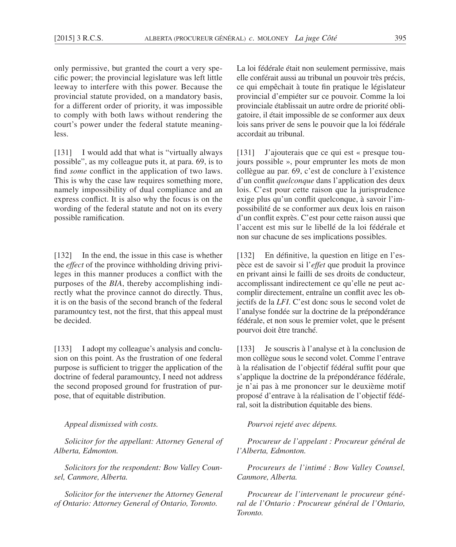only permissive, but granted the court a very specific power; the provincial legislature was left little leeway to interfere with this power. Because the provincial statute provided, on a mandatory basis, for a different order of priority, it was impossible to comply with both laws without rendering the court's power under the federal statute meaningless.

[131] I would add that what is "virtually always possible", as my colleague puts it, at para. 69, is to find *some* conflict in the application of two laws. This is why the case law requires something more, namely impossibility of dual compliance and an express conflict. It is also why the focus is on the wording of the federal statute and not on its every possible ramification.

[132] In the end, the issue in this case is whether the *effect* of the province withholding driving privileges in this manner produces a conflict with the purposes of the *BIA*, thereby accomplishing indirectly what the province cannot do directly. Thus, it is on the basis of the second branch of the federal paramountcy test, not the first, that this appeal must be decided.

[133] I adopt my colleague's analysis and conclusion on this point. As the frustration of one federal purpose is sufficient to trigger the application of the doctrine of federal paramountcy, I need not address the second proposed ground for frustration of purpose, that of equitable distribution.

*Appeal dismissed with costs.*

*Solicitor for the appellant: Attorney General of Alberta, Edmonton.*

*Solicitors for the respondent: Bow Valley Counsel, Canmore, Alberta.*

*Solicitor for the intervener the Attorney General of Ontario: Attorney General of Ontario, Toronto.*

La loi fédérale était non seulement permissive, mais elle conférait aussi au tribunal un pouvoir très précis, ce qui empêchait à toute fin pratique le législateur provincial d'empiéter sur ce pouvoir. Comme la loi provinciale établissait un autre ordre de priorité obligatoire, il était impossible de se conformer aux deux lois sans priver de sens le pouvoir que la loi fédérale accordait au tribunal.

[131] J'ajouterais que ce qui est « presque toujours possible », pour emprunter les mots de mon collègue au par. 69, c'est de conclure à l'existence d'un conflit *quelconque* dans l'application des deux lois. C'est pour cette raison que la jurisprudence exige plus qu'un conflit quelconque, à savoir l'impossibilité de se conformer aux deux lois en raison d'un conflit exprès. C'est pour cette raison aussi que l'accent est mis sur le libellé de la loi fédérale et non sur chacune de ses implications possibles.

[132] En définitive, la question en litige en l'espèce est de savoir si l'*effet* que produit la province en privant ainsi le failli de ses droits de conducteur, accomplissant indirectement ce qu'elle ne peut accomplir directement, entraîne un conflit avec les objectifs de la *LFI*. C'est donc sous le second volet de l'analyse fondée sur la doctrine de la prépondérance fédérale, et non sous le premier volet, que le présent pourvoi doit être tranché.

[133] Je souscris à l'analyse et à la conclusion de mon collègue sous le second volet. Comme l'entrave à la réalisation de l'objectif fédéral suffit pour que s'applique la doctrine de la prépondérance fédérale, je n'ai pas à me prononcer sur le deuxième motif proposé d'entrave à la réalisation de l'objectif fédéral, soit la distribution équitable des biens.

*Pourvoi rejeté avec dépens.*

*Procureur de l'appelant : Procureur général de l'Alberta, Edmonton.*

*Procureurs de l'intimé : Bow Valley Counsel, Canmore, Alberta.*

*Procureur de l'intervenant le procureur général de l'Ontario : Procureur général de l'Ontario, Toronto.*